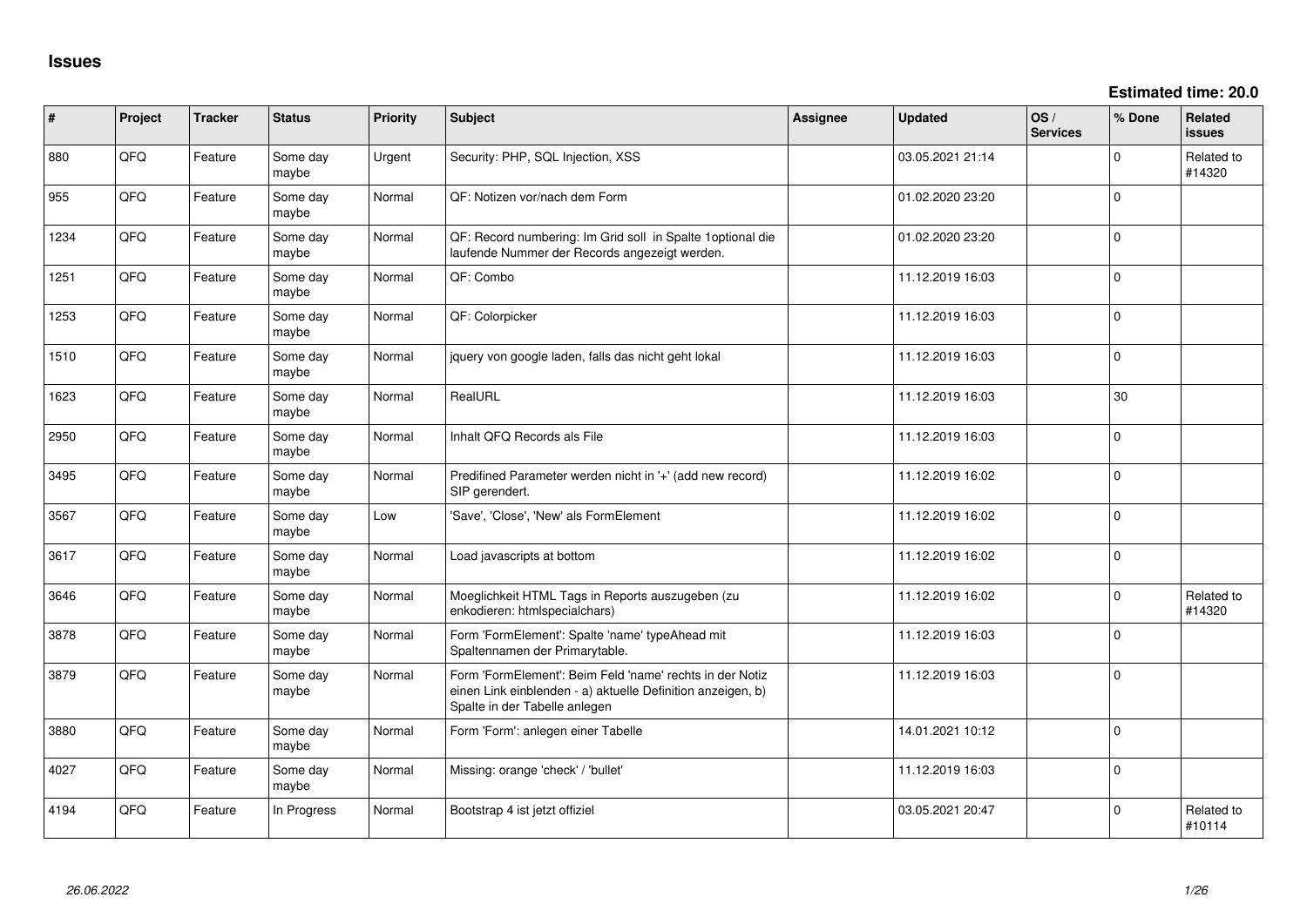**Estimated time: 20.0**

| #    | Project | <b>Tracker</b> | <b>Status</b>     | <b>Priority</b> | Subject                                                                                                                                                  | <b>Assignee</b> | <b>Updated</b>   | OS/<br><b>Services</b> | % Done      | Related<br>issues    |
|------|---------|----------------|-------------------|-----------------|----------------------------------------------------------------------------------------------------------------------------------------------------------|-----------------|------------------|------------------------|-------------|----------------------|
| 880  | QFQ     | Feature        | Some day<br>maybe | Urgent          | Security: PHP, SQL Injection, XSS                                                                                                                        |                 | 03.05.2021 21:14 |                        | $\Omega$    | Related to<br>#14320 |
| 955  | QFQ     | Feature        | Some day<br>maybe | Normal          | QF: Notizen vor/nach dem Form                                                                                                                            |                 | 01.02.2020 23:20 |                        | $\Omega$    |                      |
| 1234 | QFQ     | Feature        | Some day<br>maybe | Normal          | QF: Record numbering: Im Grid soll in Spalte 1optional die<br>laufende Nummer der Records angezeigt werden.                                              |                 | 01.02.2020 23:20 |                        | $\Omega$    |                      |
| 1251 | QFQ     | Feature        | Some day<br>maybe | Normal          | QF: Combo                                                                                                                                                |                 | 11.12.2019 16:03 |                        | $\Omega$    |                      |
| 1253 | QFQ     | Feature        | Some day<br>maybe | Normal          | QF: Colorpicker                                                                                                                                          |                 | 11.12.2019 16:03 |                        | $\mathbf 0$ |                      |
| 1510 | QFQ     | Feature        | Some day<br>maybe | Normal          | jquery von google laden, falls das nicht geht lokal                                                                                                      |                 | 11.12.2019 16:03 |                        | 0           |                      |
| 1623 | QFQ     | Feature        | Some day<br>maybe | Normal          | RealURL                                                                                                                                                  |                 | 11.12.2019 16:03 |                        | 30          |                      |
| 2950 | QFQ     | Feature        | Some day<br>maybe | Normal          | Inhalt QFQ Records als File                                                                                                                              |                 | 11.12.2019 16:03 |                        | $\mathbf 0$ |                      |
| 3495 | QFQ     | Feature        | Some day<br>maybe | Normal          | Predifined Parameter werden nicht in '+' (add new record)<br>SIP gerendert.                                                                              |                 | 11.12.2019 16:02 |                        | $\Omega$    |                      |
| 3567 | QFQ     | Feature        | Some day<br>maybe | Low             | 'Save', 'Close', 'New' als FormElement                                                                                                                   |                 | 11.12.2019 16:02 |                        | $\mathbf 0$ |                      |
| 3617 | QFQ     | Feature        | Some day<br>maybe | Normal          | Load javascripts at bottom                                                                                                                               |                 | 11.12.2019 16:02 |                        | $\mathbf 0$ |                      |
| 3646 | QFQ     | Feature        | Some day<br>maybe | Normal          | Moeglichkeit HTML Tags in Reports auszugeben (zu<br>enkodieren: htmlspecialchars)                                                                        |                 | 11.12.2019 16:02 |                        | $\Omega$    | Related to<br>#14320 |
| 3878 | QFQ     | Feature        | Some day<br>maybe | Normal          | Form 'FormElement': Spalte 'name' typeAhead mit<br>Spaltennamen der Primarytable.                                                                        |                 | 11.12.2019 16:03 |                        | $\Omega$    |                      |
| 3879 | QFQ     | Feature        | Some day<br>maybe | Normal          | Form 'FormElement': Beim Feld 'name' rechts in der Notiz<br>einen Link einblenden - a) aktuelle Definition anzeigen, b)<br>Spalte in der Tabelle anlegen |                 | 11.12.2019 16:03 |                        | $\Omega$    |                      |
| 3880 | QFQ     | Feature        | Some day<br>maybe | Normal          | Form 'Form': anlegen einer Tabelle                                                                                                                       |                 | 14.01.2021 10:12 |                        | 0           |                      |
| 4027 | QFQ     | Feature        | Some day<br>maybe | Normal          | Missing: orange 'check' / 'bullet'                                                                                                                       |                 | 11.12.2019 16:03 |                        | $\Omega$    |                      |
| 4194 | QFQ     | Feature        | In Progress       | Normal          | Bootstrap 4 ist jetzt offiziel                                                                                                                           |                 | 03.05.2021 20:47 |                        | $\Omega$    | Related to<br>#10114 |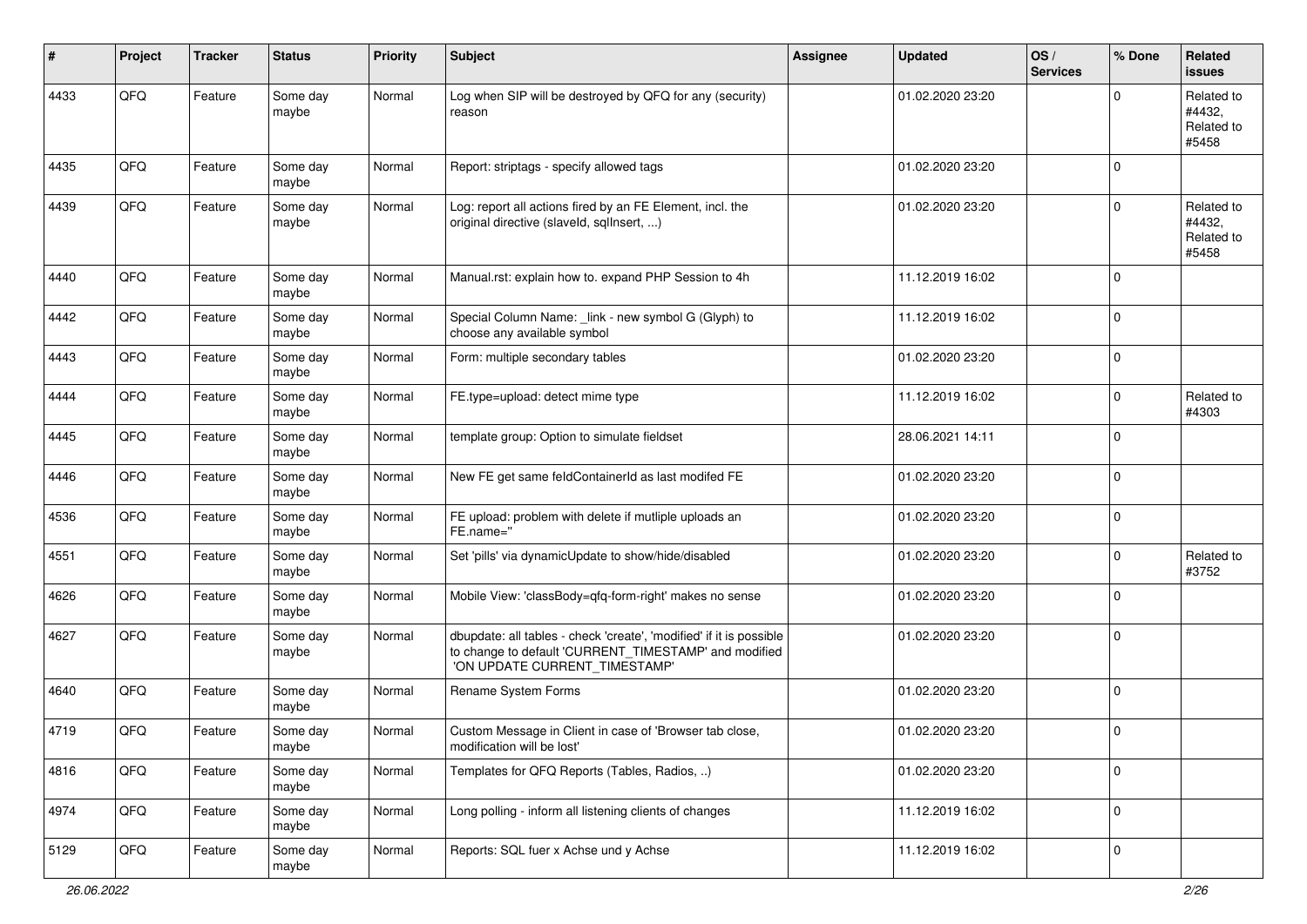| $\#$ | Project | <b>Tracker</b> | <b>Status</b>     | <b>Priority</b> | <b>Subject</b>                                                                                                                                                | Assignee | <b>Updated</b>   | OS/<br><b>Services</b> | % Done      | Related<br><b>issues</b>                    |
|------|---------|----------------|-------------------|-----------------|---------------------------------------------------------------------------------------------------------------------------------------------------------------|----------|------------------|------------------------|-------------|---------------------------------------------|
| 4433 | QFQ     | Feature        | Some day<br>maybe | Normal          | Log when SIP will be destroyed by QFQ for any (security)<br>reason                                                                                            |          | 01.02.2020 23:20 |                        | $\Omega$    | Related to<br>#4432,<br>Related to<br>#5458 |
| 4435 | QFQ     | Feature        | Some day<br>maybe | Normal          | Report: striptags - specify allowed tags                                                                                                                      |          | 01.02.2020 23:20 |                        | $\Omega$    |                                             |
| 4439 | QFQ     | Feature        | Some day<br>maybe | Normal          | Log: report all actions fired by an FE Element, incl. the<br>original directive (slaveld, sqlInsert, )                                                        |          | 01.02.2020 23:20 |                        | $\mathbf 0$ | Related to<br>#4432,<br>Related to<br>#5458 |
| 4440 | QFQ     | Feature        | Some day<br>maybe | Normal          | Manual.rst: explain how to. expand PHP Session to 4h                                                                                                          |          | 11.12.2019 16:02 |                        | $\Omega$    |                                             |
| 4442 | QFQ     | Feature        | Some day<br>maybe | Normal          | Special Column Name: _link - new symbol G (Glyph) to<br>choose any available symbol                                                                           |          | 11.12.2019 16:02 |                        | $\Omega$    |                                             |
| 4443 | QFQ     | Feature        | Some day<br>maybe | Normal          | Form: multiple secondary tables                                                                                                                               |          | 01.02.2020 23:20 |                        | $\mathbf 0$ |                                             |
| 4444 | QFQ     | Feature        | Some day<br>maybe | Normal          | FE.type=upload: detect mime type                                                                                                                              |          | 11.12.2019 16:02 |                        | $\mathbf 0$ | Related to<br>#4303                         |
| 4445 | QFQ     | Feature        | Some day<br>maybe | Normal          | template group: Option to simulate fieldset                                                                                                                   |          | 28.06.2021 14:11 |                        | $\mathbf 0$ |                                             |
| 4446 | QFQ     | Feature        | Some day<br>maybe | Normal          | New FE get same feldContainerId as last modifed FE                                                                                                            |          | 01.02.2020 23:20 |                        | $\mathbf 0$ |                                             |
| 4536 | QFQ     | Feature        | Some day<br>maybe | Normal          | FE upload: problem with delete if mutliple uploads an<br>FE.name="                                                                                            |          | 01.02.2020 23:20 |                        | $\mathbf 0$ |                                             |
| 4551 | QFQ     | Feature        | Some day<br>maybe | Normal          | Set 'pills' via dynamicUpdate to show/hide/disabled                                                                                                           |          | 01.02.2020 23:20 |                        | $\mathbf 0$ | Related to<br>#3752                         |
| 4626 | QFQ     | Feature        | Some day<br>maybe | Normal          | Mobile View: 'classBody=qfq-form-right' makes no sense                                                                                                        |          | 01.02.2020 23:20 |                        | $\mathbf 0$ |                                             |
| 4627 | QFQ     | Feature        | Some day<br>maybe | Normal          | dbupdate: all tables - check 'create', 'modified' if it is possible<br>to change to default 'CURRENT_TIMESTAMP' and modified<br>'ON UPDATE CURRENT TIMESTAMP' |          | 01.02.2020 23:20 |                        | $\mathbf 0$ |                                             |
| 4640 | QFQ     | Feature        | Some day<br>maybe | Normal          | Rename System Forms                                                                                                                                           |          | 01.02.2020 23:20 |                        | 0           |                                             |
| 4719 | QFQ     | Feature        | Some day<br>maybe | Normal          | Custom Message in Client in case of 'Browser tab close,<br>modification will be lost'                                                                         |          | 01.02.2020 23:20 |                        | 0           |                                             |
| 4816 | QFG     | Feature        | Some day<br>maybe | Normal          | Templates for QFQ Reports (Tables, Radios, )                                                                                                                  |          | 01.02.2020 23:20 |                        | $\mathbf 0$ |                                             |
| 4974 | QFQ     | Feature        | Some day<br>maybe | Normal          | Long polling - inform all listening clients of changes                                                                                                        |          | 11.12.2019 16:02 |                        | 0           |                                             |
| 5129 | QFQ     | Feature        | Some day<br>maybe | Normal          | Reports: SQL fuer x Achse und y Achse                                                                                                                         |          | 11.12.2019 16:02 |                        | 0           |                                             |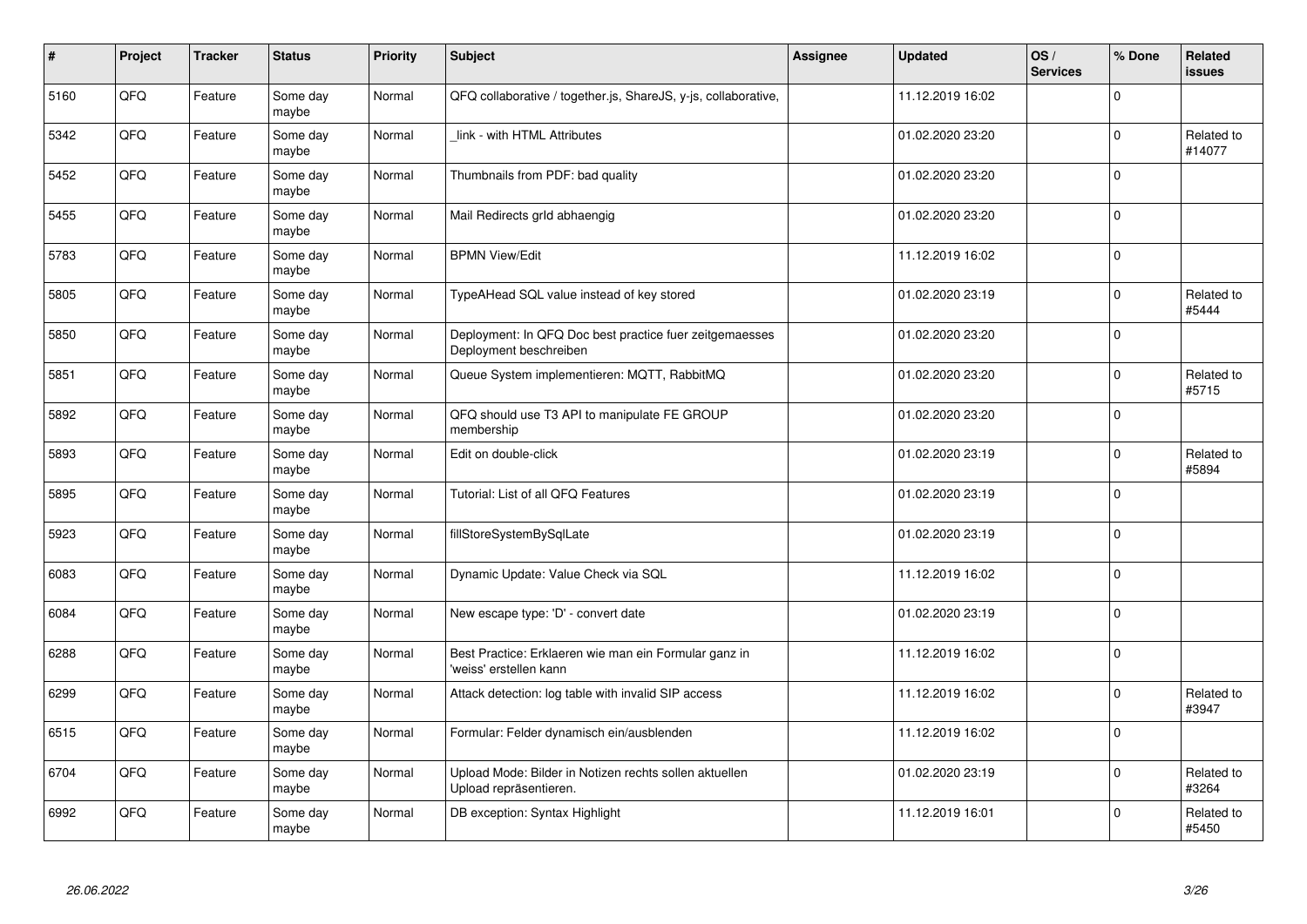| $\pmb{\#}$ | Project | <b>Tracker</b> | <b>Status</b>     | <b>Priority</b> | <b>Subject</b>                                                                    | Assignee | <b>Updated</b>   | OS/<br><b>Services</b> | % Done      | Related<br><b>issues</b> |
|------------|---------|----------------|-------------------|-----------------|-----------------------------------------------------------------------------------|----------|------------------|------------------------|-------------|--------------------------|
| 5160       | QFQ     | Feature        | Some day<br>maybe | Normal          | QFQ collaborative / together.js, ShareJS, y-js, collaborative,                    |          | 11.12.2019 16:02 |                        | $\Omega$    |                          |
| 5342       | QFQ     | Feature        | Some day<br>maybe | Normal          | link - with HTML Attributes                                                       |          | 01.02.2020 23:20 |                        | $\Omega$    | Related to<br>#14077     |
| 5452       | QFQ     | Feature        | Some day<br>maybe | Normal          | Thumbnails from PDF: bad quality                                                  |          | 01.02.2020 23:20 |                        | $\Omega$    |                          |
| 5455       | QFQ     | Feature        | Some day<br>maybe | Normal          | Mail Redirects grld abhaengig                                                     |          | 01.02.2020 23:20 |                        | $\Omega$    |                          |
| 5783       | QFQ     | Feature        | Some day<br>maybe | Normal          | <b>BPMN View/Edit</b>                                                             |          | 11.12.2019 16:02 |                        | $\Omega$    |                          |
| 5805       | QFQ     | Feature        | Some day<br>maybe | Normal          | TypeAHead SQL value instead of key stored                                         |          | 01.02.2020 23:19 |                        | $\Omega$    | Related to<br>#5444      |
| 5850       | QFQ     | Feature        | Some day<br>maybe | Normal          | Deployment: In QFQ Doc best practice fuer zeitgemaesses<br>Deployment beschreiben |          | 01.02.2020 23:20 |                        | 0           |                          |
| 5851       | QFQ     | Feature        | Some day<br>maybe | Normal          | Queue System implementieren: MQTT, RabbitMQ                                       |          | 01.02.2020 23:20 |                        | $\Omega$    | Related to<br>#5715      |
| 5892       | QFQ     | Feature        | Some day<br>maybe | Normal          | QFQ should use T3 API to manipulate FE GROUP<br>membership                        |          | 01.02.2020 23:20 |                        | $\Omega$    |                          |
| 5893       | QFQ     | Feature        | Some day<br>maybe | Normal          | Edit on double-click                                                              |          | 01.02.2020 23:19 |                        | $\Omega$    | Related to<br>#5894      |
| 5895       | QFQ     | Feature        | Some day<br>maybe | Normal          | Tutorial: List of all QFQ Features                                                |          | 01.02.2020 23:19 |                        | $\Omega$    |                          |
| 5923       | QFQ     | Feature        | Some day<br>maybe | Normal          | fillStoreSystemBySqlLate                                                          |          | 01.02.2020 23:19 |                        | $\Omega$    |                          |
| 6083       | QFQ     | Feature        | Some day<br>maybe | Normal          | Dynamic Update: Value Check via SQL                                               |          | 11.12.2019 16:02 |                        | $\mathbf 0$ |                          |
| 6084       | QFQ     | Feature        | Some day<br>maybe | Normal          | New escape type: 'D' - convert date                                               |          | 01.02.2020 23:19 |                        | 0           |                          |
| 6288       | QFQ     | Feature        | Some day<br>maybe | Normal          | Best Practice: Erklaeren wie man ein Formular ganz in<br>'weiss' erstellen kann   |          | 11.12.2019 16:02 |                        | $\Omega$    |                          |
| 6299       | QFQ     | Feature        | Some day<br>maybe | Normal          | Attack detection: log table with invalid SIP access                               |          | 11.12.2019 16:02 |                        | $\Omega$    | Related to<br>#3947      |
| 6515       | QFQ     | Feature        | Some day<br>maybe | Normal          | Formular: Felder dynamisch ein/ausblenden                                         |          | 11.12.2019 16:02 |                        | $\Omega$    |                          |
| 6704       | QFQ     | Feature        | Some day<br>maybe | Normal          | Upload Mode: Bilder in Notizen rechts sollen aktuellen<br>Upload repräsentieren.  |          | 01.02.2020 23:19 |                        | $\Omega$    | Related to<br>#3264      |
| 6992       | QFQ     | Feature        | Some day<br>maybe | Normal          | DB exception: Syntax Highlight                                                    |          | 11.12.2019 16:01 |                        | $\Omega$    | Related to<br>#5450      |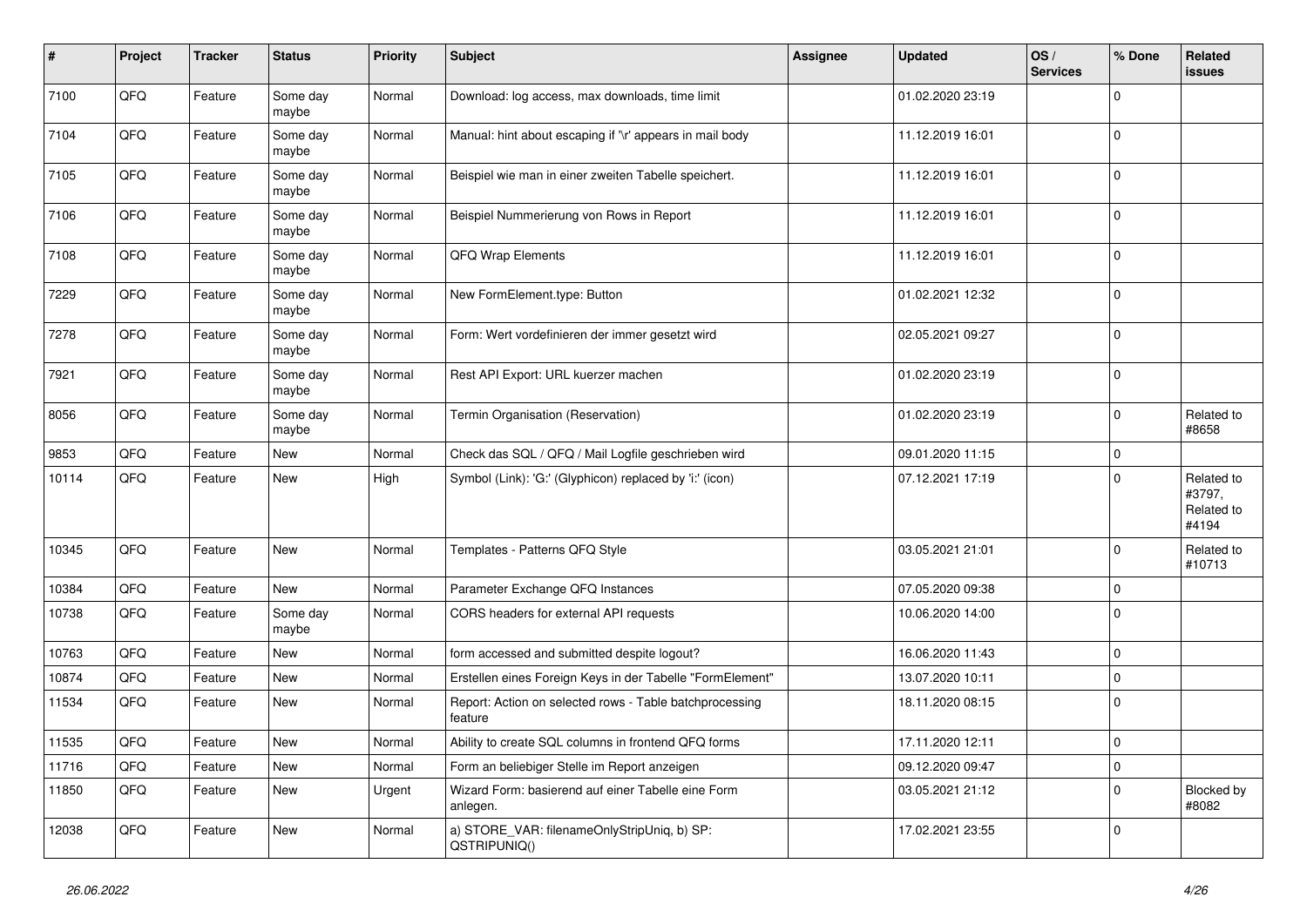| $\vert$ # | Project | <b>Tracker</b> | <b>Status</b>     | <b>Priority</b> | <b>Subject</b>                                                     | Assignee | <b>Updated</b>   | OS/<br><b>Services</b> | % Done      | Related<br><b>issues</b>                    |
|-----------|---------|----------------|-------------------|-----------------|--------------------------------------------------------------------|----------|------------------|------------------------|-------------|---------------------------------------------|
| 7100      | QFQ     | Feature        | Some day<br>maybe | Normal          | Download: log access, max downloads, time limit                    |          | 01.02.2020 23:19 |                        | $\Omega$    |                                             |
| 7104      | QFQ     | Feature        | Some day<br>maybe | Normal          | Manual: hint about escaping if '\r' appears in mail body           |          | 11.12.2019 16:01 |                        | $\mathbf 0$ |                                             |
| 7105      | QFQ     | Feature        | Some day<br>maybe | Normal          | Beispiel wie man in einer zweiten Tabelle speichert.               |          | 11.12.2019 16:01 |                        | $\Omega$    |                                             |
| 7106      | QFQ     | Feature        | Some day<br>maybe | Normal          | Beispiel Nummerierung von Rows in Report                           |          | 11.12.2019 16:01 |                        | $\Omega$    |                                             |
| 7108      | QFQ     | Feature        | Some day<br>maybe | Normal          | QFQ Wrap Elements                                                  |          | 11.12.2019 16:01 |                        | 0           |                                             |
| 7229      | QFQ     | Feature        | Some day<br>maybe | Normal          | New FormElement.type: Button                                       |          | 01.02.2021 12:32 |                        | $\Omega$    |                                             |
| 7278      | QFQ     | Feature        | Some day<br>maybe | Normal          | Form: Wert vordefinieren der immer gesetzt wird                    |          | 02.05.2021 09:27 |                        | $\Omega$    |                                             |
| 7921      | QFQ     | Feature        | Some day<br>maybe | Normal          | Rest API Export: URL kuerzer machen                                |          | 01.02.2020 23:19 |                        | $\Omega$    |                                             |
| 8056      | QFQ     | Feature        | Some day<br>maybe | Normal          | Termin Organisation (Reservation)                                  |          | 01.02.2020 23:19 |                        | $\Omega$    | Related to<br>#8658                         |
| 9853      | QFQ     | Feature        | <b>New</b>        | Normal          | Check das SQL / QFQ / Mail Logfile geschrieben wird                |          | 09.01.2020 11:15 |                        | $\mathbf 0$ |                                             |
| 10114     | QFQ     | Feature        | New               | High            | Symbol (Link): 'G:' (Glyphicon) replaced by 'i:' (icon)            |          | 07.12.2021 17:19 |                        | $\Omega$    | Related to<br>#3797,<br>Related to<br>#4194 |
| 10345     | QFQ     | Feature        | <b>New</b>        | Normal          | Templates - Patterns QFQ Style                                     |          | 03.05.2021 21:01 |                        | $\Omega$    | Related to<br>#10713                        |
| 10384     | QFQ     | Feature        | New               | Normal          | Parameter Exchange QFQ Instances                                   |          | 07.05.2020 09:38 |                        | 0           |                                             |
| 10738     | QFQ     | Feature        | Some day<br>maybe | Normal          | CORS headers for external API requests                             |          | 10.06.2020 14:00 |                        | $\Omega$    |                                             |
| 10763     | QFQ     | Feature        | New               | Normal          | form accessed and submitted despite logout?                        |          | 16.06.2020 11:43 |                        | $\Omega$    |                                             |
| 10874     | QFQ     | Feature        | <b>New</b>        | Normal          | Erstellen eines Foreign Keys in der Tabelle "FormElement"          |          | 13.07.2020 10:11 |                        | 0           |                                             |
| 11534     | QFQ     | Feature        | New               | Normal          | Report: Action on selected rows - Table batchprocessing<br>feature |          | 18.11.2020 08:15 |                        | $\Omega$    |                                             |
| 11535     | QFQ     | Feature        | New               | Normal          | Ability to create SQL columns in frontend QFQ forms                |          | 17.11.2020 12:11 |                        | $\Omega$    |                                             |
| 11716     | QFQ     | Feature        | New               | Normal          | Form an beliebiger Stelle im Report anzeigen                       |          | 09.12.2020 09:47 |                        | $\Omega$    |                                             |
| 11850     | QFQ     | Feature        | New               | Urgent          | Wizard Form: basierend auf einer Tabelle eine Form<br>anlegen.     |          | 03.05.2021 21:12 |                        | $\Omega$    | <b>Blocked by</b><br>#8082                  |
| 12038     | QFQ     | Feature        | New               | Normal          | a) STORE_VAR: filenameOnlyStripUniq, b) SP:<br>QSTRIPUNIQ()        |          | 17.02.2021 23:55 |                        | $\Omega$    |                                             |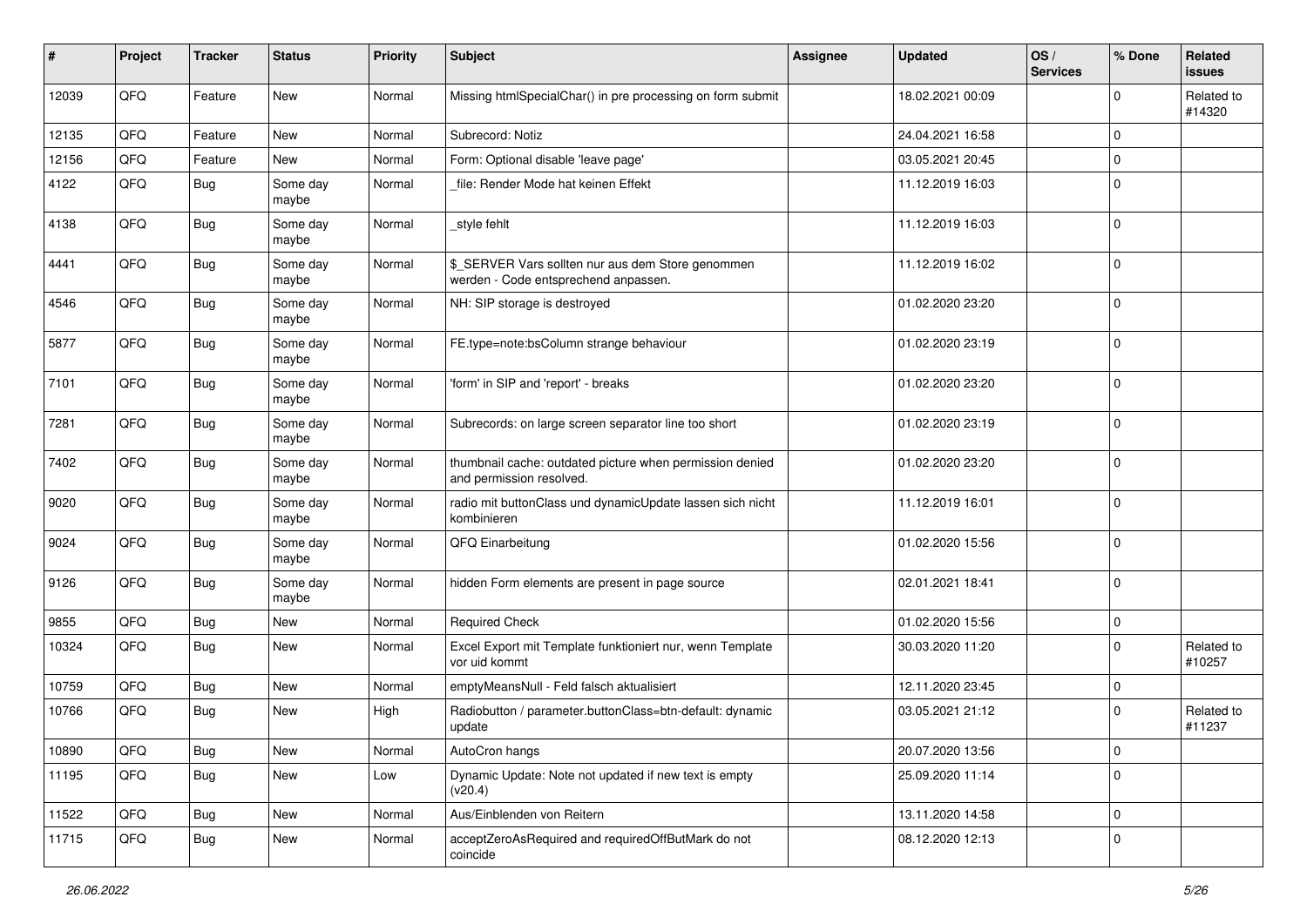| ∦     | Project | <b>Tracker</b> | <b>Status</b>     | <b>Priority</b> | <b>Subject</b>                                                                            | Assignee | <b>Updated</b>   | OS/<br><b>Services</b> | % Done      | Related<br>issues    |
|-------|---------|----------------|-------------------|-----------------|-------------------------------------------------------------------------------------------|----------|------------------|------------------------|-------------|----------------------|
| 12039 | QFQ     | Feature        | <b>New</b>        | Normal          | Missing htmlSpecialChar() in pre processing on form submit                                |          | 18.02.2021 00:09 |                        | $\Omega$    | Related to<br>#14320 |
| 12135 | QFQ     | Feature        | New               | Normal          | Subrecord: Notiz                                                                          |          | 24.04.2021 16:58 |                        | $\mathbf 0$ |                      |
| 12156 | QFQ     | Feature        | <b>New</b>        | Normal          | Form: Optional disable 'leave page'                                                       |          | 03.05.2021 20:45 |                        | $\mathbf 0$ |                      |
| 4122  | QFQ     | <b>Bug</b>     | Some day<br>maybe | Normal          | file: Render Mode hat keinen Effekt                                                       |          | 11.12.2019 16:03 |                        | $\Omega$    |                      |
| 4138  | QFQ     | Bug            | Some day<br>maybe | Normal          | style fehlt                                                                               |          | 11.12.2019 16:03 |                        | $\mathbf 0$ |                      |
| 4441  | QFQ     | <b>Bug</b>     | Some day<br>maybe | Normal          | \$_SERVER Vars sollten nur aus dem Store genommen<br>werden - Code entsprechend anpassen. |          | 11.12.2019 16:02 |                        | $\mathbf 0$ |                      |
| 4546  | QFQ     | <b>Bug</b>     | Some day<br>maybe | Normal          | NH: SIP storage is destroyed                                                              |          | 01.02.2020 23:20 |                        | $\mathbf 0$ |                      |
| 5877  | QFQ     | <b>Bug</b>     | Some day<br>maybe | Normal          | FE.type=note:bsColumn strange behaviour                                                   |          | 01.02.2020 23:19 |                        | $\Omega$    |                      |
| 7101  | QFQ     | <b>Bug</b>     | Some day<br>maybe | Normal          | 'form' in SIP and 'report' - breaks                                                       |          | 01.02.2020 23:20 |                        | $\mathbf 0$ |                      |
| 7281  | QFQ     | <b>Bug</b>     | Some day<br>maybe | Normal          | Subrecords: on large screen separator line too short                                      |          | 01.02.2020 23:19 |                        | $\Omega$    |                      |
| 7402  | QFQ     | <b>Bug</b>     | Some day<br>maybe | Normal          | thumbnail cache: outdated picture when permission denied<br>and permission resolved.      |          | 01.02.2020 23:20 |                        | $\Omega$    |                      |
| 9020  | QFQ     | Bug            | Some day<br>maybe | Normal          | radio mit buttonClass und dynamicUpdate lassen sich nicht<br>kombinieren                  |          | 11.12.2019 16:01 |                        | $\mathbf 0$ |                      |
| 9024  | QFQ     | Bug            | Some day<br>maybe | Normal          | QFQ Einarbeitung                                                                          |          | 01.02.2020 15:56 |                        | $\mathbf 0$ |                      |
| 9126  | QFQ     | <b>Bug</b>     | Some day<br>maybe | Normal          | hidden Form elements are present in page source                                           |          | 02.01.2021 18:41 |                        | 0           |                      |
| 9855  | QFQ     | <b>Bug</b>     | New               | Normal          | <b>Required Check</b>                                                                     |          | 01.02.2020 15:56 |                        | $\mathbf 0$ |                      |
| 10324 | QFQ     | <b>Bug</b>     | New               | Normal          | Excel Export mit Template funktioniert nur, wenn Template<br>vor uid kommt                |          | 30.03.2020 11:20 |                        | $\Omega$    | Related to<br>#10257 |
| 10759 | QFQ     | Bug            | New               | Normal          | emptyMeansNull - Feld falsch aktualisiert                                                 |          | 12.11.2020 23:45 |                        | 0           |                      |
| 10766 | QFQ     | <b>Bug</b>     | New               | High            | Radiobutton / parameter.buttonClass=btn-default: dynamic<br>update                        |          | 03.05.2021 21:12 |                        | 0           | Related to<br>#11237 |
| 10890 | QFG     | Bug            | New               | Normal          | AutoCron hangs                                                                            |          | 20.07.2020 13:56 |                        | 0           |                      |
| 11195 | QFG     | <b>Bug</b>     | New               | Low             | Dynamic Update: Note not updated if new text is empty<br>(v20.4)                          |          | 25.09.2020 11:14 |                        | $\Omega$    |                      |
| 11522 | QFG     | <b>Bug</b>     | New               | Normal          | Aus/Einblenden von Reitern                                                                |          | 13.11.2020 14:58 |                        | 0           |                      |
| 11715 | QFQ     | <b>Bug</b>     | New               | Normal          | acceptZeroAsRequired and requiredOffButMark do not<br>coincide                            |          | 08.12.2020 12:13 |                        | 0           |                      |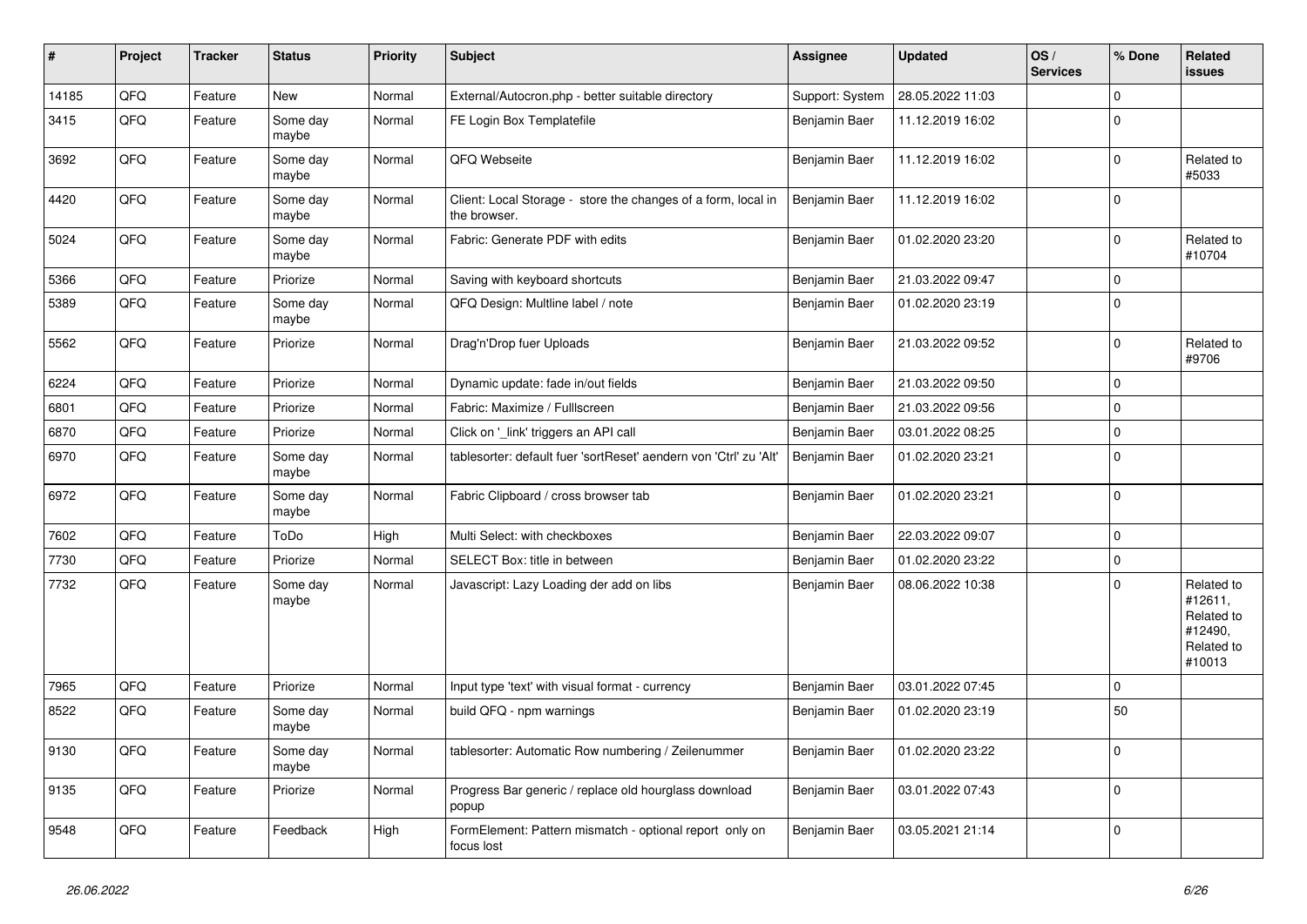| $\vert$ # | Project | <b>Tracker</b> | <b>Status</b>     | <b>Priority</b> | <b>Subject</b>                                                                | Assignee        | <b>Updated</b>   | OS/<br><b>Services</b> | % Done       | Related<br>issues                                                      |
|-----------|---------|----------------|-------------------|-----------------|-------------------------------------------------------------------------------|-----------------|------------------|------------------------|--------------|------------------------------------------------------------------------|
| 14185     | QFQ     | Feature        | New               | Normal          | External/Autocron.php - better suitable directory                             | Support: System | 28.05.2022 11:03 |                        | $\Omega$     |                                                                        |
| 3415      | QFQ     | Feature        | Some day<br>maybe | Normal          | FE Login Box Templatefile                                                     | Benjamin Baer   | 11.12.2019 16:02 |                        | $\Omega$     |                                                                        |
| 3692      | QFQ     | Feature        | Some day<br>maybe | Normal          | QFQ Webseite                                                                  | Benjamin Baer   | 11.12.2019 16:02 |                        | $\mathbf 0$  | Related to<br>#5033                                                    |
| 4420      | QFQ     | Feature        | Some day<br>maybe | Normal          | Client: Local Storage - store the changes of a form, local in<br>the browser. | Benjamin Baer   | 11.12.2019 16:02 |                        | $\Omega$     |                                                                        |
| 5024      | QFQ     | Feature        | Some day<br>maybe | Normal          | Fabric: Generate PDF with edits                                               | Benjamin Baer   | 01.02.2020 23:20 |                        | $\Omega$     | Related to<br>#10704                                                   |
| 5366      | QFQ     | Feature        | Priorize          | Normal          | Saving with keyboard shortcuts                                                | Benjamin Baer   | 21.03.2022 09:47 |                        | $\mathbf 0$  |                                                                        |
| 5389      | QFQ     | Feature        | Some day<br>maybe | Normal          | QFQ Design: Multline label / note                                             | Benjamin Baer   | 01.02.2020 23:19 |                        | $\mathbf 0$  |                                                                        |
| 5562      | QFQ     | Feature        | Priorize          | Normal          | Drag'n'Drop fuer Uploads                                                      | Benjamin Baer   | 21.03.2022 09:52 |                        | $\mathbf 0$  | Related to<br>#9706                                                    |
| 6224      | QFQ     | Feature        | Priorize          | Normal          | Dynamic update: fade in/out fields                                            | Benjamin Baer   | 21.03.2022 09:50 |                        | $\mathbf{0}$ |                                                                        |
| 6801      | QFQ     | Feature        | Priorize          | Normal          | Fabric: Maximize / Fulllscreen                                                | Benjamin Baer   | 21.03.2022 09:56 |                        | $\Omega$     |                                                                        |
| 6870      | QFQ     | Feature        | Priorize          | Normal          | Click on '_link' triggers an API call                                         | Benjamin Baer   | 03.01.2022 08:25 |                        | $\Omega$     |                                                                        |
| 6970      | QFQ     | Feature        | Some day<br>maybe | Normal          | tablesorter: default fuer 'sortReset' aendern von 'Ctrl' zu 'Alt'             | Benjamin Baer   | 01.02.2020 23:21 |                        | $\Omega$     |                                                                        |
| 6972      | QFQ     | Feature        | Some day<br>maybe | Normal          | Fabric Clipboard / cross browser tab                                          | Benjamin Baer   | 01.02.2020 23:21 |                        | $\Omega$     |                                                                        |
| 7602      | QFQ     | Feature        | ToDo              | High            | Multi Select: with checkboxes                                                 | Benjamin Baer   | 22.03.2022 09:07 |                        | l 0          |                                                                        |
| 7730      | QFQ     | Feature        | Priorize          | Normal          | SELECT Box: title in between                                                  | Benjamin Baer   | 01.02.2020 23:22 |                        | $\mathbf 0$  |                                                                        |
| 7732      | QFQ     | Feature        | Some day<br>maybe | Normal          | Javascript: Lazy Loading der add on libs                                      | Benjamin Baer   | 08.06.2022 10:38 |                        | $\mathbf 0$  | Related to<br>#12611,<br>Related to<br>#12490,<br>Related to<br>#10013 |
| 7965      | QFQ     | Feature        | Priorize          | Normal          | Input type 'text' with visual format - currency                               | Benjamin Baer   | 03.01.2022 07:45 |                        | $\mathbf 0$  |                                                                        |
| 8522      | QFQ     | Feature        | Some day<br>maybe | Normal          | build QFQ - npm warnings                                                      | Benjamin Baer   | 01.02.2020 23:19 |                        | 50           |                                                                        |
| 9130      | QFQ     | Feature        | Some day<br>maybe | Normal          | tablesorter: Automatic Row numbering / Zeilenummer                            | Benjamin Baer   | 01.02.2020 23:22 |                        | $\Omega$     |                                                                        |
| 9135      | QFQ     | Feature        | Priorize          | Normal          | Progress Bar generic / replace old hourglass download<br>popup                | Benjamin Baer   | 03.01.2022 07:43 |                        | $\Omega$     |                                                                        |
| 9548      | QFQ     | Feature        | Feedback          | High            | FormElement: Pattern mismatch - optional report only on<br>focus lost         | Benjamin Baer   | 03.05.2021 21:14 |                        | $\Omega$     |                                                                        |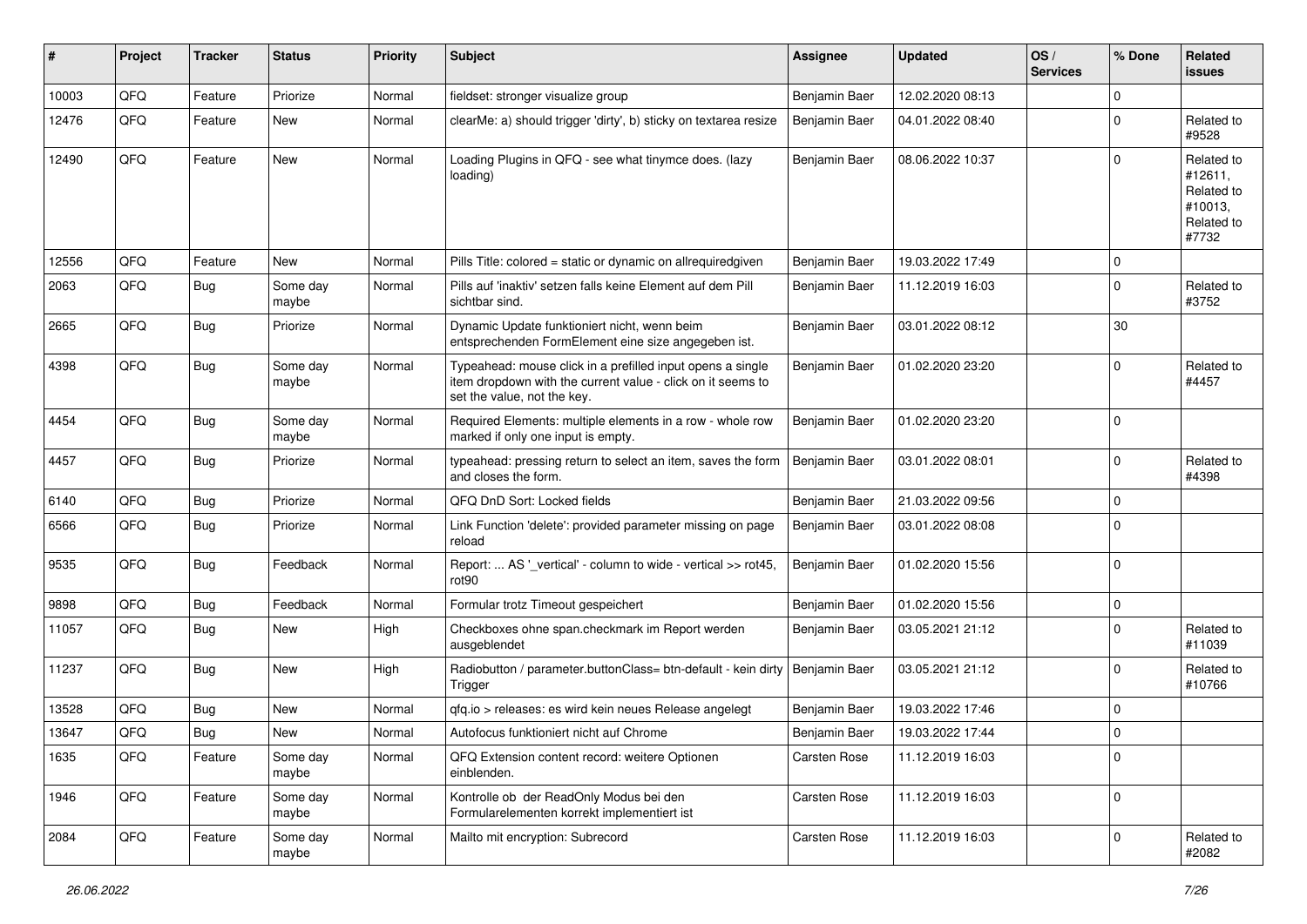| #     | Project | <b>Tracker</b> | <b>Status</b>     | <b>Priority</b> | Subject                                                                                                                                                  | Assignee      | <b>Updated</b>   | OS/<br><b>Services</b> | % Done      | Related<br>issues                                                     |
|-------|---------|----------------|-------------------|-----------------|----------------------------------------------------------------------------------------------------------------------------------------------------------|---------------|------------------|------------------------|-------------|-----------------------------------------------------------------------|
| 10003 | QFQ     | Feature        | Priorize          | Normal          | fieldset: stronger visualize group                                                                                                                       | Benjamin Baer | 12.02.2020 08:13 |                        | $\Omega$    |                                                                       |
| 12476 | QFQ     | Feature        | New               | Normal          | clearMe: a) should trigger 'dirty', b) sticky on textarea resize                                                                                         | Benjamin Baer | 04.01.2022 08:40 |                        | $\Omega$    | Related to<br>#9528                                                   |
| 12490 | QFQ     | Feature        | <b>New</b>        | Normal          | Loading Plugins in QFQ - see what tinymce does. (lazy<br>loading)                                                                                        | Benjamin Baer | 08.06.2022 10:37 |                        | $\Omega$    | Related to<br>#12611,<br>Related to<br>#10013,<br>Related to<br>#7732 |
| 12556 | QFQ     | Feature        | <b>New</b>        | Normal          | Pills Title: colored = static or dynamic on allrequiredgiven                                                                                             | Benjamin Baer | 19.03.2022 17:49 |                        | $\mathbf 0$ |                                                                       |
| 2063  | QFQ     | <b>Bug</b>     | Some day<br>maybe | Normal          | Pills auf 'inaktiv' setzen falls keine Element auf dem Pill<br>sichtbar sind.                                                                            | Benjamin Baer | 11.12.2019 16:03 |                        | $\Omega$    | Related to<br>#3752                                                   |
| 2665  | QFQ     | <b>Bug</b>     | Priorize          | Normal          | Dynamic Update funktioniert nicht, wenn beim<br>entsprechenden FormElement eine size angegeben ist.                                                      | Benjamin Baer | 03.01.2022 08:12 |                        | 30          |                                                                       |
| 4398  | QFQ     | Bug            | Some day<br>maybe | Normal          | Typeahead: mouse click in a prefilled input opens a single<br>item dropdown with the current value - click on it seems to<br>set the value, not the key. | Benjamin Baer | 01.02.2020 23:20 |                        | $\Omega$    | Related to<br>#4457                                                   |
| 4454  | QFQ     | Bug            | Some day<br>maybe | Normal          | Required Elements: multiple elements in a row - whole row<br>marked if only one input is empty.                                                          | Benjamin Baer | 01.02.2020 23:20 |                        | $\Omega$    |                                                                       |
| 4457  | QFQ     | <b>Bug</b>     | Priorize          | Normal          | typeahead: pressing return to select an item, saves the form<br>and closes the form.                                                                     | Benjamin Baer | 03.01.2022 08:01 |                        | $\Omega$    | Related to<br>#4398                                                   |
| 6140  | QFQ     | Bug            | Priorize          | Normal          | QFQ DnD Sort: Locked fields                                                                                                                              | Benjamin Baer | 21.03.2022 09:56 |                        | $\Omega$    |                                                                       |
| 6566  | QFQ     | <b>Bug</b>     | Priorize          | Normal          | Link Function 'delete': provided parameter missing on page<br>reload                                                                                     | Benjamin Baer | 03.01.2022 08:08 |                        | $\Omega$    |                                                                       |
| 9535  | QFQ     | <b>Bug</b>     | Feedback          | Normal          | Report:  AS '_vertical' - column to wide - vertical >> rot45,<br>rot <sub>90</sub>                                                                       | Benjamin Baer | 01.02.2020 15:56 |                        | $\Omega$    |                                                                       |
| 9898  | QFQ     | Bug            | Feedback          | Normal          | Formular trotz Timeout gespeichert                                                                                                                       | Benjamin Baer | 01.02.2020 15:56 |                        | $\mathbf 0$ |                                                                       |
| 11057 | QFQ     | <b>Bug</b>     | New               | High            | Checkboxes ohne span.checkmark im Report werden<br>ausgeblendet                                                                                          | Benjamin Baer | 03.05.2021 21:12 |                        | $\mathbf 0$ | Related to<br>#11039                                                  |
| 11237 | QFQ     | Bug            | <b>New</b>        | High            | Radiobutton / parameter.buttonClass= btn-default - kein dirty<br>Trigger                                                                                 | Benjamin Baer | 03.05.2021 21:12 |                        | $\Omega$    | Related to<br>#10766                                                  |
| 13528 | QFQ     | <b>Bug</b>     | <b>New</b>        | Normal          | qfq.io > releases: es wird kein neues Release angelegt                                                                                                   | Benjamin Baer | 19.03.2022 17:46 |                        | $\mathbf 0$ |                                                                       |
| 13647 | QFQ     | Bug            | New               | Normal          | Autofocus funktioniert nicht auf Chrome                                                                                                                  | Benjamin Baer | 19.03.2022 17:44 |                        | $\Omega$    |                                                                       |
| 1635  | QFQ     | Feature        | Some day<br>maybe | Normal          | QFQ Extension content record: weitere Optionen<br>einblenden.                                                                                            | Carsten Rose  | 11.12.2019 16:03 |                        | 0           |                                                                       |
| 1946  | QFQ     | Feature        | Some day<br>maybe | Normal          | Kontrolle ob der ReadOnly Modus bei den<br>Formularelementen korrekt implementiert ist                                                                   | Carsten Rose  | 11.12.2019 16:03 |                        | $\mathbf 0$ |                                                                       |
| 2084  | QFQ     | Feature        | Some day<br>maybe | Normal          | Mailto mit encryption: Subrecord                                                                                                                         | Carsten Rose  | 11.12.2019 16:03 |                        | 0           | Related to<br>#2082                                                   |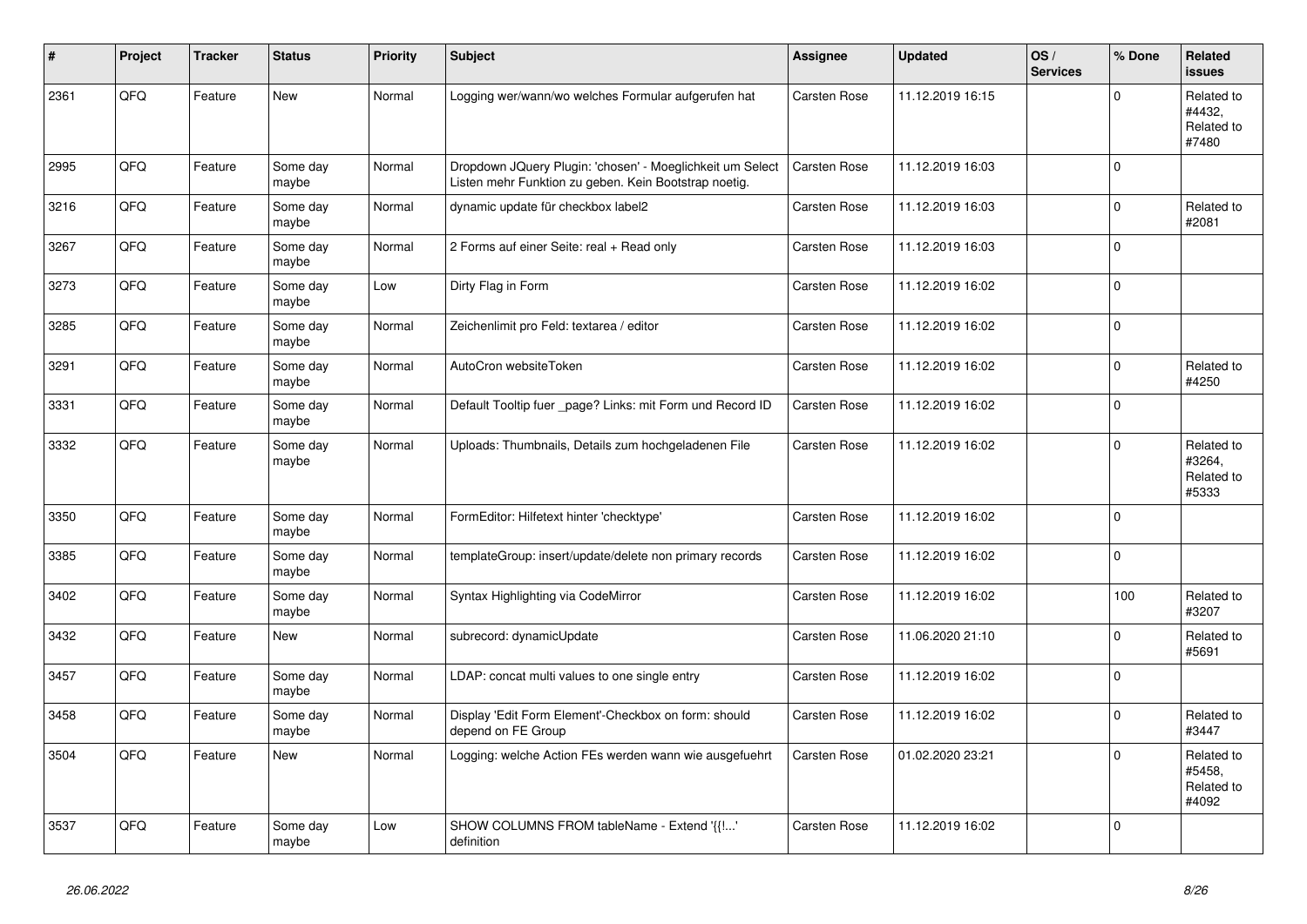| #    | Project | <b>Tracker</b> | <b>Status</b>     | <b>Priority</b> | <b>Subject</b>                                                                                                     | Assignee            | <b>Updated</b>   | OS/<br><b>Services</b> | % Done      | Related<br><b>issues</b>                    |
|------|---------|----------------|-------------------|-----------------|--------------------------------------------------------------------------------------------------------------------|---------------------|------------------|------------------------|-------------|---------------------------------------------|
| 2361 | QFQ     | Feature        | <b>New</b>        | Normal          | Logging wer/wann/wo welches Formular aufgerufen hat                                                                | <b>Carsten Rose</b> | 11.12.2019 16:15 |                        | $\Omega$    | Related to<br>#4432,<br>Related to<br>#7480 |
| 2995 | QFQ     | Feature        | Some day<br>maybe | Normal          | Dropdown JQuery Plugin: 'chosen' - Moeglichkeit um Select<br>Listen mehr Funktion zu geben. Kein Bootstrap noetig. | <b>Carsten Rose</b> | 11.12.2019 16:03 |                        | $\mathbf 0$ |                                             |
| 3216 | QFQ     | Feature        | Some day<br>maybe | Normal          | dynamic update für checkbox label2                                                                                 | Carsten Rose        | 11.12.2019 16:03 |                        | $\Omega$    | Related to<br>#2081                         |
| 3267 | QFQ     | Feature        | Some day<br>maybe | Normal          | 2 Forms auf einer Seite: real + Read only                                                                          | <b>Carsten Rose</b> | 11.12.2019 16:03 |                        | $\mathbf 0$ |                                             |
| 3273 | QFQ     | Feature        | Some day<br>maybe | Low             | Dirty Flag in Form                                                                                                 | Carsten Rose        | 11.12.2019 16:02 |                        | $\Omega$    |                                             |
| 3285 | QFQ     | Feature        | Some day<br>maybe | Normal          | Zeichenlimit pro Feld: textarea / editor                                                                           | <b>Carsten Rose</b> | 11.12.2019 16:02 |                        | $\Omega$    |                                             |
| 3291 | QFQ     | Feature        | Some day<br>maybe | Normal          | AutoCron websiteToken                                                                                              | Carsten Rose        | 11.12.2019 16:02 |                        | $\mathbf 0$ | Related to<br>#4250                         |
| 3331 | QFQ     | Feature        | Some day<br>maybe | Normal          | Default Tooltip fuer _page? Links: mit Form und Record ID                                                          | Carsten Rose        | 11.12.2019 16:02 |                        | $\Omega$    |                                             |
| 3332 | QFQ     | Feature        | Some day<br>maybe | Normal          | Uploads: Thumbnails, Details zum hochgeladenen File                                                                | Carsten Rose        | 11.12.2019 16:02 |                        | $\Omega$    | Related to<br>#3264,<br>Related to<br>#5333 |
| 3350 | QFQ     | Feature        | Some day<br>maybe | Normal          | FormEditor: Hilfetext hinter 'checktype'                                                                           | <b>Carsten Rose</b> | 11.12.2019 16:02 |                        | 0 l         |                                             |
| 3385 | QFQ     | Feature        | Some day<br>maybe | Normal          | templateGroup: insert/update/delete non primary records                                                            | Carsten Rose        | 11.12.2019 16:02 |                        | $\mathbf 0$ |                                             |
| 3402 | QFQ     | Feature        | Some day<br>maybe | Normal          | Syntax Highlighting via CodeMirror                                                                                 | <b>Carsten Rose</b> | 11.12.2019 16:02 |                        | 100         | Related to<br>#3207                         |
| 3432 | QFQ     | Feature        | <b>New</b>        | Normal          | subrecord: dynamicUpdate                                                                                           | Carsten Rose        | 11.06.2020 21:10 |                        | $\Omega$    | Related to<br>#5691                         |
| 3457 | QFQ     | Feature        | Some day<br>maybe | Normal          | LDAP: concat multi values to one single entry                                                                      | Carsten Rose        | 11.12.2019 16:02 |                        | $\Omega$    |                                             |
| 3458 | QFQ     | Feature        | Some day<br>maybe | Normal          | Display 'Edit Form Element'-Checkbox on form: should<br>depend on FE Group                                         | <b>Carsten Rose</b> | 11.12.2019 16:02 |                        | $\Omega$    | Related to<br>#3447                         |
| 3504 | QFQ     | Feature        | <b>New</b>        | Normal          | Logging: welche Action FEs werden wann wie ausgefuehrt                                                             | <b>Carsten Rose</b> | 01.02.2020 23:21 |                        | $\mathbf 0$ | Related to<br>#5458,<br>Related to<br>#4092 |
| 3537 | QFQ     | Feature        | Some day<br>maybe | Low             | SHOW COLUMNS FROM tableName - Extend '{{!'<br>definition                                                           | <b>Carsten Rose</b> | 11.12.2019 16:02 |                        | $\mathbf 0$ |                                             |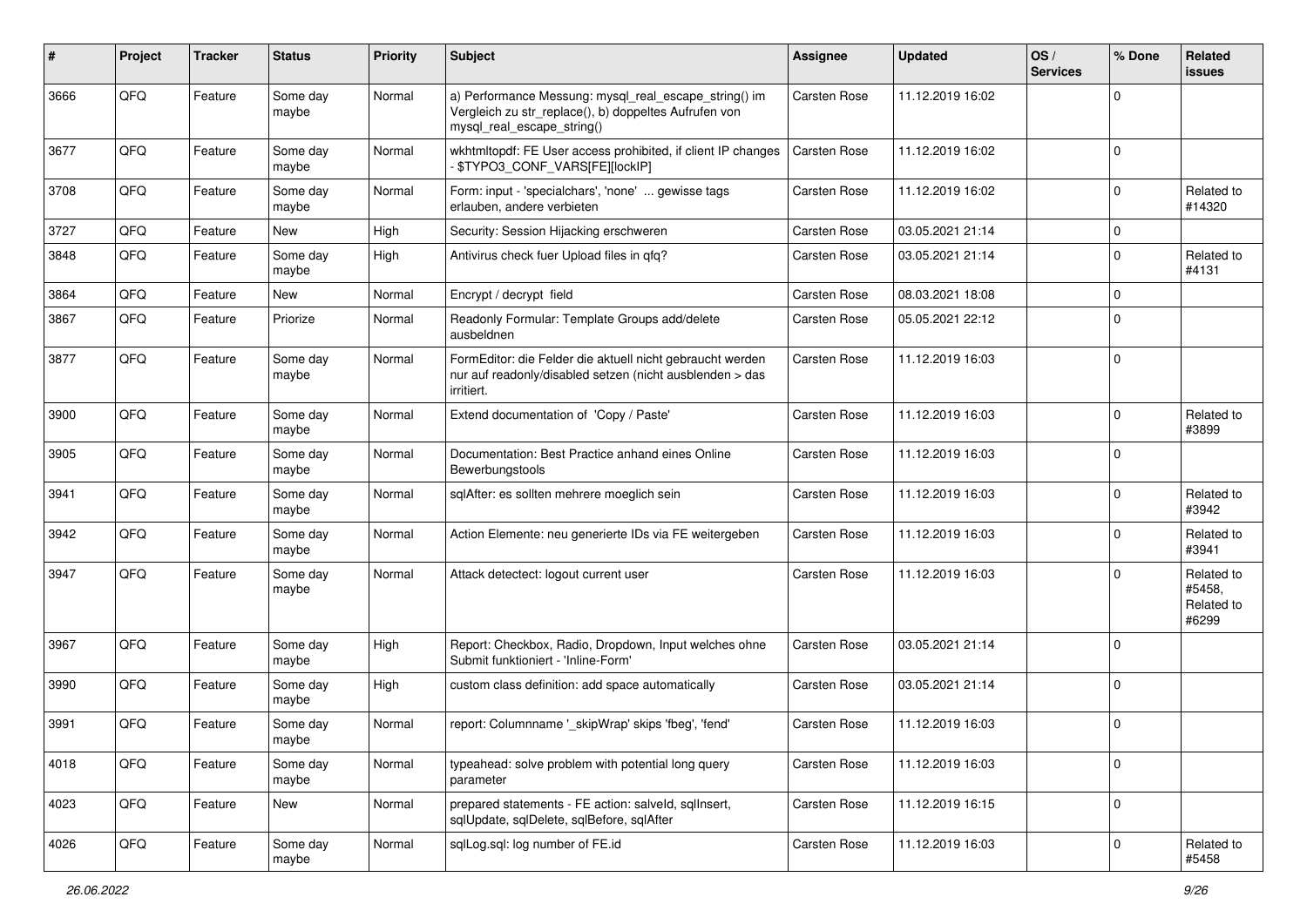| #    | Project | <b>Tracker</b> | <b>Status</b>     | <b>Priority</b> | Subject                                                                                                                                      | <b>Assignee</b>     | <b>Updated</b>   | OS/<br><b>Services</b> | % Done      | Related<br>issues                           |
|------|---------|----------------|-------------------|-----------------|----------------------------------------------------------------------------------------------------------------------------------------------|---------------------|------------------|------------------------|-------------|---------------------------------------------|
| 3666 | QFQ     | Feature        | Some day<br>maybe | Normal          | a) Performance Messung: mysql_real_escape_string() im<br>Vergleich zu str_replace(), b) doppeltes Aufrufen von<br>mysql_real_escape_string() | Carsten Rose        | 11.12.2019 16:02 |                        | $\Omega$    |                                             |
| 3677 | QFQ     | Feature        | Some day<br>maybe | Normal          | wkhtmltopdf: FE User access prohibited, if client IP changes<br>- \$TYPO3_CONF_VARS[FE][lockIP]                                              | <b>Carsten Rose</b> | 11.12.2019 16:02 |                        | $\mathbf 0$ |                                             |
| 3708 | QFQ     | Feature        | Some day<br>maybe | Normal          | Form: input - 'specialchars', 'none'  gewisse tags<br>erlauben, andere verbieten                                                             | Carsten Rose        | 11.12.2019 16:02 |                        | $\mathbf 0$ | Related to<br>#14320                        |
| 3727 | QFQ     | Feature        | New               | High            | Security: Session Hijacking erschweren                                                                                                       | Carsten Rose        | 03.05.2021 21:14 |                        | 0           |                                             |
| 3848 | QFQ     | Feature        | Some day<br>maybe | High            | Antivirus check fuer Upload files in qfq?                                                                                                    | Carsten Rose        | 03.05.2021 21:14 |                        | $\Omega$    | Related to<br>#4131                         |
| 3864 | QFQ     | Feature        | New               | Normal          | Encrypt / decrypt field                                                                                                                      | Carsten Rose        | 08.03.2021 18:08 |                        | $\Omega$    |                                             |
| 3867 | QFQ     | Feature        | Priorize          | Normal          | Readonly Formular: Template Groups add/delete<br>ausbeldnen                                                                                  | Carsten Rose        | 05.05.2021 22:12 |                        | $\mathbf 0$ |                                             |
| 3877 | QFQ     | Feature        | Some day<br>maybe | Normal          | FormEditor: die Felder die aktuell nicht gebraucht werden<br>nur auf readonly/disabled setzen (nicht ausblenden > das<br>irritiert.          | <b>Carsten Rose</b> | 11.12.2019 16:03 |                        | $\mathbf 0$ |                                             |
| 3900 | QFQ     | Feature        | Some day<br>maybe | Normal          | Extend documentation of 'Copy / Paste'                                                                                                       | <b>Carsten Rose</b> | 11.12.2019 16:03 |                        | $\mathbf 0$ | Related to<br>#3899                         |
| 3905 | QFQ     | Feature        | Some day<br>maybe | Normal          | Documentation: Best Practice anhand eines Online<br>Bewerbungstools                                                                          | Carsten Rose        | 11.12.2019 16:03 |                        | $\Omega$    |                                             |
| 3941 | QFQ     | Feature        | Some day<br>maybe | Normal          | sglAfter: es sollten mehrere moeglich sein                                                                                                   | <b>Carsten Rose</b> | 11.12.2019 16:03 |                        | $\Omega$    | Related to<br>#3942                         |
| 3942 | QFQ     | Feature        | Some day<br>maybe | Normal          | Action Elemente: neu generierte IDs via FE weitergeben                                                                                       | Carsten Rose        | 11.12.2019 16:03 |                        | $\Omega$    | Related to<br>#3941                         |
| 3947 | QFQ     | Feature        | Some day<br>maybe | Normal          | Attack detectect: logout current user                                                                                                        | Carsten Rose        | 11.12.2019 16:03 |                        | $\Omega$    | Related to<br>#5458,<br>Related to<br>#6299 |
| 3967 | QFQ     | Feature        | Some day<br>maybe | High            | Report: Checkbox, Radio, Dropdown, Input welches ohne<br>Submit funktioniert - 'Inline-Form'                                                 | Carsten Rose        | 03.05.2021 21:14 |                        | $\Omega$    |                                             |
| 3990 | QFQ     | Feature        | Some day<br>maybe | High            | custom class definition: add space automatically                                                                                             | Carsten Rose        | 03.05.2021 21:14 |                        | $\Omega$    |                                             |
| 3991 | QFQ     | Feature        | Some day<br>maybe | Normal          | report: Columnname '_skipWrap' skips 'fbeg', 'fend'                                                                                          | <b>Carsten Rose</b> | 11.12.2019 16:03 |                        | $\Omega$    |                                             |
| 4018 | QFQ     | Feature        | Some day<br>maybe | Normal          | typeahead: solve problem with potential long query<br>parameter                                                                              | <b>Carsten Rose</b> | 11.12.2019 16:03 |                        | $\mathbf 0$ |                                             |
| 4023 | QFQ     | Feature        | New               | Normal          | prepared statements - FE action: salveld, sqllnsert,<br>sqlUpdate, sqlDelete, sqlBefore, sqlAfter                                            | Carsten Rose        | 11.12.2019 16:15 |                        | l 0         |                                             |
| 4026 | QFQ     | Feature        | Some day<br>maybe | Normal          | sqlLog.sql: log number of FE.id                                                                                                              | Carsten Rose        | 11.12.2019 16:03 |                        | $\mathbf 0$ | Related to<br>#5458                         |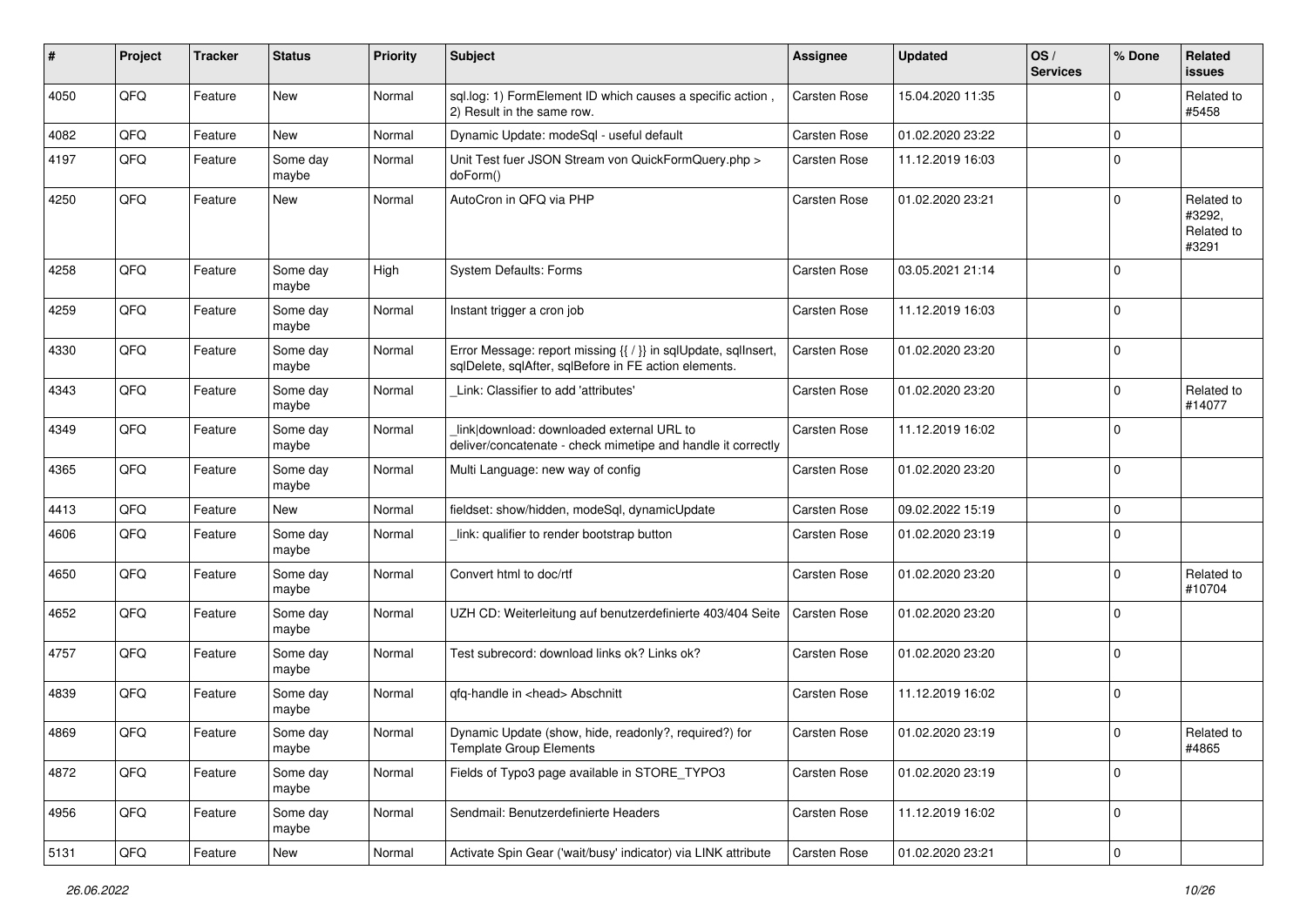| #    | Project | <b>Tracker</b> | <b>Status</b>     | <b>Priority</b> | Subject                                                                                                                 | <b>Assignee</b>     | <b>Updated</b>   | OS/<br><b>Services</b> | % Done         | Related<br>issues                           |
|------|---------|----------------|-------------------|-----------------|-------------------------------------------------------------------------------------------------------------------------|---------------------|------------------|------------------------|----------------|---------------------------------------------|
| 4050 | QFQ     | Feature        | <b>New</b>        | Normal          | sql.log: 1) FormElement ID which causes a specific action,<br>2) Result in the same row.                                | Carsten Rose        | 15.04.2020 11:35 |                        | $\Omega$       | Related to<br>#5458                         |
| 4082 | QFQ     | Feature        | New               | Normal          | Dynamic Update: modeSql - useful default                                                                                | Carsten Rose        | 01.02.2020 23:22 |                        | $\mathbf 0$    |                                             |
| 4197 | QFQ     | Feature        | Some day<br>maybe | Normal          | Unit Test fuer JSON Stream von QuickFormQuery.php ><br>doForm()                                                         | <b>Carsten Rose</b> | 11.12.2019 16:03 |                        | $\mathbf 0$    |                                             |
| 4250 | QFQ     | Feature        | New               | Normal          | AutoCron in QFQ via PHP                                                                                                 | <b>Carsten Rose</b> | 01.02.2020 23:21 |                        | $\Omega$       | Related to<br>#3292,<br>Related to<br>#3291 |
| 4258 | QFQ     | Feature        | Some day<br>maybe | High            | <b>System Defaults: Forms</b>                                                                                           | Carsten Rose        | 03.05.2021 21:14 |                        | $\Omega$       |                                             |
| 4259 | QFQ     | Feature        | Some day<br>maybe | Normal          | Instant trigger a cron job                                                                                              | <b>Carsten Rose</b> | 11.12.2019 16:03 |                        | 0              |                                             |
| 4330 | QFQ     | Feature        | Some day<br>maybe | Normal          | Error Message: report missing {{ / }} in sqlUpdate, sqlInsert,<br>sqlDelete, sqlAfter, sqlBefore in FE action elements. | Carsten Rose        | 01.02.2020 23:20 |                        | $\Omega$       |                                             |
| 4343 | QFQ     | Feature        | Some day<br>maybe | Normal          | Link: Classifier to add 'attributes'                                                                                    | <b>Carsten Rose</b> | 01.02.2020 23:20 |                        | $\Omega$       | Related to<br>#14077                        |
| 4349 | QFQ     | Feature        | Some day<br>maybe | Normal          | link download: downloaded external URL to<br>deliver/concatenate - check mimetipe and handle it correctly               | <b>Carsten Rose</b> | 11.12.2019 16:02 |                        | $\mathbf 0$    |                                             |
| 4365 | QFQ     | Feature        | Some day<br>maybe | Normal          | Multi Language: new way of config                                                                                       | <b>Carsten Rose</b> | 01.02.2020 23:20 |                        | $\mathbf 0$    |                                             |
| 4413 | QFQ     | Feature        | New               | Normal          | fieldset: show/hidden, modeSql, dynamicUpdate                                                                           | Carsten Rose        | 09.02.2022 15:19 |                        | 0              |                                             |
| 4606 | QFQ     | Feature        | Some day<br>maybe | Normal          | link: qualifier to render bootstrap button                                                                              | Carsten Rose        | 01.02.2020 23:19 |                        | $\Omega$       |                                             |
| 4650 | QFQ     | Feature        | Some day<br>maybe | Normal          | Convert html to doc/rtf                                                                                                 | Carsten Rose        | 01.02.2020 23:20 |                        | $\Omega$       | Related to<br>#10704                        |
| 4652 | QFQ     | Feature        | Some day<br>maybe | Normal          | UZH CD: Weiterleitung auf benutzerdefinierte 403/404 Seite                                                              | <b>Carsten Rose</b> | 01.02.2020 23:20 |                        | $\Omega$       |                                             |
| 4757 | QFQ     | Feature        | Some day<br>maybe | Normal          | Test subrecord: download links ok? Links ok?                                                                            | <b>Carsten Rose</b> | 01.02.2020 23:20 |                        | $\mathbf 0$    |                                             |
| 4839 | QFQ     | Feature        | Some day<br>maybe | Normal          | gfg-handle in <head> Abschnitt</head>                                                                                   | Carsten Rose        | 11.12.2019 16:02 |                        | 0              |                                             |
| 4869 | QFQ     | Feature        | Some day<br>maybe | Normal          | Dynamic Update (show, hide, readonly?, required?) for<br><b>Template Group Elements</b>                                 | <b>Carsten Rose</b> | 01.02.2020 23:19 |                        | $\overline{0}$ | Related to<br>#4865                         |
| 4872 | QFQ     | Feature        | Some day<br>maybe | Normal          | Fields of Typo3 page available in STORE_TYPO3                                                                           | Carsten Rose        | 01.02.2020 23:19 |                        | $\mathbf 0$    |                                             |
| 4956 | QFQ     | Feature        | Some day<br>maybe | Normal          | Sendmail: Benutzerdefinierte Headers                                                                                    | Carsten Rose        | 11.12.2019 16:02 |                        | $\mathbf 0$    |                                             |
| 5131 | QFG     | Feature        | New               | Normal          | Activate Spin Gear ('wait/busy' indicator) via LINK attribute                                                           | Carsten Rose        | 01.02.2020 23:21 |                        | 0              |                                             |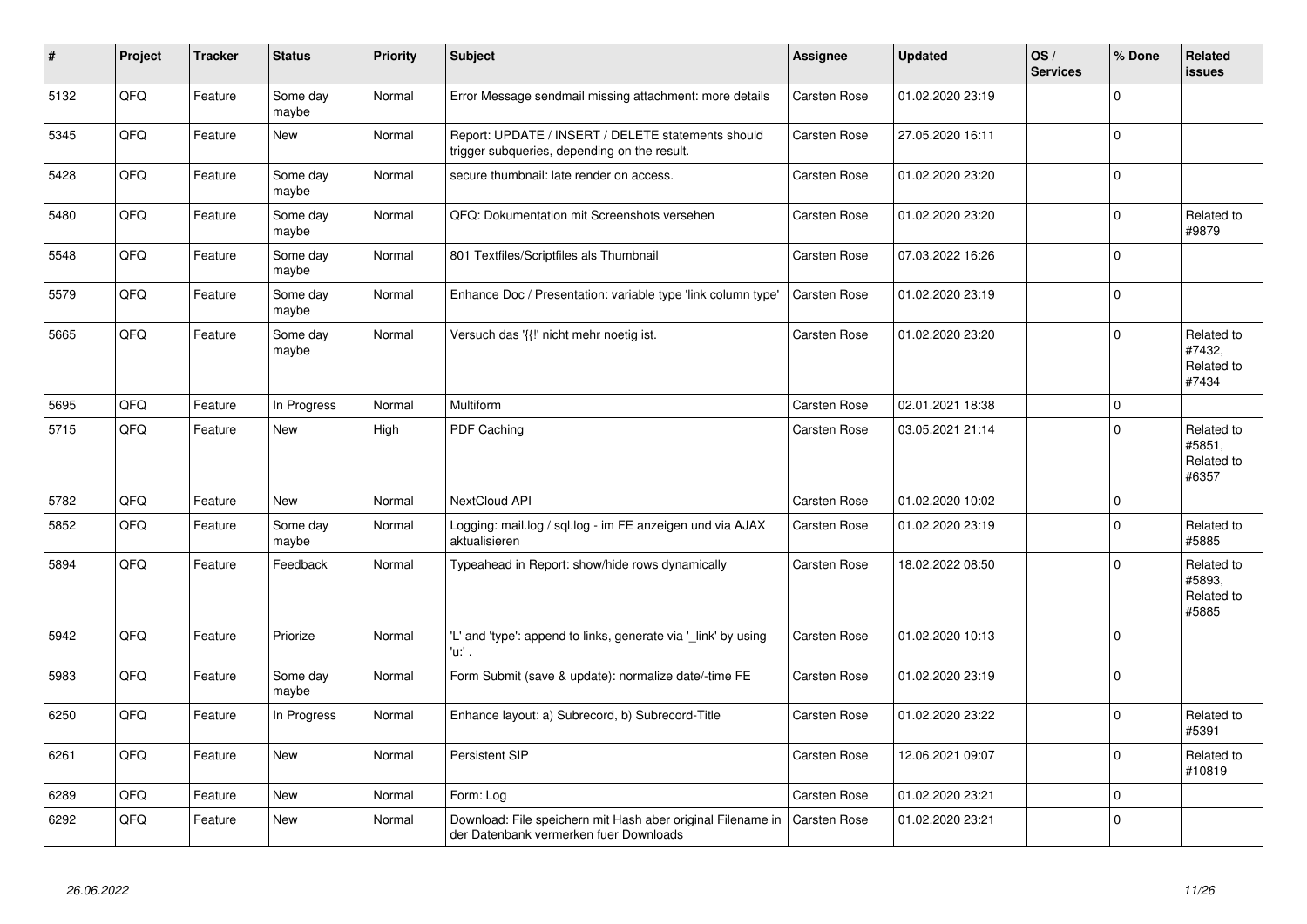| #    | Project | <b>Tracker</b> | <b>Status</b>     | <b>Priority</b> | <b>Subject</b>                                                                                        | Assignee            | <b>Updated</b>   | OS/<br><b>Services</b> | % Done      | Related<br><b>issues</b>                    |
|------|---------|----------------|-------------------|-----------------|-------------------------------------------------------------------------------------------------------|---------------------|------------------|------------------------|-------------|---------------------------------------------|
| 5132 | QFQ     | Feature        | Some day<br>maybe | Normal          | Error Message sendmail missing attachment: more details                                               | <b>Carsten Rose</b> | 01.02.2020 23:19 |                        | $\Omega$    |                                             |
| 5345 | QFQ     | Feature        | <b>New</b>        | Normal          | Report: UPDATE / INSERT / DELETE statements should<br>trigger subqueries, depending on the result.    | <b>Carsten Rose</b> | 27.05.2020 16:11 |                        | $\Omega$    |                                             |
| 5428 | QFQ     | Feature        | Some day<br>maybe | Normal          | secure thumbnail: late render on access.                                                              | Carsten Rose        | 01.02.2020 23:20 |                        | $\Omega$    |                                             |
| 5480 | QFQ     | Feature        | Some day<br>maybe | Normal          | QFQ: Dokumentation mit Screenshots versehen                                                           | Carsten Rose        | 01.02.2020 23:20 |                        | $\mathbf 0$ | Related to<br>#9879                         |
| 5548 | QFQ     | Feature        | Some day<br>maybe | Normal          | 801 Textfiles/Scriptfiles als Thumbnail                                                               | Carsten Rose        | 07.03.2022 16:26 |                        | $\mathbf 0$ |                                             |
| 5579 | QFQ     | Feature        | Some day<br>maybe | Normal          | Enhance Doc / Presentation: variable type 'link column type'                                          | <b>Carsten Rose</b> | 01.02.2020 23:19 |                        | $\mathbf 0$ |                                             |
| 5665 | QFQ     | Feature        | Some day<br>maybe | Normal          | Versuch das '{{!' nicht mehr noetig ist.                                                              | Carsten Rose        | 01.02.2020 23:20 |                        | $\Omega$    | Related to<br>#7432,<br>Related to<br>#7434 |
| 5695 | QFQ     | Feature        | In Progress       | Normal          | Multiform                                                                                             | Carsten Rose        | 02.01.2021 18:38 |                        | $\mathbf 0$ |                                             |
| 5715 | QFQ     | Feature        | New               | High            | <b>PDF Caching</b>                                                                                    | <b>Carsten Rose</b> | 03.05.2021 21:14 |                        | $\Omega$    | Related to<br>#5851,<br>Related to<br>#6357 |
| 5782 | QFQ     | Feature        | New               | Normal          | NextCloud API                                                                                         | <b>Carsten Rose</b> | 01.02.2020 10:02 |                        | 0           |                                             |
| 5852 | QFQ     | Feature        | Some day<br>maybe | Normal          | Logging: mail.log / sql.log - im FE anzeigen und via AJAX<br>aktualisieren                            | <b>Carsten Rose</b> | 01.02.2020 23:19 |                        | $\Omega$    | Related to<br>#5885                         |
| 5894 | QFQ     | Feature        | Feedback          | Normal          | Typeahead in Report: show/hide rows dynamically                                                       | <b>Carsten Rose</b> | 18.02.2022 08:50 |                        | $\Omega$    | Related to<br>#5893,<br>Related to<br>#5885 |
| 5942 | QFQ     | Feature        | Priorize          | Normal          | 'L' and 'type': append to links, generate via '_link' by using<br>'u:' .                              | Carsten Rose        | 01.02.2020 10:13 |                        | $\Omega$    |                                             |
| 5983 | QFQ     | Feature        | Some day<br>maybe | Normal          | Form Submit (save & update): normalize date/-time FE                                                  | Carsten Rose        | 01.02.2020 23:19 |                        | $\Omega$    |                                             |
| 6250 | QFQ     | Feature        | In Progress       | Normal          | Enhance layout: a) Subrecord, b) Subrecord-Title                                                      | Carsten Rose        | 01.02.2020 23:22 |                        | $\Omega$    | Related to<br>#5391                         |
| 6261 | QFQ     | Feature        | <b>New</b>        | Normal          | Persistent SIP                                                                                        | <b>Carsten Rose</b> | 12.06.2021 09:07 |                        | $\Omega$    | Related to<br>#10819                        |
| 6289 | QFQ     | Feature        | <b>New</b>        | Normal          | Form: Log                                                                                             | <b>Carsten Rose</b> | 01.02.2020 23:21 |                        | $\mathbf 0$ |                                             |
| 6292 | QFQ     | Feature        | New               | Normal          | Download: File speichern mit Hash aber original Filename in<br>der Datenbank vermerken fuer Downloads | <b>Carsten Rose</b> | 01.02.2020 23:21 |                        | $\Omega$    |                                             |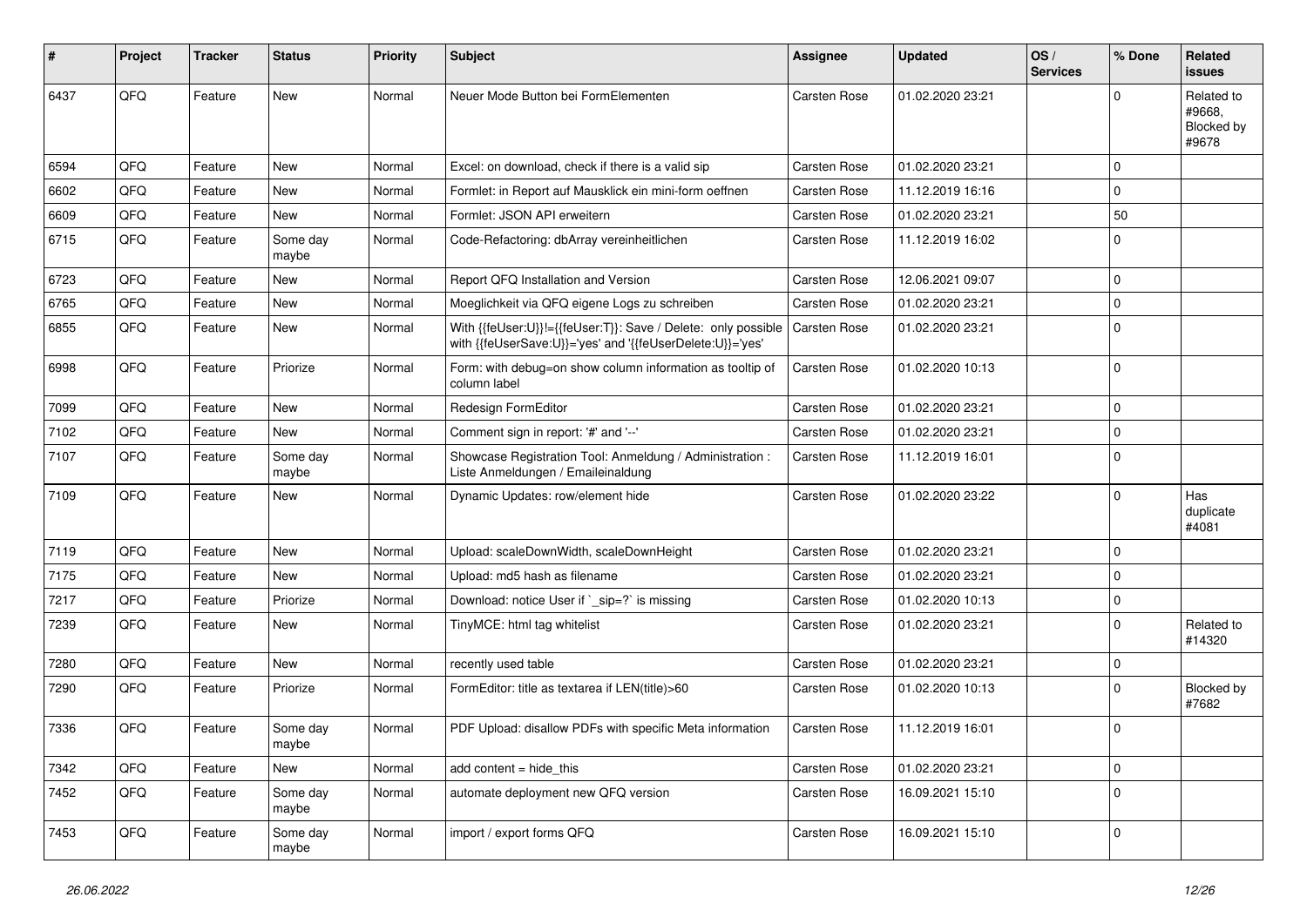| #    | Project | <b>Tracker</b> | <b>Status</b>     | <b>Priority</b> | <b>Subject</b>                                                                                                             | Assignee            | <b>Updated</b>   | OS/<br><b>Services</b> | % Done      | Related<br><b>issues</b>                    |
|------|---------|----------------|-------------------|-----------------|----------------------------------------------------------------------------------------------------------------------------|---------------------|------------------|------------------------|-------------|---------------------------------------------|
| 6437 | QFQ     | Feature        | New               | Normal          | Neuer Mode Button bei FormElementen                                                                                        | Carsten Rose        | 01.02.2020 23:21 |                        | O           | Related to<br>#9668.<br>Blocked by<br>#9678 |
| 6594 | QFQ     | Feature        | <b>New</b>        | Normal          | Excel: on download, check if there is a valid sip                                                                          | Carsten Rose        | 01.02.2020 23:21 |                        | $\Omega$    |                                             |
| 6602 | QFQ     | Feature        | <b>New</b>        | Normal          | Formlet: in Report auf Mausklick ein mini-form oeffnen                                                                     | Carsten Rose        | 11.12.2019 16:16 |                        | $\Omega$    |                                             |
| 6609 | QFQ     | Feature        | New               | Normal          | Formlet: JSON API erweitern                                                                                                | Carsten Rose        | 01.02.2020 23:21 |                        | 50          |                                             |
| 6715 | QFQ     | Feature        | Some day<br>maybe | Normal          | Code-Refactoring: dbArray vereinheitlichen                                                                                 | Carsten Rose        | 11.12.2019 16:02 |                        | $\Omega$    |                                             |
| 6723 | QFQ     | Feature        | <b>New</b>        | Normal          | Report QFQ Installation and Version                                                                                        | Carsten Rose        | 12.06.2021 09:07 |                        | $\mathbf 0$ |                                             |
| 6765 | QFQ     | Feature        | <b>New</b>        | Normal          | Moeglichkeit via QFQ eigene Logs zu schreiben                                                                              | Carsten Rose        | 01.02.2020 23:21 |                        | 0           |                                             |
| 6855 | QFQ     | Feature        | New               | Normal          | With {{feUser:U}}!={{feUser:T}}: Save / Delete: only possible<br>with {{feUserSave:U}}='yes' and '{{feUserDelete:U}}='yes' | Carsten Rose        | 01.02.2020 23:21 |                        | $\Omega$    |                                             |
| 6998 | QFQ     | Feature        | Priorize          | Normal          | Form: with debug=on show column information as tooltip of<br>column label                                                  | <b>Carsten Rose</b> | 01.02.2020 10:13 |                        | $\Omega$    |                                             |
| 7099 | QFQ     | Feature        | <b>New</b>        | Normal          | Redesign FormEditor                                                                                                        | Carsten Rose        | 01.02.2020 23:21 |                        | $\Omega$    |                                             |
| 7102 | QFQ     | Feature        | New               | Normal          | Comment sign in report: '#' and '--'                                                                                       | Carsten Rose        | 01.02.2020 23:21 |                        | $\mathbf 0$ |                                             |
| 7107 | QFQ     | Feature        | Some day<br>maybe | Normal          | Showcase Registration Tool: Anmeldung / Administration :<br>Liste Anmeldungen / Emaileinaldung                             | Carsten Rose        | 11.12.2019 16:01 |                        | $\Omega$    |                                             |
| 7109 | QFQ     | Feature        | <b>New</b>        | Normal          | Dynamic Updates: row/element hide                                                                                          | Carsten Rose        | 01.02.2020 23:22 |                        | $\Omega$    | Has<br>duplicate<br>#4081                   |
| 7119 | QFQ     | Feature        | New               | Normal          | Upload: scaleDownWidth, scaleDownHeight                                                                                    | Carsten Rose        | 01.02.2020 23:21 |                        | $\Omega$    |                                             |
| 7175 | QFQ     | Feature        | New               | Normal          | Upload: md5 hash as filename                                                                                               | Carsten Rose        | 01.02.2020 23:21 |                        | $\Omega$    |                                             |
| 7217 | QFQ     | Feature        | Priorize          | Normal          | Download: notice User if `_sip=?` is missing                                                                               | Carsten Rose        | 01.02.2020 10:13 |                        | $\mathbf 0$ |                                             |
| 7239 | QFQ     | Feature        | New               | Normal          | TinyMCE: html tag whitelist                                                                                                | Carsten Rose        | 01.02.2020 23:21 |                        | $\mathbf 0$ | Related to<br>#14320                        |
| 7280 | QFQ     | Feature        | <b>New</b>        | Normal          | recently used table                                                                                                        | Carsten Rose        | 01.02.2020 23:21 |                        | $\mathbf 0$ |                                             |
| 7290 | QFQ     | Feature        | Priorize          | Normal          | FormEditor: title as textarea if LEN(title)>60                                                                             | Carsten Rose        | 01.02.2020 10:13 |                        | $\Omega$    | Blocked by<br>#7682                         |
| 7336 | QFQ     | Feature        | Some day<br>maybe | Normal          | PDF Upload: disallow PDFs with specific Meta information                                                                   | <b>Carsten Rose</b> | 11.12.2019 16:01 |                        | $\Omega$    |                                             |
| 7342 | QFQ     | Feature        | New               | Normal          | add content = hide_this                                                                                                    | Carsten Rose        | 01.02.2020 23:21 |                        | 0           |                                             |
| 7452 | QFQ     | Feature        | Some day<br>maybe | Normal          | automate deployment new QFQ version                                                                                        | Carsten Rose        | 16.09.2021 15:10 |                        | $\mathbf 0$ |                                             |
| 7453 | QFQ     | Feature        | Some day<br>maybe | Normal          | import / export forms QFQ                                                                                                  | Carsten Rose        | 16.09.2021 15:10 |                        | 0           |                                             |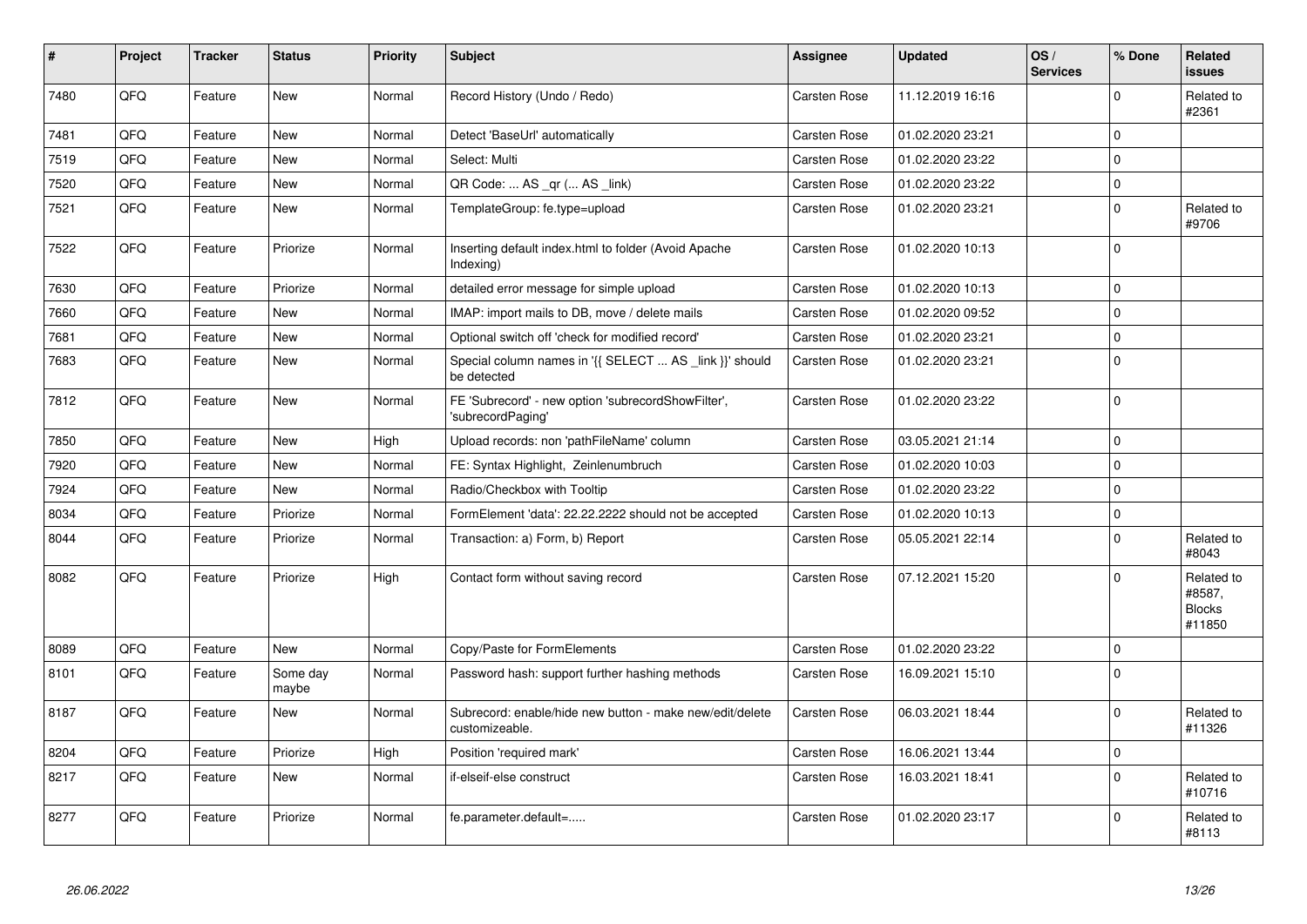| $\vert$ # | Project | <b>Tracker</b> | <b>Status</b>     | <b>Priority</b> | <b>Subject</b>                                                             | <b>Assignee</b>     | <b>Updated</b>   | OS/<br><b>Services</b> | % Done      | Related<br><b>issues</b>                        |
|-----------|---------|----------------|-------------------|-----------------|----------------------------------------------------------------------------|---------------------|------------------|------------------------|-------------|-------------------------------------------------|
| 7480      | QFQ     | Feature        | New               | Normal          | Record History (Undo / Redo)                                               | Carsten Rose        | 11.12.2019 16:16 |                        | $\Omega$    | Related to<br>#2361                             |
| 7481      | QFQ     | Feature        | <b>New</b>        | Normal          | Detect 'BaseUrl' automatically                                             | Carsten Rose        | 01.02.2020 23:21 |                        | $\pmb{0}$   |                                                 |
| 7519      | QFQ     | Feature        | New               | Normal          | Select: Multi                                                              | <b>Carsten Rose</b> | 01.02.2020 23:22 |                        | $\mathbf 0$ |                                                 |
| 7520      | QFQ     | Feature        | New               | Normal          | QR Code:  AS _qr ( AS _link)                                               | Carsten Rose        | 01.02.2020 23:22 |                        | $\mathbf 0$ |                                                 |
| 7521      | QFQ     | Feature        | New               | Normal          | TemplateGroup: fe.type=upload                                              | Carsten Rose        | 01.02.2020 23:21 |                        | $\mathbf 0$ | Related to<br>#9706                             |
| 7522      | QFQ     | Feature        | Priorize          | Normal          | Inserting default index.html to folder (Avoid Apache<br>Indexing)          | Carsten Rose        | 01.02.2020 10:13 |                        | $\Omega$    |                                                 |
| 7630      | QFQ     | Feature        | Priorize          | Normal          | detailed error message for simple upload                                   | Carsten Rose        | 01.02.2020 10:13 |                        | $\mathbf 0$ |                                                 |
| 7660      | QFQ     | Feature        | <b>New</b>        | Normal          | IMAP: import mails to DB, move / delete mails                              | Carsten Rose        | 01.02.2020 09:52 |                        | $\mathbf 0$ |                                                 |
| 7681      | QFQ     | Feature        | New               | Normal          | Optional switch off 'check for modified record'                            | Carsten Rose        | 01.02.2020 23:21 |                        | $\pmb{0}$   |                                                 |
| 7683      | QFQ     | Feature        | New               | Normal          | Special column names in '{{ SELECT  AS link }}' should<br>be detected      | <b>Carsten Rose</b> | 01.02.2020 23:21 |                        | $\mathbf 0$ |                                                 |
| 7812      | QFQ     | Feature        | New               | Normal          | FE 'Subrecord' - new option 'subrecordShowFilter',<br>'subrecordPaging'    | Carsten Rose        | 01.02.2020 23:22 |                        | $\mathbf 0$ |                                                 |
| 7850      | QFQ     | Feature        | <b>New</b>        | High            | Upload records: non 'pathFileName' column                                  | Carsten Rose        | 03.05.2021 21:14 |                        | $\mathbf 0$ |                                                 |
| 7920      | QFQ     | Feature        | <b>New</b>        | Normal          | FE: Syntax Highlight, Zeinlenumbruch                                       | Carsten Rose        | 01.02.2020 10:03 |                        | $\mathbf 0$ |                                                 |
| 7924      | QFQ     | Feature        | <b>New</b>        | Normal          | Radio/Checkbox with Tooltip                                                | <b>Carsten Rose</b> | 01.02.2020 23:22 |                        | $\pmb{0}$   |                                                 |
| 8034      | QFQ     | Feature        | Priorize          | Normal          | FormElement 'data': 22.22.2222 should not be accepted                      | <b>Carsten Rose</b> | 01.02.2020 10:13 |                        | $\mathbf 0$ |                                                 |
| 8044      | QFQ     | Feature        | Priorize          | Normal          | Transaction: a) Form, b) Report                                            | <b>Carsten Rose</b> | 05.05.2021 22:14 |                        | $\mathbf 0$ | Related to<br>#8043                             |
| 8082      | QFQ     | Feature        | Priorize          | High            | Contact form without saving record                                         | Carsten Rose        | 07.12.2021 15:20 |                        | $\mathbf 0$ | Related to<br>#8587,<br><b>Blocks</b><br>#11850 |
| 8089      | QFQ     | Feature        | New               | Normal          | Copy/Paste for FormElements                                                | Carsten Rose        | 01.02.2020 23:22 |                        | $\Omega$    |                                                 |
| 8101      | QFQ     | Feature        | Some day<br>maybe | Normal          | Password hash: support further hashing methods                             | <b>Carsten Rose</b> | 16.09.2021 15:10 |                        | $\Omega$    |                                                 |
| 8187      | QFQ     | Feature        | <b>New</b>        | Normal          | Subrecord: enable/hide new button - make new/edit/delete<br>customizeable. | <b>Carsten Rose</b> | 06.03.2021 18:44 |                        | $\mathbf 0$ | Related to<br>#11326                            |
| 8204      | QFQ     | Feature        | Priorize          | High            | Position 'required mark'                                                   | Carsten Rose        | 16.06.2021 13:44 |                        | $\mathbf 0$ |                                                 |
| 8217      | QFQ     | Feature        | <b>New</b>        | Normal          | if-elseif-else construct                                                   | Carsten Rose        | 16.03.2021 18:41 |                        | $\Omega$    | Related to<br>#10716                            |
| 8277      | QFQ     | Feature        | Priorize          | Normal          | fe.parameter.default=                                                      | <b>Carsten Rose</b> | 01.02.2020 23:17 |                        | $\Omega$    | Related to<br>#8113                             |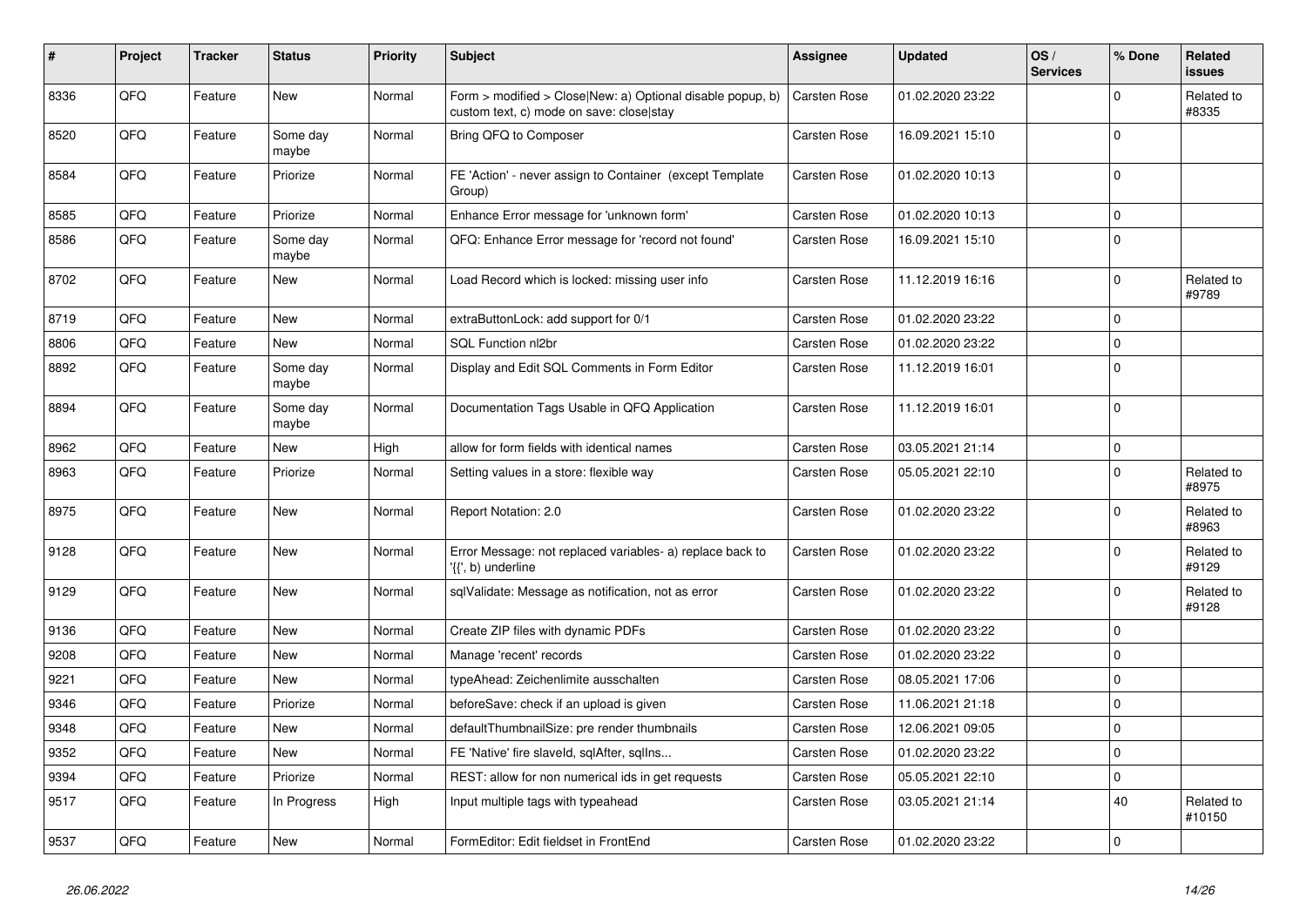| $\vert$ # | Project | <b>Tracker</b> | <b>Status</b>     | <b>Priority</b> | <b>Subject</b>                                                                                         | Assignee            | <b>Updated</b>   | OS/<br><b>Services</b> | % Done       | <b>Related</b><br><b>issues</b> |
|-----------|---------|----------------|-------------------|-----------------|--------------------------------------------------------------------------------------------------------|---------------------|------------------|------------------------|--------------|---------------------------------|
| 8336      | QFQ     | Feature        | <b>New</b>        | Normal          | Form > modified > Close New: a) Optional disable popup, b)<br>custom text, c) mode on save: close stay | <b>Carsten Rose</b> | 01.02.2020 23:22 |                        | $\Omega$     | Related to<br>#8335             |
| 8520      | QFQ     | Feature        | Some day<br>maybe | Normal          | Bring QFQ to Composer                                                                                  | Carsten Rose        | 16.09.2021 15:10 |                        | $\mathbf 0$  |                                 |
| 8584      | QFQ     | Feature        | Priorize          | Normal          | FE 'Action' - never assign to Container (except Template<br>Group)                                     | Carsten Rose        | 01.02.2020 10:13 |                        | $\Omega$     |                                 |
| 8585      | QFQ     | Feature        | Priorize          | Normal          | Enhance Error message for 'unknown form'                                                               | <b>Carsten Rose</b> | 01.02.2020 10:13 |                        | $\Omega$     |                                 |
| 8586      | QFQ     | Feature        | Some day<br>maybe | Normal          | QFQ: Enhance Error message for 'record not found'                                                      | Carsten Rose        | 16.09.2021 15:10 |                        | $\Omega$     |                                 |
| 8702      | QFQ     | Feature        | <b>New</b>        | Normal          | Load Record which is locked: missing user info                                                         | Carsten Rose        | 11.12.2019 16:16 |                        | $\mathbf{0}$ | Related to<br>#9789             |
| 8719      | QFQ     | Feature        | New               | Normal          | extraButtonLock: add support for 0/1                                                                   | Carsten Rose        | 01.02.2020 23:22 |                        | $\Omega$     |                                 |
| 8806      | QFQ     | Feature        | <b>New</b>        | Normal          | SQL Function nl2br                                                                                     | Carsten Rose        | 01.02.2020 23:22 |                        | $\mathbf 0$  |                                 |
| 8892      | QFQ     | Feature        | Some day<br>maybe | Normal          | Display and Edit SQL Comments in Form Editor                                                           | Carsten Rose        | 11.12.2019 16:01 |                        | $\Omega$     |                                 |
| 8894      | QFQ     | Feature        | Some day<br>maybe | Normal          | Documentation Tags Usable in QFQ Application                                                           | <b>Carsten Rose</b> | 11.12.2019 16:01 |                        | $\Omega$     |                                 |
| 8962      | QFQ     | Feature        | <b>New</b>        | High            | allow for form fields with identical names                                                             | Carsten Rose        | 03.05.2021 21:14 |                        | $\Omega$     |                                 |
| 8963      | QFQ     | Feature        | Priorize          | Normal          | Setting values in a store: flexible way                                                                | Carsten Rose        | 05.05.2021 22:10 |                        | $\Omega$     | Related to<br>#8975             |
| 8975      | QFQ     | Feature        | <b>New</b>        | Normal          | Report Notation: 2.0                                                                                   | Carsten Rose        | 01.02.2020 23:22 |                        | $\mathbf{0}$ | Related to<br>#8963             |
| 9128      | QFQ     | Feature        | New               | Normal          | Error Message: not replaced variables- a) replace back to<br>'{{', b) underline                        | Carsten Rose        | 01.02.2020 23:22 |                        | $\Omega$     | Related to<br>#9129             |
| 9129      | QFQ     | Feature        | <b>New</b>        | Normal          | sqlValidate: Message as notification, not as error                                                     | Carsten Rose        | 01.02.2020 23:22 |                        | $\Omega$     | Related to<br>#9128             |
| 9136      | QFQ     | Feature        | <b>New</b>        | Normal          | Create ZIP files with dynamic PDFs                                                                     | Carsten Rose        | 01.02.2020 23:22 |                        | $\Omega$     |                                 |
| 9208      | QFQ     | Feature        | <b>New</b>        | Normal          | Manage 'recent' records                                                                                | <b>Carsten Rose</b> | 01.02.2020 23:22 |                        | $\Omega$     |                                 |
| 9221      | QFQ     | Feature        | <b>New</b>        | Normal          | typeAhead: Zeichenlimite ausschalten                                                                   | Carsten Rose        | 08.05.2021 17:06 |                        | $\Omega$     |                                 |
| 9346      | QFQ     | Feature        | Priorize          | Normal          | beforeSave: check if an upload is given                                                                | Carsten Rose        | 11.06.2021 21:18 |                        | $\Omega$     |                                 |
| 9348      | QFQ     | Feature        | <b>New</b>        | Normal          | defaultThumbnailSize: pre render thumbnails                                                            | Carsten Rose        | 12.06.2021 09:05 |                        | $\mathbf 0$  |                                 |
| 9352      | QFQ     | Feature        | <b>New</b>        | Normal          | FE 'Native' fire slaveld, sqlAfter, sqlIns                                                             | Carsten Rose        | 01.02.2020 23:22 |                        | $\mathbf 0$  |                                 |
| 9394      | QFQ     | Feature        | Priorize          | Normal          | REST: allow for non numerical ids in get requests                                                      | Carsten Rose        | 05.05.2021 22:10 |                        | $\Omega$     |                                 |
| 9517      | QFQ     | Feature        | In Progress       | High            | Input multiple tags with typeahead                                                                     | Carsten Rose        | 03.05.2021 21:14 |                        | 40           | Related to<br>#10150            |
| 9537      | QFQ     | Feature        | <b>New</b>        | Normal          | FormEditor: Edit fieldset in FrontEnd                                                                  | Carsten Rose        | 01.02.2020 23:22 |                        | $\mathbf 0$  |                                 |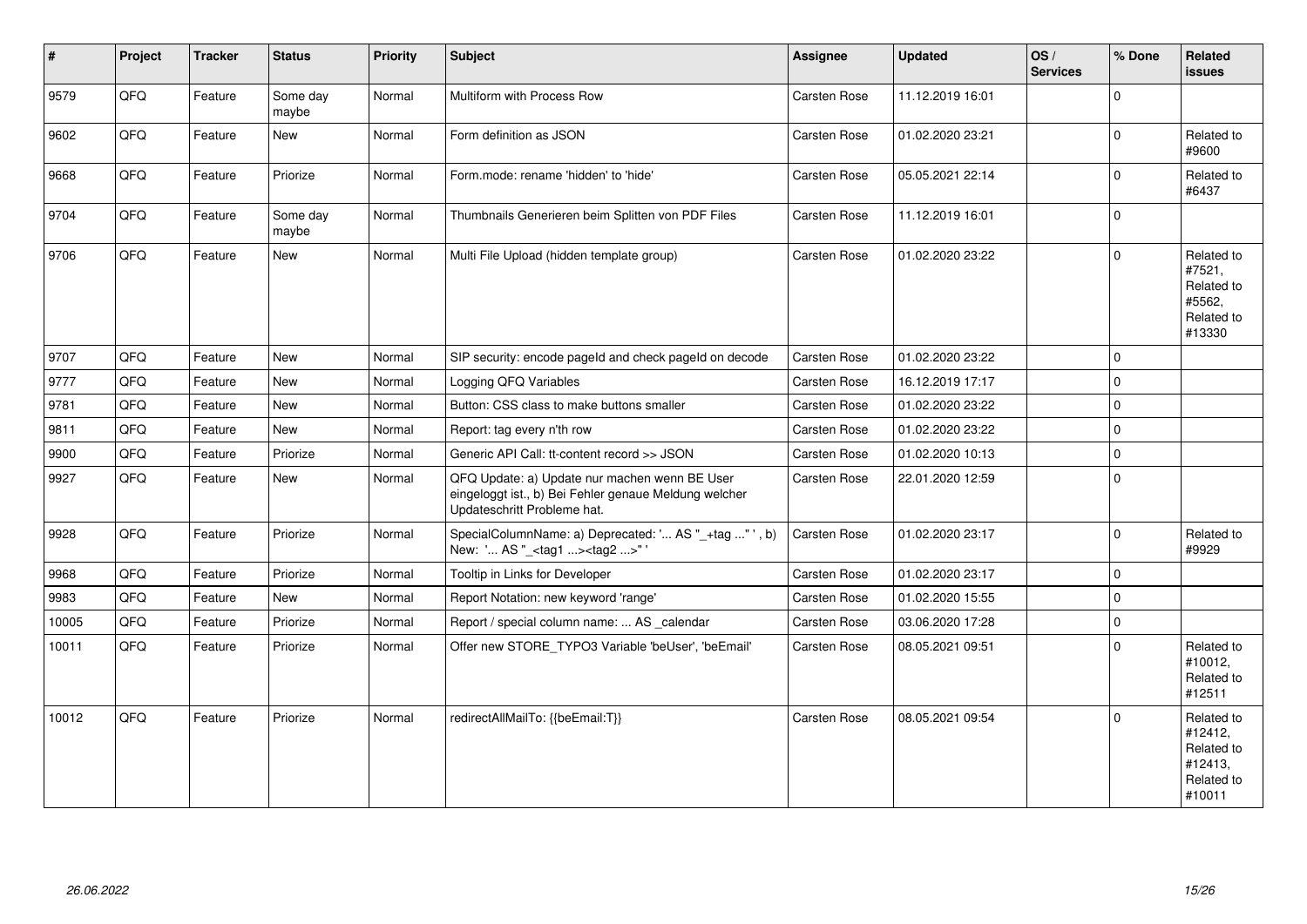| $\vert$ # | Project | <b>Tracker</b> | <b>Status</b>     | <b>Priority</b> | Subject                                                                                                                               | Assignee     | <b>Updated</b>   | OS/<br><b>Services</b> | % Done              | Related<br><b>issues</b>                                               |
|-----------|---------|----------------|-------------------|-----------------|---------------------------------------------------------------------------------------------------------------------------------------|--------------|------------------|------------------------|---------------------|------------------------------------------------------------------------|
| 9579      | QFQ     | Feature        | Some day<br>maybe | Normal          | Multiform with Process Row                                                                                                            | Carsten Rose | 11.12.2019 16:01 |                        | $\Omega$            |                                                                        |
| 9602      | QFQ     | Feature        | <b>New</b>        | Normal          | Form definition as JSON                                                                                                               | Carsten Rose | 01.02.2020 23:21 |                        | $\Omega$            | Related to<br>#9600                                                    |
| 9668      | QFQ     | Feature        | Priorize          | Normal          | Form.mode: rename 'hidden' to 'hide'                                                                                                  | Carsten Rose | 05.05.2021 22:14 |                        | $\Omega$            | Related to<br>#6437                                                    |
| 9704      | QFQ     | Feature        | Some day<br>maybe | Normal          | Thumbnails Generieren beim Splitten von PDF Files                                                                                     | Carsten Rose | 11.12.2019 16:01 |                        | $\Omega$            |                                                                        |
| 9706      | QFQ     | Feature        | New               | Normal          | Multi File Upload (hidden template group)                                                                                             | Carsten Rose | 01.02.2020 23:22 |                        | $\Omega$            | Related to<br>#7521,<br>Related to<br>#5562.<br>Related to<br>#13330   |
| 9707      | QFQ     | Feature        | <b>New</b>        | Normal          | SIP security: encode pageld and check pageld on decode                                                                                | Carsten Rose | 01.02.2020 23:22 |                        | $\mathbf 0$         |                                                                        |
| 9777      | QFQ     | Feature        | New               | Normal          | Logging QFQ Variables                                                                                                                 | Carsten Rose | 16.12.2019 17:17 |                        | $\mathbf 0$         |                                                                        |
| 9781      | QFQ     | Feature        | <b>New</b>        | Normal          | Button: CSS class to make buttons smaller                                                                                             | Carsten Rose | 01.02.2020 23:22 |                        | $\mathbf 0$         |                                                                        |
| 9811      | QFQ     | Feature        | New               | Normal          | Report: tag every n'th row                                                                                                            | Carsten Rose | 01.02.2020 23:22 |                        | $\mathsf 0$         |                                                                        |
| 9900      | QFQ     | Feature        | Priorize          | Normal          | Generic API Call: tt-content record >> JSON                                                                                           | Carsten Rose | 01.02.2020 10:13 |                        | $\mathsf{O}\xspace$ |                                                                        |
| 9927      | QFQ     | Feature        | New               | Normal          | QFQ Update: a) Update nur machen wenn BE User<br>eingeloggt ist., b) Bei Fehler genaue Meldung welcher<br>Updateschritt Probleme hat. | Carsten Rose | 22.01.2020 12:59 |                        | $\mathbf 0$         |                                                                        |
| 9928      | QFQ     | Feature        | Priorize          | Normal          | SpecialColumnName: a) Deprecated: ' AS "_+tag " ', b)<br>New: ' AS "_ <tag1><tag2>"</tag2></tag1>                                     | Carsten Rose | 01.02.2020 23:17 |                        | $\Omega$            | Related to<br>#9929                                                    |
| 9968      | QFQ     | Feature        | Priorize          | Normal          | Tooltip in Links for Developer                                                                                                        | Carsten Rose | 01.02.2020 23:17 |                        | $\mathbf 0$         |                                                                        |
| 9983      | QFQ     | Feature        | New               | Normal          | Report Notation: new keyword 'range'                                                                                                  | Carsten Rose | 01.02.2020 15:55 |                        | $\mathbf 0$         |                                                                        |
| 10005     | QFQ     | Feature        | Priorize          | Normal          | Report / special column name:  AS _calendar                                                                                           | Carsten Rose | 03.06.2020 17:28 |                        | $\mathbf 0$         |                                                                        |
| 10011     | QFQ     | Feature        | Priorize          | Normal          | Offer new STORE_TYPO3 Variable 'beUser', 'beEmail'                                                                                    | Carsten Rose | 08.05.2021 09:51 |                        | $\Omega$            | Related to<br>#10012,<br>Related to<br>#12511                          |
| 10012     | QFQ     | Feature        | Priorize          | Normal          | redirectAllMailTo: {{beEmail:T}}                                                                                                      | Carsten Rose | 08.05.2021 09:54 |                        | $\mathbf 0$         | Related to<br>#12412,<br>Related to<br>#12413,<br>Related to<br>#10011 |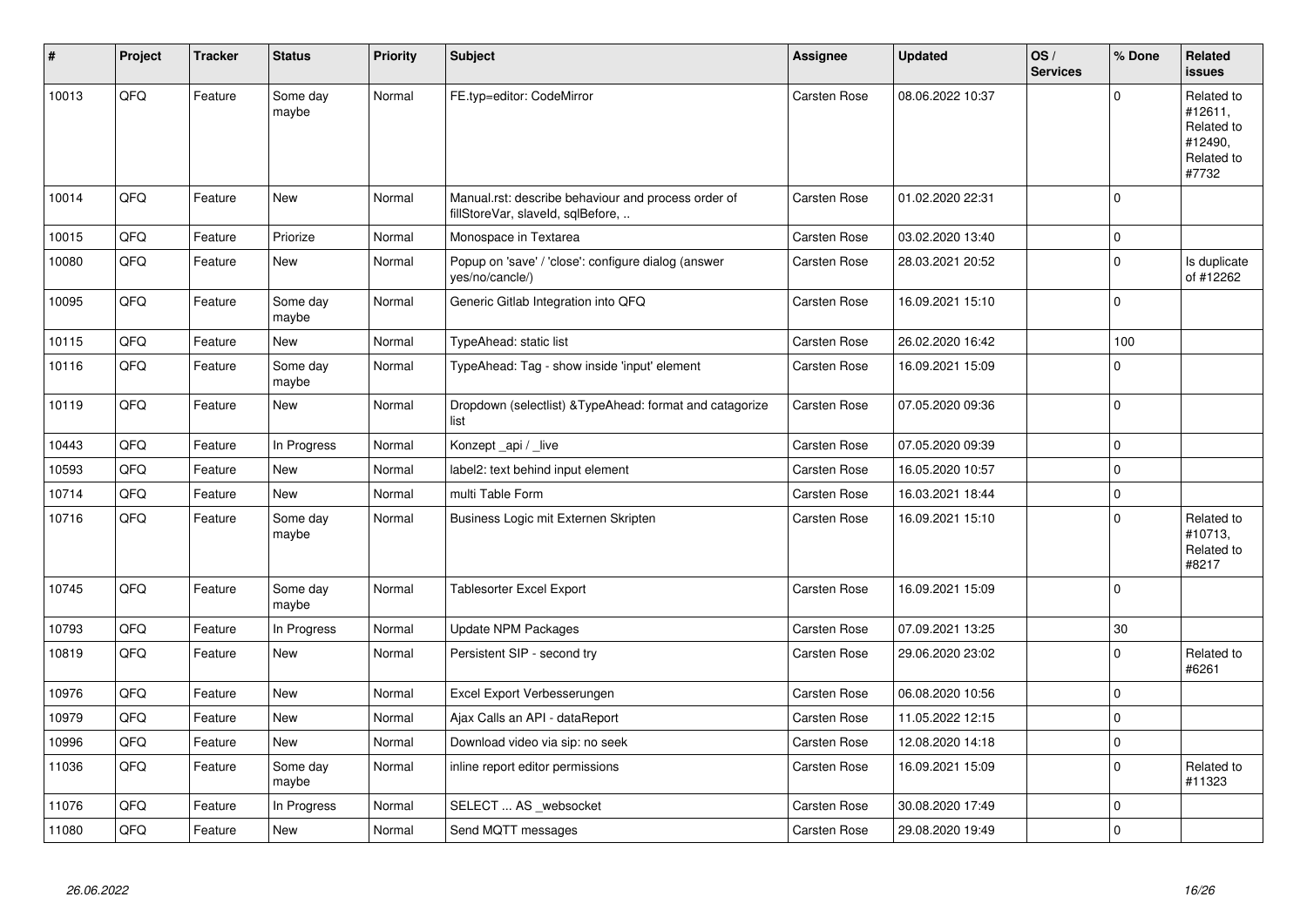| ∦     | Project | <b>Tracker</b> | <b>Status</b>     | <b>Priority</b> | <b>Subject</b>                                                                           | Assignee            | <b>Updated</b>   | OS/<br><b>Services</b> | % Done      | Related<br><b>issues</b>                                              |
|-------|---------|----------------|-------------------|-----------------|------------------------------------------------------------------------------------------|---------------------|------------------|------------------------|-------------|-----------------------------------------------------------------------|
| 10013 | QFQ     | Feature        | Some day<br>maybe | Normal          | FE.typ=editor: CodeMirror                                                                | <b>Carsten Rose</b> | 08.06.2022 10:37 |                        | $\Omega$    | Related to<br>#12611,<br>Related to<br>#12490,<br>Related to<br>#7732 |
| 10014 | QFQ     | Feature        | New               | Normal          | Manual.rst: describe behaviour and process order of<br>fillStoreVar, slaveId, sqlBefore, | Carsten Rose        | 01.02.2020 22:31 |                        | $\Omega$    |                                                                       |
| 10015 | QFQ     | Feature        | Priorize          | Normal          | Monospace in Textarea                                                                    | Carsten Rose        | 03.02.2020 13:40 |                        | $\mathbf 0$ |                                                                       |
| 10080 | QFQ     | Feature        | New               | Normal          | Popup on 'save' / 'close': configure dialog (answer<br>yes/no/cancle/)                   | Carsten Rose        | 28.03.2021 20:52 |                        | $\Omega$    | Is duplicate<br>of #12262                                             |
| 10095 | QFQ     | Feature        | Some day<br>maybe | Normal          | Generic Gitlab Integration into QFQ                                                      | Carsten Rose        | 16.09.2021 15:10 |                        | $\Omega$    |                                                                       |
| 10115 | QFQ     | Feature        | <b>New</b>        | Normal          | TypeAhead: static list                                                                   | Carsten Rose        | 26.02.2020 16:42 |                        | 100         |                                                                       |
| 10116 | QFQ     | Feature        | Some day<br>maybe | Normal          | TypeAhead: Tag - show inside 'input' element                                             | Carsten Rose        | 16.09.2021 15:09 |                        | $\Omega$    |                                                                       |
| 10119 | QFQ     | Feature        | <b>New</b>        | Normal          | Dropdown (selectlist) & TypeAhead: format and catagorize<br>list                         | Carsten Rose        | 07.05.2020 09:36 |                        | $\mathbf 0$ |                                                                       |
| 10443 | QFQ     | Feature        | In Progress       | Normal          | Konzept_api / _live                                                                      | Carsten Rose        | 07.05.2020 09:39 |                        | $\pmb{0}$   |                                                                       |
| 10593 | QFQ     | Feature        | <b>New</b>        | Normal          | label2: text behind input element                                                        | <b>Carsten Rose</b> | 16.05.2020 10:57 |                        | $\mathbf 0$ |                                                                       |
| 10714 | QFQ     | Feature        | <b>New</b>        | Normal          | multi Table Form                                                                         | Carsten Rose        | 16.03.2021 18:44 |                        | $\mathbf 0$ |                                                                       |
| 10716 | QFQ     | Feature        | Some day<br>maybe | Normal          | Business Logic mit Externen Skripten                                                     | Carsten Rose        | 16.09.2021 15:10 |                        | $\mathbf 0$ | Related to<br>#10713,<br>Related to<br>#8217                          |
| 10745 | QFQ     | Feature        | Some day<br>maybe | Normal          | Tablesorter Excel Export                                                                 | Carsten Rose        | 16.09.2021 15:09 |                        | $\Omega$    |                                                                       |
| 10793 | QFQ     | Feature        | In Progress       | Normal          | <b>Update NPM Packages</b>                                                               | Carsten Rose        | 07.09.2021 13:25 |                        | 30          |                                                                       |
| 10819 | QFQ     | Feature        | New               | Normal          | Persistent SIP - second try                                                              | <b>Carsten Rose</b> | 29.06.2020 23:02 |                        | $\Omega$    | Related to<br>#6261                                                   |
| 10976 | QFQ     | Feature        | <b>New</b>        | Normal          | Excel Export Verbesserungen                                                              | <b>Carsten Rose</b> | 06.08.2020 10:56 |                        | $\mathbf 0$ |                                                                       |
| 10979 | QFQ     | Feature        | New               | Normal          | Ajax Calls an API - dataReport                                                           | <b>Carsten Rose</b> | 11.05.2022 12:15 |                        | $\mathbf 0$ |                                                                       |
| 10996 | QFQ     | Feature        | <b>New</b>        | Normal          | Download video via sip: no seek                                                          | <b>Carsten Rose</b> | 12.08.2020 14:18 |                        | $\mathbf 0$ |                                                                       |
| 11036 | QFQ     | Feature        | Some day<br>maybe | Normal          | inline report editor permissions                                                         | <b>Carsten Rose</b> | 16.09.2021 15:09 |                        | $\mathbf 0$ | Related to<br>#11323                                                  |
| 11076 | QFQ     | Feature        | In Progress       | Normal          | SELECT  AS _websocket                                                                    | Carsten Rose        | 30.08.2020 17:49 |                        | $\mathbf 0$ |                                                                       |
| 11080 | QFQ     | Feature        | <b>New</b>        | Normal          | Send MQTT messages                                                                       | <b>Carsten Rose</b> | 29.08.2020 19:49 |                        | $\Omega$    |                                                                       |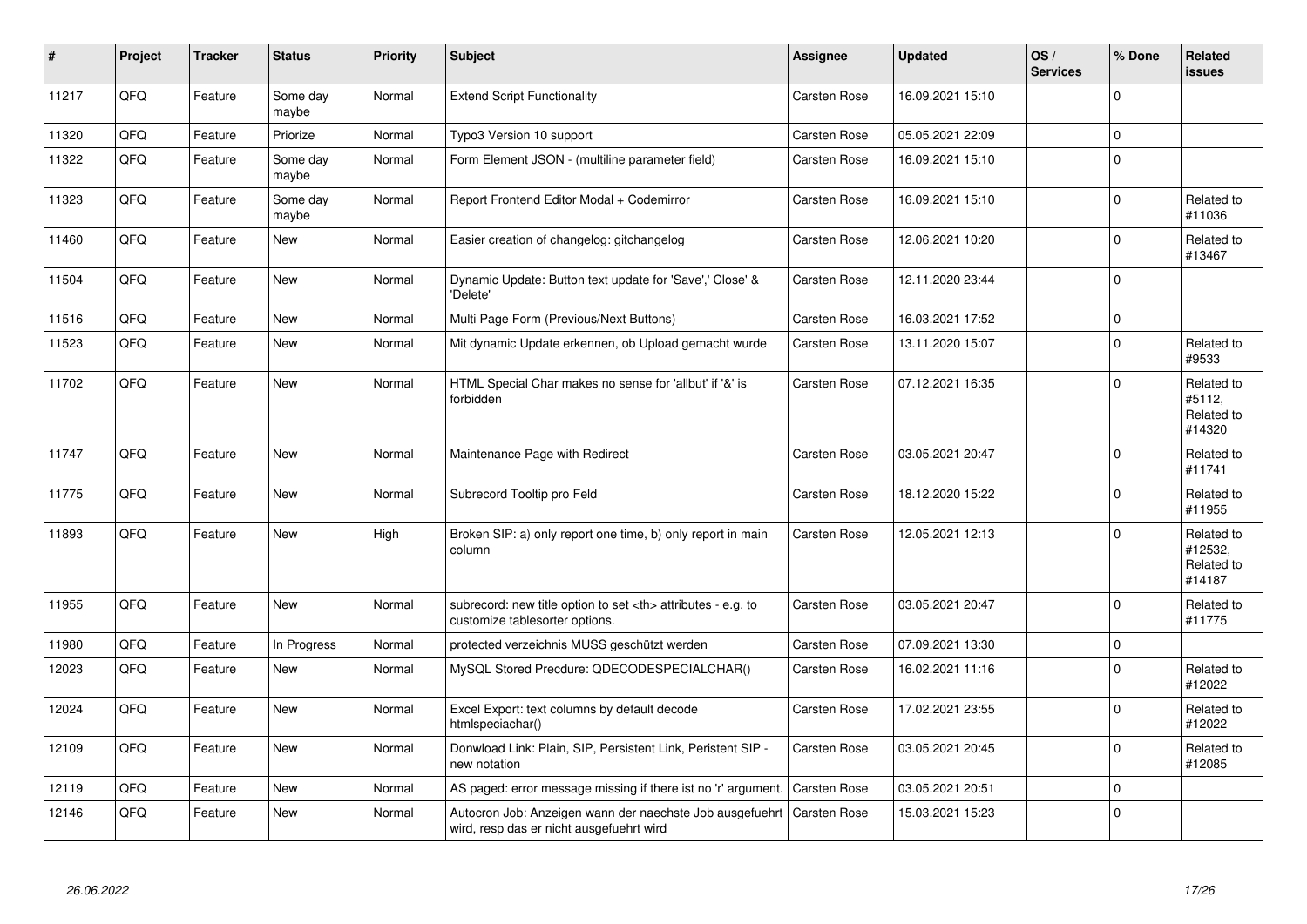| #     | Project | <b>Tracker</b> | <b>Status</b>     | <b>Priority</b> | <b>Subject</b>                                                                                       | Assignee                                               | <b>Updated</b>   | OS/<br><b>Services</b> | % Done              | <b>Related</b><br><b>issues</b>               |                      |
|-------|---------|----------------|-------------------|-----------------|------------------------------------------------------------------------------------------------------|--------------------------------------------------------|------------------|------------------------|---------------------|-----------------------------------------------|----------------------|
| 11217 | QFQ     | Feature        | Some day<br>maybe | Normal          | <b>Extend Script Functionality</b>                                                                   | Carsten Rose                                           | 16.09.2021 15:10 |                        | $\mathbf 0$         |                                               |                      |
| 11320 | QFQ     | Feature        | Priorize          | Normal          | Typo3 Version 10 support                                                                             | <b>Carsten Rose</b>                                    | 05.05.2021 22:09 |                        | $\mathbf 0$         |                                               |                      |
| 11322 | QFQ     | Feature        | Some day<br>maybe | Normal          | Form Element JSON - (multiline parameter field)                                                      | Carsten Rose                                           | 16.09.2021 15:10 |                        | $\Omega$            |                                               |                      |
| 11323 | QFQ     | Feature        | Some day<br>maybe | Normal          | Report Frontend Editor Modal + Codemirror                                                            | Carsten Rose                                           | 16.09.2021 15:10 |                        | $\mathbf 0$         | Related to<br>#11036                          |                      |
| 11460 | QFQ     | Feature        | New               | Normal          | Easier creation of changelog: gitchangelog                                                           | Carsten Rose                                           | 12.06.2021 10:20 |                        | $\mathbf 0$         | Related to<br>#13467                          |                      |
| 11504 | QFQ     | Feature        | <b>New</b>        | Normal          | Dynamic Update: Button text update for 'Save',' Close' &<br>Delete'                                  | Carsten Rose                                           | 12.11.2020 23:44 |                        | $\mathsf 0$         |                                               |                      |
| 11516 | QFQ     | Feature        | <b>New</b>        | Normal          | Multi Page Form (Previous/Next Buttons)                                                              | <b>Carsten Rose</b>                                    | 16.03.2021 17:52 |                        | $\mathsf{O}\xspace$ |                                               |                      |
| 11523 | QFQ     | Feature        | <b>New</b>        | Normal          | Mit dynamic Update erkennen, ob Upload gemacht wurde                                                 | Carsten Rose                                           | 13.11.2020 15:07 |                        | $\mathbf 0$         | Related to<br>#9533                           |                      |
| 11702 | QFQ     | Feature        | <b>New</b>        | Normal          | HTML Special Char makes no sense for 'allbut' if '&' is<br>forbidden                                 | Carsten Rose                                           | 07.12.2021 16:35 |                        | $\mathbf 0$         | Related to<br>#5112.<br>Related to<br>#14320  |                      |
| 11747 | QFQ     | Feature        | New               | Normal          | Maintenance Page with Redirect                                                                       | Carsten Rose                                           | 03.05.2021 20:47 |                        | $\pmb{0}$           | Related to<br>#11741                          |                      |
| 11775 | QFQ     | Feature        | New               | Normal          | Subrecord Tooltip pro Feld                                                                           | Carsten Rose                                           | 18.12.2020 15:22 |                        | $\Omega$            | Related to<br>#11955                          |                      |
| 11893 | QFQ     | Feature        | <b>New</b>        | High            | Broken SIP: a) only report one time, b) only report in main<br>column                                | Carsten Rose                                           | 12.05.2021 12:13 |                        | $\Omega$            | Related to<br>#12532,<br>Related to<br>#14187 |                      |
| 11955 | QFQ     | Feature        | <b>New</b>        | Normal          | subrecord: new title option to set <th> attributes - e.g. to<br/>customize tablesorter options.</th> | attributes - e.g. to<br>customize tablesorter options. | Carsten Rose     | 03.05.2021 20:47       |                     | $\mathbf 0$                                   | Related to<br>#11775 |
| 11980 | QFQ     | Feature        | In Progress       | Normal          | protected verzeichnis MUSS geschützt werden                                                          | Carsten Rose                                           | 07.09.2021 13:30 |                        | $\mathsf{O}\xspace$ |                                               |                      |
| 12023 | QFQ     | Feature        | <b>New</b>        | Normal          | MySQL Stored Precdure: QDECODESPECIALCHAR()                                                          | Carsten Rose                                           | 16.02.2021 11:16 |                        | $\mathbf 0$         | Related to<br>#12022                          |                      |
| 12024 | QFQ     | Feature        | New               | Normal          | Excel Export: text columns by default decode<br>htmlspeciachar()                                     | Carsten Rose                                           | 17.02.2021 23:55 |                        | $\mathbf 0$         | Related to<br>#12022                          |                      |
| 12109 | QFQ     | Feature        | New               | Normal          | Donwload Link: Plain, SIP, Persistent Link, Peristent SIP -<br>new notation                          | Carsten Rose                                           | 03.05.2021 20:45 |                        | $\mathbf 0$         | Related to<br>#12085                          |                      |
| 12119 | QFQ     | Feature        | <b>New</b>        | Normal          | AS paged: error message missing if there ist no 'r' argument.                                        | Carsten Rose                                           | 03.05.2021 20:51 |                        | $\mathbf 0$         |                                               |                      |
| 12146 | QFQ     | Feature        | New               | Normal          | Autocron Job: Anzeigen wann der naechste Job ausgefuehrt<br>wird, resp das er nicht ausgefuehrt wird | <b>Carsten Rose</b>                                    | 15.03.2021 15:23 |                        | $\mathbf 0$         |                                               |                      |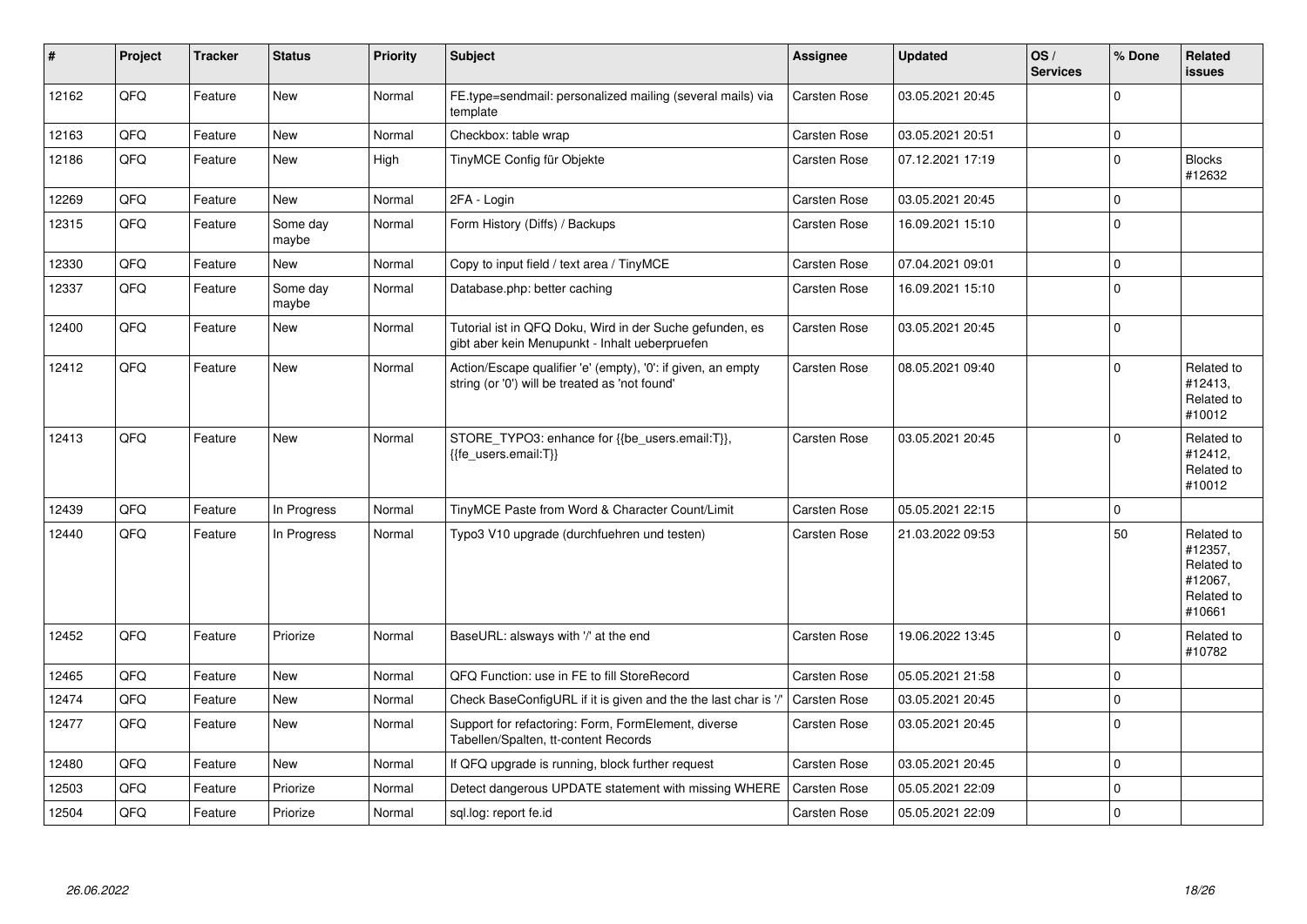| ∦     | Project | <b>Tracker</b> | <b>Status</b>     | <b>Priority</b> | <b>Subject</b>                                                                                                 | Assignee            | <b>Updated</b>   | OS/<br><b>Services</b> | % Done      | Related<br>issues                                                      |
|-------|---------|----------------|-------------------|-----------------|----------------------------------------------------------------------------------------------------------------|---------------------|------------------|------------------------|-------------|------------------------------------------------------------------------|
| 12162 | QFQ     | Feature        | New               | Normal          | FE.type=sendmail: personalized mailing (several mails) via<br>template                                         | Carsten Rose        | 03.05.2021 20:45 |                        | $\Omega$    |                                                                        |
| 12163 | QFQ     | Feature        | <b>New</b>        | Normal          | Checkbox: table wrap                                                                                           | Carsten Rose        | 03.05.2021 20:51 |                        | $\Omega$    |                                                                        |
| 12186 | QFQ     | Feature        | New               | High            | TinyMCE Config für Objekte                                                                                     | Carsten Rose        | 07.12.2021 17:19 |                        | $\Omega$    | <b>Blocks</b><br>#12632                                                |
| 12269 | QFQ     | Feature        | New               | Normal          | 2FA - Login                                                                                                    | <b>Carsten Rose</b> | 03.05.2021 20:45 |                        | $\mathbf 0$ |                                                                        |
| 12315 | QFQ     | Feature        | Some day<br>maybe | Normal          | Form History (Diffs) / Backups                                                                                 | Carsten Rose        | 16.09.2021 15:10 |                        | $\Omega$    |                                                                        |
| 12330 | QFQ     | Feature        | New               | Normal          | Copy to input field / text area / TinyMCE                                                                      | Carsten Rose        | 07.04.2021 09:01 |                        | $\mathbf 0$ |                                                                        |
| 12337 | QFQ     | Feature        | Some day<br>maybe | Normal          | Database.php: better caching                                                                                   | Carsten Rose        | 16.09.2021 15:10 |                        | $\Omega$    |                                                                        |
| 12400 | QFQ     | Feature        | New               | Normal          | Tutorial ist in QFQ Doku, Wird in der Suche gefunden, es<br>gibt aber kein Menupunkt - Inhalt ueberpruefen     | Carsten Rose        | 03.05.2021 20:45 |                        | $\Omega$    |                                                                        |
| 12412 | QFQ     | Feature        | New               | Normal          | Action/Escape qualifier 'e' (empty), '0': if given, an empty<br>string (or '0') will be treated as 'not found' | <b>Carsten Rose</b> | 08.05.2021 09:40 |                        | $\Omega$    | Related to<br>#12413,<br>Related to<br>#10012                          |
| 12413 | QFQ     | Feature        | <b>New</b>        | Normal          | STORE_TYPO3: enhance for {{be_users.email:T}},<br>{{fe users.email:T}}                                         | <b>Carsten Rose</b> | 03.05.2021 20:45 |                        | $\Omega$    | Related to<br>#12412.<br>Related to<br>#10012                          |
| 12439 | QFQ     | Feature        | In Progress       | Normal          | TinyMCE Paste from Word & Character Count/Limit                                                                | Carsten Rose        | 05.05.2021 22:15 |                        | $\mathbf 0$ |                                                                        |
| 12440 | QFQ     | Feature        | In Progress       | Normal          | Typo3 V10 upgrade (durchfuehren und testen)                                                                    | <b>Carsten Rose</b> | 21.03.2022 09:53 |                        | 50          | Related to<br>#12357,<br>Related to<br>#12067.<br>Related to<br>#10661 |
| 12452 | QFQ     | Feature        | Priorize          | Normal          | BaseURL: alsways with '/' at the end                                                                           | Carsten Rose        | 19.06.2022 13:45 |                        | $\Omega$    | Related to<br>#10782                                                   |
| 12465 | QFQ     | Feature        | New               | Normal          | QFQ Function: use in FE to fill StoreRecord                                                                    | Carsten Rose        | 05.05.2021 21:58 |                        | $\Omega$    |                                                                        |
| 12474 | QFQ     | Feature        | <b>New</b>        | Normal          | Check BaseConfigURL if it is given and the the last char is '/                                                 | <b>Carsten Rose</b> | 03.05.2021 20:45 |                        | $\mathbf 0$ |                                                                        |
| 12477 | QFQ     | Feature        | <b>New</b>        | Normal          | Support for refactoring: Form, FormElement, diverse<br>Tabellen/Spalten, tt-content Records                    | <b>Carsten Rose</b> | 03.05.2021 20:45 |                        | $\Omega$    |                                                                        |
| 12480 | QFQ     | Feature        | <b>New</b>        | Normal          | If QFQ upgrade is running, block further request                                                               | Carsten Rose        | 03.05.2021 20:45 |                        | $\Omega$    |                                                                        |
| 12503 | QFQ     | Feature        | Priorize          | Normal          | Detect dangerous UPDATE statement with missing WHERE                                                           | <b>Carsten Rose</b> | 05.05.2021 22:09 |                        | $\mathbf 0$ |                                                                        |
| 12504 | QFQ     | Feature        | Priorize          | Normal          | sql.log: report fe.id                                                                                          | <b>Carsten Rose</b> | 05.05.2021 22:09 |                        | $\mathbf 0$ |                                                                        |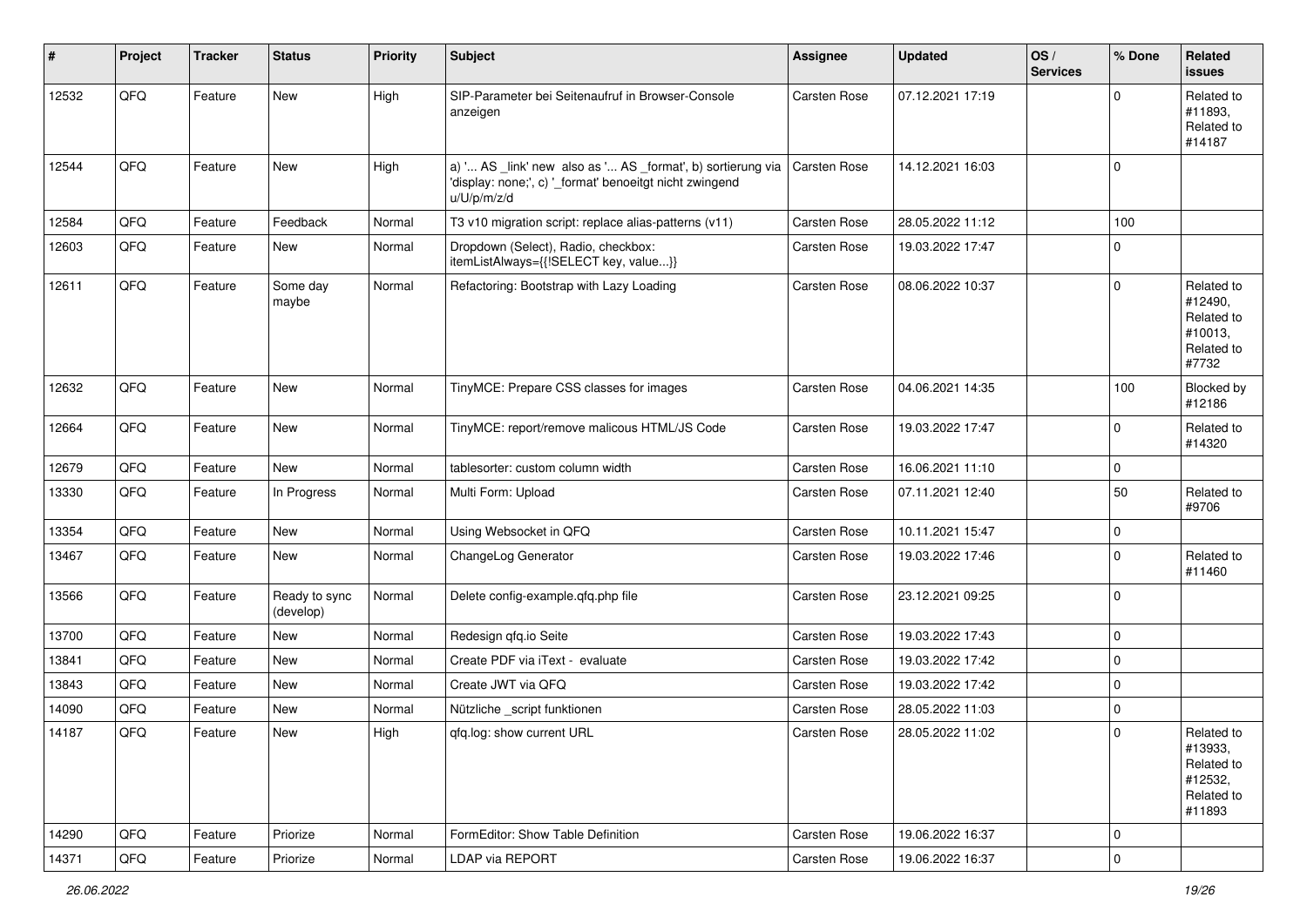| #     | Project | <b>Tracker</b> | <b>Status</b>              | <b>Priority</b> | Subject                                                                                                                               | Assignee            | <b>Updated</b>   | OS/<br><b>Services</b> | % Done      | Related<br>issues                                                      |
|-------|---------|----------------|----------------------------|-----------------|---------------------------------------------------------------------------------------------------------------------------------------|---------------------|------------------|------------------------|-------------|------------------------------------------------------------------------|
| 12532 | QFQ     | Feature        | <b>New</b>                 | High            | SIP-Parameter bei Seitenaufruf in Browser-Console<br>anzeigen                                                                         | Carsten Rose        | 07.12.2021 17:19 |                        | $\Omega$    | Related to<br>#11893,<br>Related to<br>#14187                          |
| 12544 | QFQ     | Feature        | New                        | High            | a) ' AS _link' new also as ' AS _format', b) sortierung via<br>'display: none;', c) '_format' benoeitgt nicht zwingend<br>u/U/p/m/z/d | <b>Carsten Rose</b> | 14.12.2021 16:03 |                        | $\mathbf 0$ |                                                                        |
| 12584 | QFQ     | Feature        | Feedback                   | Normal          | T3 v10 migration script: replace alias-patterns (v11)                                                                                 | Carsten Rose        | 28.05.2022 11:12 |                        | 100         |                                                                        |
| 12603 | QFQ     | Feature        | New                        | Normal          | Dropdown (Select), Radio, checkbox:<br>itemListAlways={{!SELECT key, value}}                                                          | Carsten Rose        | 19.03.2022 17:47 |                        | $\mathbf 0$ |                                                                        |
| 12611 | QFQ     | Feature        | Some day<br>maybe          | Normal          | Refactoring: Bootstrap with Lazy Loading                                                                                              | Carsten Rose        | 08.06.2022 10:37 |                        | $\mathbf 0$ | Related to<br>#12490,<br>Related to<br>#10013,<br>Related to<br>#7732  |
| 12632 | QFQ     | Feature        | <b>New</b>                 | Normal          | TinyMCE: Prepare CSS classes for images                                                                                               | Carsten Rose        | 04.06.2021 14:35 |                        | 100         | Blocked by<br>#12186                                                   |
| 12664 | QFQ     | Feature        | New                        | Normal          | TinyMCE: report/remove malicous HTML/JS Code                                                                                          | Carsten Rose        | 19.03.2022 17:47 |                        | $\Omega$    | Related to<br>#14320                                                   |
| 12679 | QFQ     | Feature        | <b>New</b>                 | Normal          | tablesorter: custom column width                                                                                                      | Carsten Rose        | 16.06.2021 11:10 |                        | $\mathbf 0$ |                                                                        |
| 13330 | QFQ     | Feature        | In Progress                | Normal          | Multi Form: Upload                                                                                                                    | Carsten Rose        | 07.11.2021 12:40 |                        | 50          | Related to<br>#9706                                                    |
| 13354 | QFQ     | Feature        | <b>New</b>                 | Normal          | Using Websocket in QFQ                                                                                                                | <b>Carsten Rose</b> | 10.11.2021 15:47 |                        | $\mathbf 0$ |                                                                        |
| 13467 | QFQ     | Feature        | New                        | Normal          | ChangeLog Generator                                                                                                                   | Carsten Rose        | 19.03.2022 17:46 |                        | $\mathbf 0$ | Related to<br>#11460                                                   |
| 13566 | QFQ     | Feature        | Ready to sync<br>(develop) | Normal          | Delete config-example.qfq.php file                                                                                                    | Carsten Rose        | 23.12.2021 09:25 |                        | $\mathbf 0$ |                                                                        |
| 13700 | QFQ     | Feature        | <b>New</b>                 | Normal          | Redesign qfq.io Seite                                                                                                                 | <b>Carsten Rose</b> | 19.03.2022 17:43 |                        | $\mathbf 0$ |                                                                        |
| 13841 | QFQ     | Feature        | New                        | Normal          | Create PDF via iText - evaluate                                                                                                       | Carsten Rose        | 19.03.2022 17:42 |                        | 0           |                                                                        |
| 13843 | QFQ     | Feature        | New                        | Normal          | Create JWT via QFQ                                                                                                                    | Carsten Rose        | 19.03.2022 17:42 |                        | $\mathbf 0$ |                                                                        |
| 14090 | QFQ     | Feature        | <b>New</b>                 | Normal          | Nützliche _script funktionen                                                                                                          | Carsten Rose        | 28.05.2022 11:03 |                        | 0           |                                                                        |
| 14187 | QFQ     | Feature        | New                        | High            | gfg.log: show current URL                                                                                                             | Carsten Rose        | 28.05.2022 11:02 |                        | 0           | Related to<br>#13933,<br>Related to<br>#12532,<br>Related to<br>#11893 |
| 14290 | QFQ     | Feature        | Priorize                   | Normal          | FormEditor: Show Table Definition                                                                                                     | Carsten Rose        | 19.06.2022 16:37 |                        | 0           |                                                                        |
| 14371 | QFQ     | Feature        | Priorize                   | Normal          | LDAP via REPORT                                                                                                                       | Carsten Rose        | 19.06.2022 16:37 |                        | $\mathbf 0$ |                                                                        |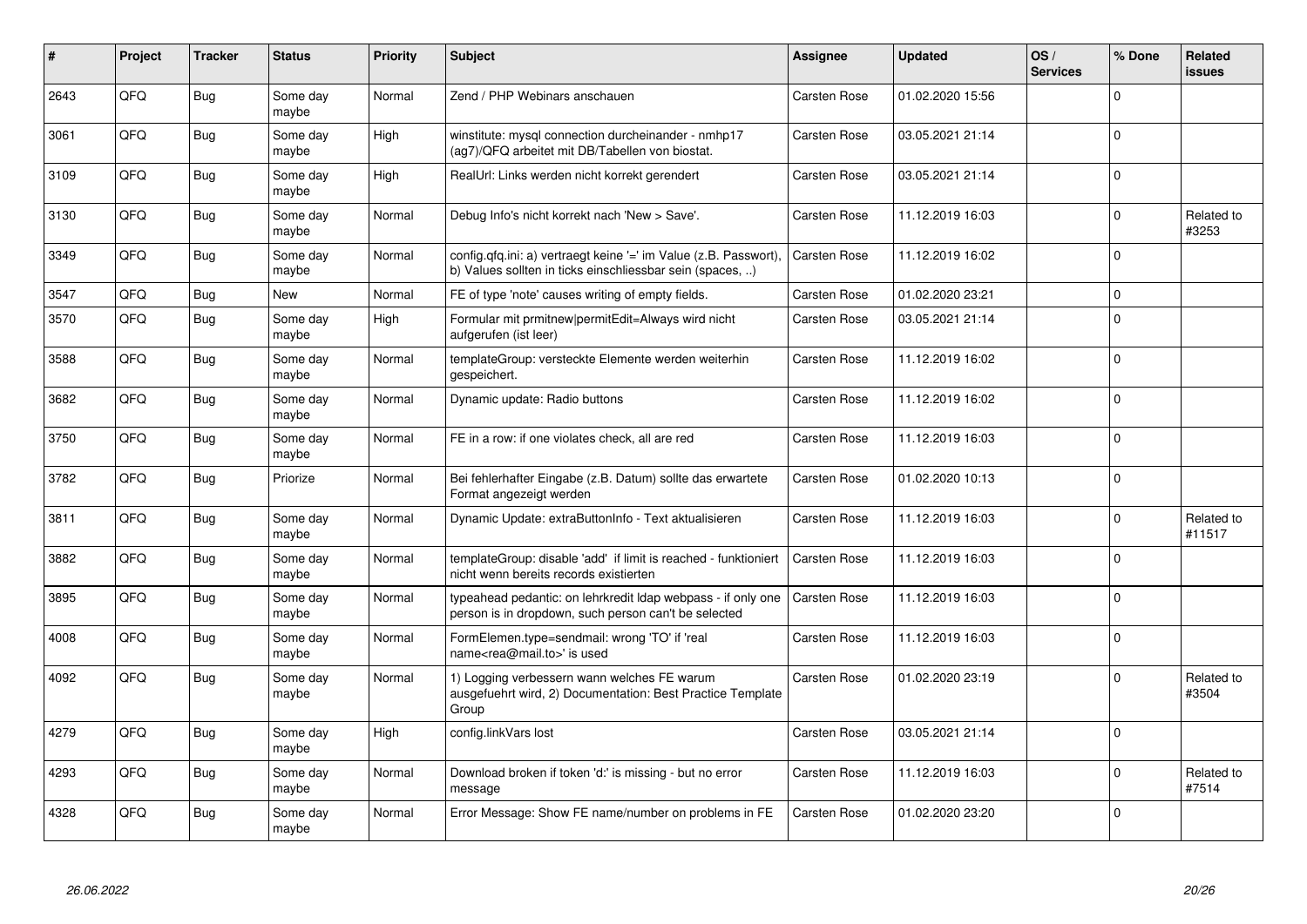| ∦    | Project    | <b>Tracker</b> | <b>Status</b>     | <b>Priority</b> | <b>Subject</b>                                                                                                                | <b>Assignee</b>     | <b>Updated</b>   | OS/<br><b>Services</b> | % Done       | Related<br><b>issues</b> |
|------|------------|----------------|-------------------|-----------------|-------------------------------------------------------------------------------------------------------------------------------|---------------------|------------------|------------------------|--------------|--------------------------|
| 2643 | QFQ        | Bug            | Some day<br>maybe | Normal          | Zend / PHP Webinars anschauen                                                                                                 | <b>Carsten Rose</b> | 01.02.2020 15:56 |                        | $\Omega$     |                          |
| 3061 | QFQ        | Bug            | Some day<br>maybe | High            | winstitute: mysql connection durcheinander - nmhp17<br>(ag7)/QFQ arbeitet mit DB/Tabellen von biostat.                        | Carsten Rose        | 03.05.2021 21:14 |                        | $\Omega$     |                          |
| 3109 | QFQ        | Bug            | Some day<br>maybe | High            | RealUrl: Links werden nicht korrekt gerendert                                                                                 | Carsten Rose        | 03.05.2021 21:14 |                        | $\Omega$     |                          |
| 3130 | QFQ        | <b>Bug</b>     | Some day<br>maybe | Normal          | Debug Info's nicht korrekt nach 'New > Save'.                                                                                 | Carsten Rose        | 11.12.2019 16:03 |                        | $\Omega$     | Related to<br>#3253      |
| 3349 | QFQ        | <b>Bug</b>     | Some day<br>maybe | Normal          | config.qfq.ini: a) vertraegt keine '=' im Value (z.B. Passwort),<br>b) Values sollten in ticks einschliessbar sein (spaces, ) | <b>Carsten Rose</b> | 11.12.2019 16:02 |                        | $\mathbf 0$  |                          |
| 3547 | <b>OFO</b> | <b>Bug</b>     | <b>New</b>        | Normal          | FE of type 'note' causes writing of empty fields.                                                                             | Carsten Rose        | 01.02.2020 23:21 |                        | $\Omega$     |                          |
| 3570 | QFQ        | Bug            | Some day<br>maybe | High            | Formular mit prmitnew permitEdit=Always wird nicht<br>aufgerufen (ist leer)                                                   | <b>Carsten Rose</b> | 03.05.2021 21:14 |                        | $\mathbf 0$  |                          |
| 3588 | <b>OFO</b> | Bug            | Some day<br>maybe | Normal          | templateGroup: versteckte Elemente werden weiterhin<br>gespeichert.                                                           | <b>Carsten Rose</b> | 11.12.2019 16:02 |                        | $\Omega$     |                          |
| 3682 | QFQ        | Bug            | Some day<br>maybe | Normal          | Dynamic update: Radio buttons                                                                                                 | Carsten Rose        | 11.12.2019 16:02 |                        | $\Omega$     |                          |
| 3750 | QFQ        | Bug            | Some day<br>maybe | Normal          | FE in a row: if one violates check, all are red                                                                               | Carsten Rose        | 11.12.2019 16:03 |                        | $\Omega$     |                          |
| 3782 | QFQ        | <b>Bug</b>     | Priorize          | Normal          | Bei fehlerhafter Eingabe (z.B. Datum) sollte das erwartete<br>Format angezeigt werden                                         | <b>Carsten Rose</b> | 01.02.2020 10:13 |                        | $\Omega$     |                          |
| 3811 | QFQ        | Bug            | Some day<br>maybe | Normal          | Dynamic Update: extraButtonInfo - Text aktualisieren                                                                          | <b>Carsten Rose</b> | 11.12.2019 16:03 |                        | $\Omega$     | Related to<br>#11517     |
| 3882 | QFQ        | <b>Bug</b>     | Some day<br>maybe | Normal          | templateGroup: disable 'add' if limit is reached - funktioniert<br>nicht wenn bereits records existierten                     | <b>Carsten Rose</b> | 11.12.2019 16:03 |                        | $\Omega$     |                          |
| 3895 | QFQ        | <b>Bug</b>     | Some day<br>maybe | Normal          | typeahead pedantic: on lehrkredit Idap webpass - if only one<br>person is in dropdown, such person can't be selected          | <b>Carsten Rose</b> | 11.12.2019 16:03 |                        | $\Omega$     |                          |
| 4008 | QFQ        | <b>Bug</b>     | Some day<br>maybe | Normal          | FormElemen.type=sendmail: wrong 'TO' if 'real<br>name <rea@mail.to>' is used</rea@mail.to>                                    | <b>Carsten Rose</b> | 11.12.2019 16:03 |                        | $\Omega$     |                          |
| 4092 | QFQ        | Bug            | Some day<br>maybe | Normal          | 1) Logging verbessern wann welches FE warum<br>ausgefuehrt wird, 2) Documentation: Best Practice Template<br>Group            | <b>Carsten Rose</b> | 01.02.2020 23:19 |                        | $\mathbf 0$  | Related to<br>#3504      |
| 4279 | QFQ        | Bug            | Some day<br>maybe | High            | config.linkVars lost                                                                                                          | <b>Carsten Rose</b> | 03.05.2021 21:14 |                        | $\mathbf{0}$ |                          |
| 4293 | QFQ        | <b>Bug</b>     | Some day<br>maybe | Normal          | Download broken if token 'd:' is missing - but no error<br>message                                                            | Carsten Rose        | 11.12.2019 16:03 |                        | $\Omega$     | Related to<br>#7514      |
| 4328 | QFQ        | Bug            | Some day<br>maybe | Normal          | Error Message: Show FE name/number on problems in FE                                                                          | Carsten Rose        | 01.02.2020 23:20 |                        | $\Omega$     |                          |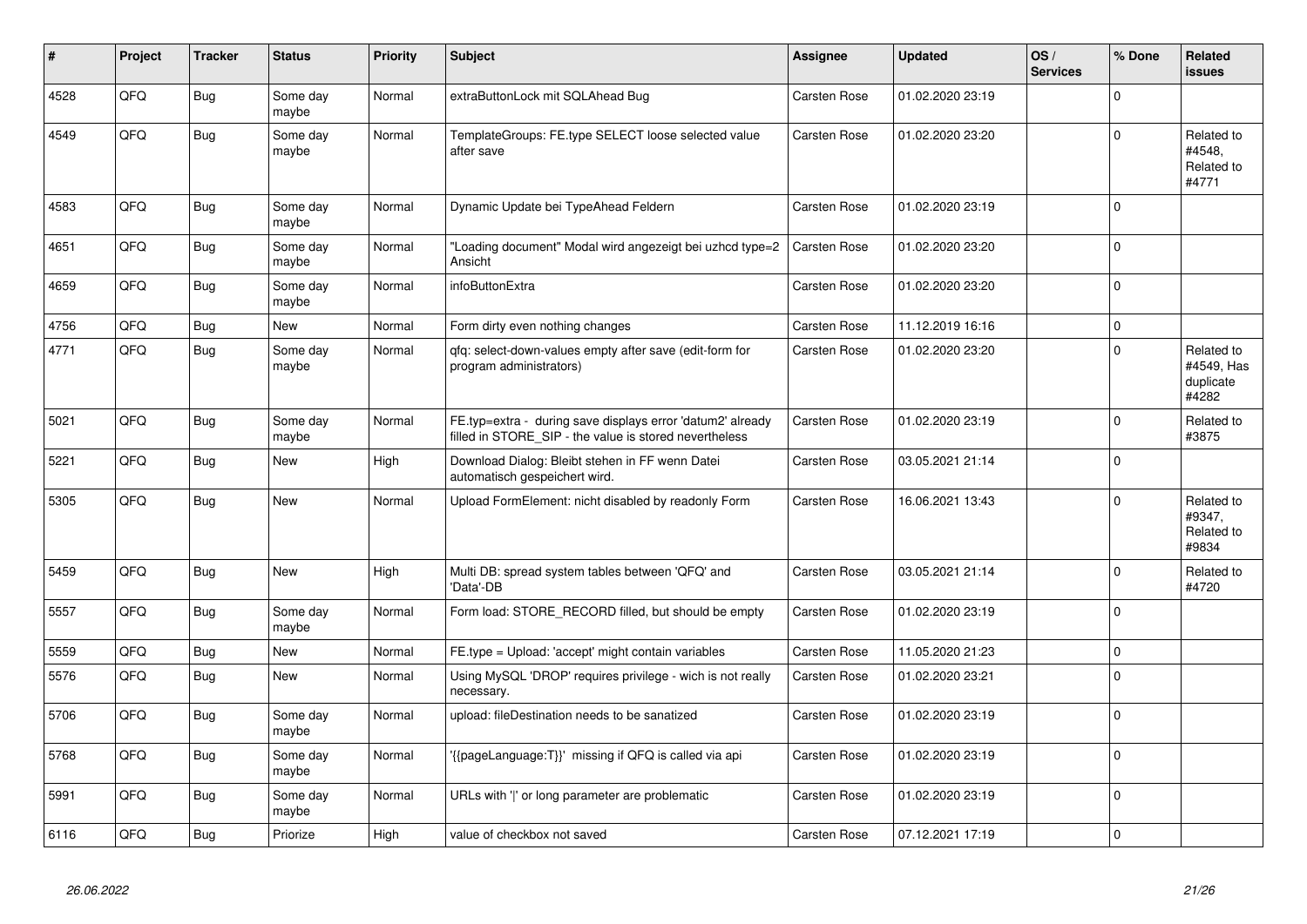| #    | Project | <b>Tracker</b> | <b>Status</b>     | <b>Priority</b> | <b>Subject</b>                                                                                                       | <b>Assignee</b>     | <b>Updated</b>   | OS/<br><b>Services</b> | % Done      | Related<br><b>issues</b>                       |
|------|---------|----------------|-------------------|-----------------|----------------------------------------------------------------------------------------------------------------------|---------------------|------------------|------------------------|-------------|------------------------------------------------|
| 4528 | QFQ     | <b>Bug</b>     | Some day<br>maybe | Normal          | extraButtonLock mit SQLAhead Bug                                                                                     | Carsten Rose        | 01.02.2020 23:19 |                        | $\Omega$    |                                                |
| 4549 | QFQ     | Bug            | Some day<br>maybe | Normal          | TemplateGroups: FE.type SELECT loose selected value<br>after save                                                    | <b>Carsten Rose</b> | 01.02.2020 23:20 |                        | $\Omega$    | Related to<br>#4548,<br>Related to<br>#4771    |
| 4583 | QFQ     | <b>Bug</b>     | Some day<br>maybe | Normal          | Dynamic Update bei TypeAhead Feldern                                                                                 | <b>Carsten Rose</b> | 01.02.2020 23:19 |                        | $\Omega$    |                                                |
| 4651 | QFQ     | <b>Bug</b>     | Some day<br>maybe | Normal          | "Loading document" Modal wird angezeigt bei uzhcd type=2<br>Ansicht                                                  | <b>Carsten Rose</b> | 01.02.2020 23:20 |                        | $\Omega$    |                                                |
| 4659 | QFQ     | <b>Bug</b>     | Some day<br>maybe | Normal          | infoButtonExtra                                                                                                      | <b>Carsten Rose</b> | 01.02.2020 23:20 |                        | $\Omega$    |                                                |
| 4756 | QFQ     | <b>Bug</b>     | New               | Normal          | Form dirty even nothing changes                                                                                      | <b>Carsten Rose</b> | 11.12.2019 16:16 |                        | $\Omega$    |                                                |
| 4771 | QFQ     | <b>Bug</b>     | Some day<br>maybe | Normal          | gfg: select-down-values empty after save (edit-form for<br>program administrators)                                   | <b>Carsten Rose</b> | 01.02.2020 23:20 |                        | $\Omega$    | Related to<br>#4549, Has<br>duplicate<br>#4282 |
| 5021 | QFQ     | <b>Bug</b>     | Some day<br>maybe | Normal          | FE.typ=extra - during save displays error 'datum2' already<br>filled in STORE SIP - the value is stored nevertheless | <b>Carsten Rose</b> | 01.02.2020 23:19 |                        | $\Omega$    | Related to<br>#3875                            |
| 5221 | QFQ     | <b>Bug</b>     | <b>New</b>        | High            | Download Dialog: Bleibt stehen in FF wenn Datei<br>automatisch gespeichert wird.                                     | <b>Carsten Rose</b> | 03.05.2021 21:14 |                        | $\Omega$    |                                                |
| 5305 | QFQ     | <b>Bug</b>     | <b>New</b>        | Normal          | Upload FormElement: nicht disabled by readonly Form                                                                  | Carsten Rose        | 16.06.2021 13:43 |                        | $\Omega$    | Related to<br>#9347,<br>Related to<br>#9834    |
| 5459 | QFQ     | <b>Bug</b>     | <b>New</b>        | High            | Multi DB: spread system tables between 'QFQ' and<br>'Data'-DB                                                        | <b>Carsten Rose</b> | 03.05.2021 21:14 |                        | $\Omega$    | Related to<br>#4720                            |
| 5557 | QFQ     | <b>Bug</b>     | Some day<br>maybe | Normal          | Form load: STORE_RECORD filled, but should be empty                                                                  | Carsten Rose        | 01.02.2020 23:19 |                        | $\Omega$    |                                                |
| 5559 | QFQ     | <b>Bug</b>     | New               | Normal          | FE.type = Upload: 'accept' might contain variables                                                                   | <b>Carsten Rose</b> | 11.05.2020 21:23 |                        | $\mathbf 0$ |                                                |
| 5576 | QFQ     | <b>Bug</b>     | <b>New</b>        | Normal          | Using MySQL 'DROP' requires privilege - wich is not really<br>necessary.                                             | <b>Carsten Rose</b> | 01.02.2020 23:21 |                        | $\Omega$    |                                                |
| 5706 | QFQ     | <b>Bug</b>     | Some day<br>maybe | Normal          | upload: fileDestination needs to be sanatized                                                                        | <b>Carsten Rose</b> | 01.02.2020 23:19 |                        | $\Omega$    |                                                |
| 5768 | QFQ     | <b>Bug</b>     | Some day<br>maybe | Normal          | {{pageLanguage:T}}' missing if QFQ is called via api                                                                 | Carsten Rose        | 01.02.2020 23:19 |                        | $\Omega$    |                                                |
| 5991 | QFQ     | Bug            | Some day<br>maybe | Normal          | URLs with ' ' or long parameter are problematic                                                                      | Carsten Rose        | 01.02.2020 23:19 |                        | $\Omega$    |                                                |
| 6116 | QFQ     | Bug            | Priorize          | High            | value of checkbox not saved                                                                                          | <b>Carsten Rose</b> | 07.12.2021 17:19 |                        | 0 l         |                                                |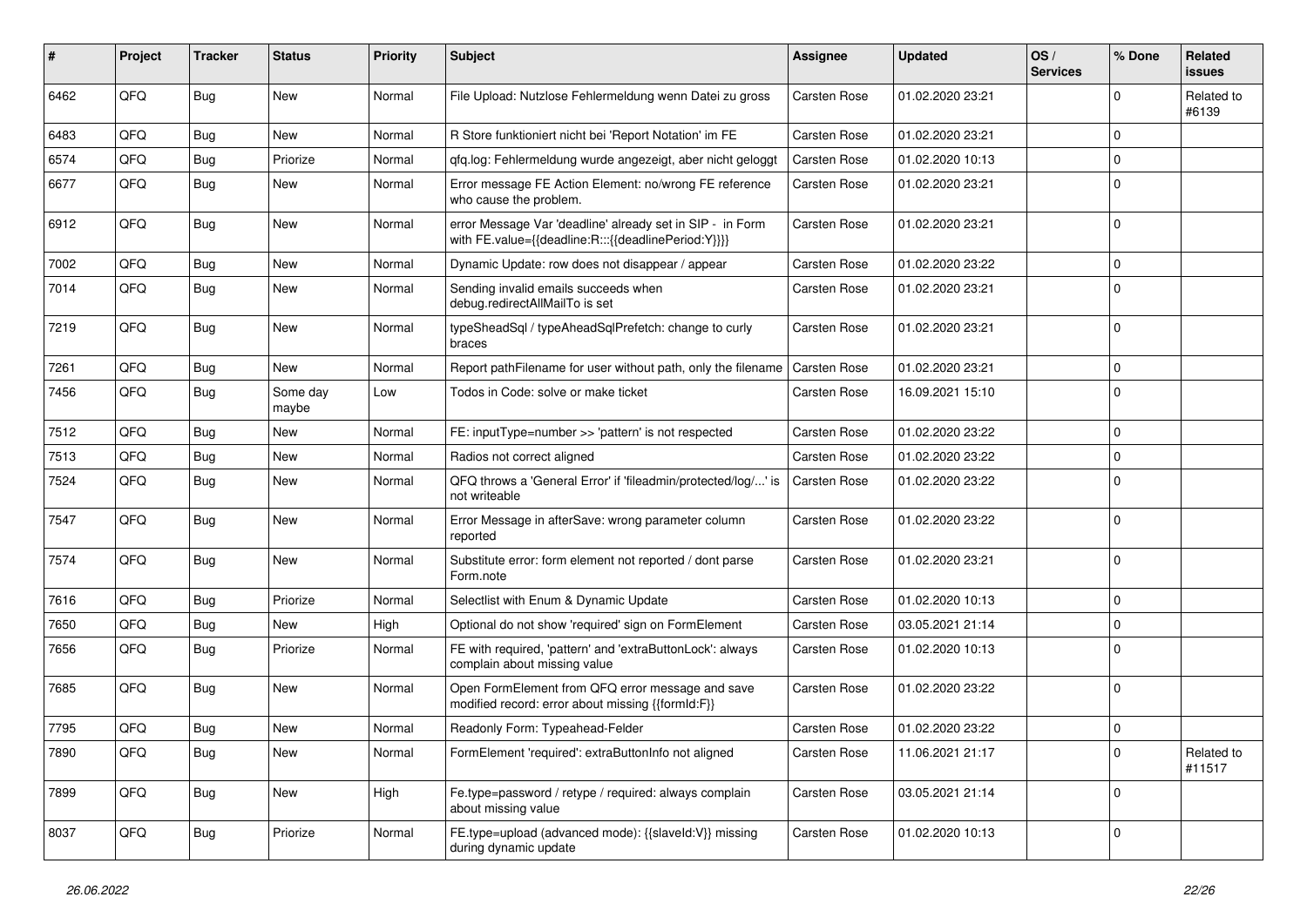| #    | Project | <b>Tracker</b> | <b>Status</b>     | <b>Priority</b> | <b>Subject</b>                                                                                                   | <b>Assignee</b>     | <b>Updated</b>   | OS/<br><b>Services</b> | % Done      | Related<br>issues    |
|------|---------|----------------|-------------------|-----------------|------------------------------------------------------------------------------------------------------------------|---------------------|------------------|------------------------|-------------|----------------------|
| 6462 | QFQ     | Bug            | <b>New</b>        | Normal          | File Upload: Nutzlose Fehlermeldung wenn Datei zu gross                                                          | <b>Carsten Rose</b> | 01.02.2020 23:21 |                        | $\Omega$    | Related to<br>#6139  |
| 6483 | QFQ     | Bug            | New               | Normal          | R Store funktioniert nicht bei 'Report Notation' im FE                                                           | <b>Carsten Rose</b> | 01.02.2020 23:21 |                        | $\Omega$    |                      |
| 6574 | QFQ     | Bug            | Priorize          | Normal          | qfq.log: Fehlermeldung wurde angezeigt, aber nicht geloggt                                                       | <b>Carsten Rose</b> | 01.02.2020 10:13 |                        | $\Omega$    |                      |
| 6677 | QFQ     | Bug            | New               | Normal          | Error message FE Action Element: no/wrong FE reference<br>who cause the problem.                                 | <b>Carsten Rose</b> | 01.02.2020 23:21 |                        | 0           |                      |
| 6912 | QFQ     | <b>Bug</b>     | New               | Normal          | error Message Var 'deadline' already set in SIP - in Form<br>with FE.value={{deadline:R:::{{deadlinePeriod:Y}}}} | <b>Carsten Rose</b> | 01.02.2020 23:21 |                        | $\mathbf 0$ |                      |
| 7002 | QFQ     | Bug            | <b>New</b>        | Normal          | Dynamic Update: row does not disappear / appear                                                                  | <b>Carsten Rose</b> | 01.02.2020 23:22 |                        | $\mathbf 0$ |                      |
| 7014 | QFQ     | Bug            | New               | Normal          | Sending invalid emails succeeds when<br>debug.redirectAllMailTo is set                                           | <b>Carsten Rose</b> | 01.02.2020 23:21 |                        | $\Omega$    |                      |
| 7219 | QFQ     | <b>Bug</b>     | New               | Normal          | typeSheadSql / typeAheadSqlPrefetch: change to curly<br>braces                                                   | <b>Carsten Rose</b> | 01.02.2020 23:21 |                        | $\Omega$    |                      |
| 7261 | QFQ     | <b>Bug</b>     | New               | Normal          | Report pathFilename for user without path, only the filename                                                     | Carsten Rose        | 01.02.2020 23:21 |                        | $\Omega$    |                      |
| 7456 | QFQ     | <b>Bug</b>     | Some day<br>maybe | Low             | Todos in Code: solve or make ticket                                                                              | <b>Carsten Rose</b> | 16.09.2021 15:10 |                        | $\Omega$    |                      |
| 7512 | QFQ     | Bug            | <b>New</b>        | Normal          | FE: inputType=number >> 'pattern' is not respected                                                               | Carsten Rose        | 01.02.2020 23:22 |                        | 0           |                      |
| 7513 | QFQ     | <b>Bug</b>     | New               | Normal          | Radios not correct aligned                                                                                       | <b>Carsten Rose</b> | 01.02.2020 23:22 |                        | $\mathbf 0$ |                      |
| 7524 | QFQ     | Bug            | New               | Normal          | QFQ throws a 'General Error' if 'fileadmin/protected/log/' is<br>not writeable                                   | <b>Carsten Rose</b> | 01.02.2020 23:22 |                        | $\Omega$    |                      |
| 7547 | QFQ     | <b>Bug</b>     | <b>New</b>        | Normal          | Error Message in afterSave: wrong parameter column<br>reported                                                   | Carsten Rose        | 01.02.2020 23:22 |                        | $\Omega$    |                      |
| 7574 | QFQ     | <b>Bug</b>     | New               | Normal          | Substitute error: form element not reported / dont parse<br>Form.note                                            | <b>Carsten Rose</b> | 01.02.2020 23:21 |                        | 0           |                      |
| 7616 | QFQ     | Bug            | Priorize          | Normal          | Selectlist with Enum & Dynamic Update                                                                            | <b>Carsten Rose</b> | 01.02.2020 10:13 |                        | 0           |                      |
| 7650 | QFQ     | Bug            | New               | High            | Optional do not show 'required' sign on FormElement                                                              | <b>Carsten Rose</b> | 03.05.2021 21:14 |                        | $\mathbf 0$ |                      |
| 7656 | QFQ     | Bug            | Priorize          | Normal          | FE with required, 'pattern' and 'extraButtonLock': always<br>complain about missing value                        | Carsten Rose        | 01.02.2020 10:13 |                        | $\Omega$    |                      |
| 7685 | QFQ     | Bug            | New               | Normal          | Open FormElement from QFQ error message and save<br>modified record: error about missing {{formId:F}}            | <b>Carsten Rose</b> | 01.02.2020 23:22 |                        | 0           |                      |
| 7795 | QFQ     | Bug            | New               | Normal          | Readonly Form: Typeahead-Felder                                                                                  | <b>Carsten Rose</b> | 01.02.2020 23:22 |                        | $\Omega$    |                      |
| 7890 | QFQ     | <b>Bug</b>     | New               | Normal          | FormElement 'required': extraButtonInfo not aligned                                                              | Carsten Rose        | 11.06.2021 21:17 |                        | 0           | Related to<br>#11517 |
| 7899 | QFQ     | <b>Bug</b>     | New               | High            | Fe.type=password / retype / required: always complain<br>about missing value                                     | Carsten Rose        | 03.05.2021 21:14 |                        | 0           |                      |
| 8037 | QFQ     | <b>Bug</b>     | Priorize          | Normal          | FE.type=upload (advanced mode): {{slaveld:V}} missing<br>during dynamic update                                   | Carsten Rose        | 01.02.2020 10:13 |                        | 0           |                      |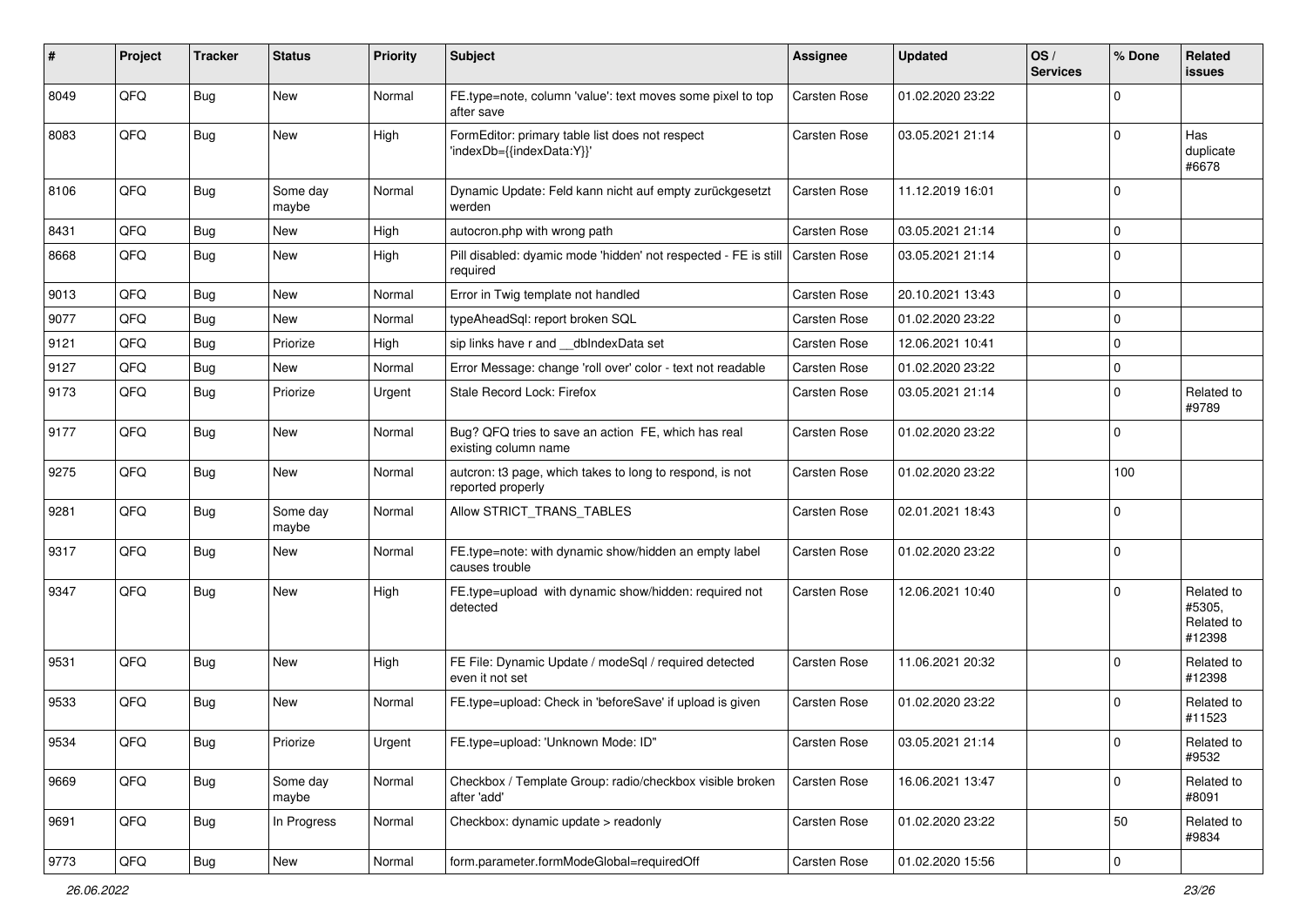| #    | Project | <b>Tracker</b> | <b>Status</b>     | <b>Priority</b> | Subject                                                                       | <b>Assignee</b>     | <b>Updated</b>   | OS/<br><b>Services</b> | % Done         | Related<br>issues                            |
|------|---------|----------------|-------------------|-----------------|-------------------------------------------------------------------------------|---------------------|------------------|------------------------|----------------|----------------------------------------------|
| 8049 | QFQ     | <b>Bug</b>     | <b>New</b>        | Normal          | FE.type=note, column 'value': text moves some pixel to top<br>after save      | Carsten Rose        | 01.02.2020 23:22 |                        | $\Omega$       |                                              |
| 8083 | QFQ     | Bug            | New               | High            | FormEditor: primary table list does not respect<br>'indexDb={{indexData:Y}}'  | <b>Carsten Rose</b> | 03.05.2021 21:14 |                        | $\Omega$       | Has<br>duplicate<br>#6678                    |
| 8106 | QFQ     | Bug            | Some day<br>maybe | Normal          | Dynamic Update: Feld kann nicht auf empty zurückgesetzt<br>werden             | <b>Carsten Rose</b> | 11.12.2019 16:01 |                        | 0              |                                              |
| 8431 | QFQ     | Bug            | New               | High            | autocron.php with wrong path                                                  | <b>Carsten Rose</b> | 03.05.2021 21:14 |                        | $\Omega$       |                                              |
| 8668 | QFQ     | Bug            | New               | High            | Pill disabled: dyamic mode 'hidden' not respected - FE is still<br>required   | Carsten Rose        | 03.05.2021 21:14 |                        | $\Omega$       |                                              |
| 9013 | QFQ     | Bug            | <b>New</b>        | Normal          | Error in Twig template not handled                                            | <b>Carsten Rose</b> | 20.10.2021 13:43 |                        | $\Omega$       |                                              |
| 9077 | QFQ     | Bug            | New               | Normal          | typeAheadSql: report broken SQL                                               | <b>Carsten Rose</b> | 01.02.2020 23:22 |                        | 0              |                                              |
| 9121 | QFQ     | Bug            | Priorize          | High            | sip links have r and __dbIndexData set                                        | <b>Carsten Rose</b> | 12.06.2021 10:41 |                        | $\Omega$       |                                              |
| 9127 | QFQ     | <b>Bug</b>     | New               | Normal          | Error Message: change 'roll over' color - text not readable                   | <b>Carsten Rose</b> | 01.02.2020 23:22 |                        | $\Omega$       |                                              |
| 9173 | QFQ     | Bug            | Priorize          | Urgent          | Stale Record Lock: Firefox                                                    | <b>Carsten Rose</b> | 03.05.2021 21:14 |                        | $\Omega$       | Related to<br>#9789                          |
| 9177 | QFQ     | Bug            | <b>New</b>        | Normal          | Bug? QFQ tries to save an action FE, which has real<br>existing column name   | <b>Carsten Rose</b> | 01.02.2020 23:22 |                        | 0              |                                              |
| 9275 | QFQ     | Bug            | New               | Normal          | autcron: t3 page, which takes to long to respond, is not<br>reported properly | <b>Carsten Rose</b> | 01.02.2020 23:22 |                        | 100            |                                              |
| 9281 | QFQ     | Bug            | Some day<br>maybe | Normal          | Allow STRICT_TRANS_TABLES                                                     | Carsten Rose        | 02.01.2021 18:43 |                        | 0              |                                              |
| 9317 | QFQ     | Bug            | New               | Normal          | FE.type=note: with dynamic show/hidden an empty label<br>causes trouble       | <b>Carsten Rose</b> | 01.02.2020 23:22 |                        | $\Omega$       |                                              |
| 9347 | QFQ     | Bug            | <b>New</b>        | High            | FE.type=upload with dynamic show/hidden: required not<br>detected             | <b>Carsten Rose</b> | 12.06.2021 10:40 |                        | $\Omega$       | Related to<br>#5305,<br>Related to<br>#12398 |
| 9531 | QFQ     | Bug            | New               | High            | FE File: Dynamic Update / modeSql / required detected<br>even it not set      | <b>Carsten Rose</b> | 11.06.2021 20:32 |                        | $\Omega$       | Related to<br>#12398                         |
| 9533 | QFQ     | Bug            | <b>New</b>        | Normal          | FE.type=upload: Check in 'beforeSave' if upload is given                      | <b>Carsten Rose</b> | 01.02.2020 23:22 |                        | $\overline{0}$ | Related to<br>#11523                         |
| 9534 | QFQ     | <b>Bug</b>     | Priorize          | Urgent          | FE.type=upload: 'Unknown Mode: ID"                                            | Carsten Rose        | 03.05.2021 21:14 |                        | ∣ U            | Related to<br>#9532                          |
| 9669 | QFQ     | <b>Bug</b>     | Some day<br>maybe | Normal          | Checkbox / Template Group: radio/checkbox visible broken<br>after 'add'       | Carsten Rose        | 16.06.2021 13:47 |                        | 0              | Related to<br>#8091                          |
| 9691 | QFQ     | <b>Bug</b>     | In Progress       | Normal          | Checkbox: dynamic update > readonly                                           | Carsten Rose        | 01.02.2020 23:22 |                        | 50             | Related to<br>#9834                          |
| 9773 | QFQ     | Bug            | New               | Normal          | form.parameter.formModeGlobal=requiredOff                                     | Carsten Rose        | 01.02.2020 15:56 |                        | l 0            |                                              |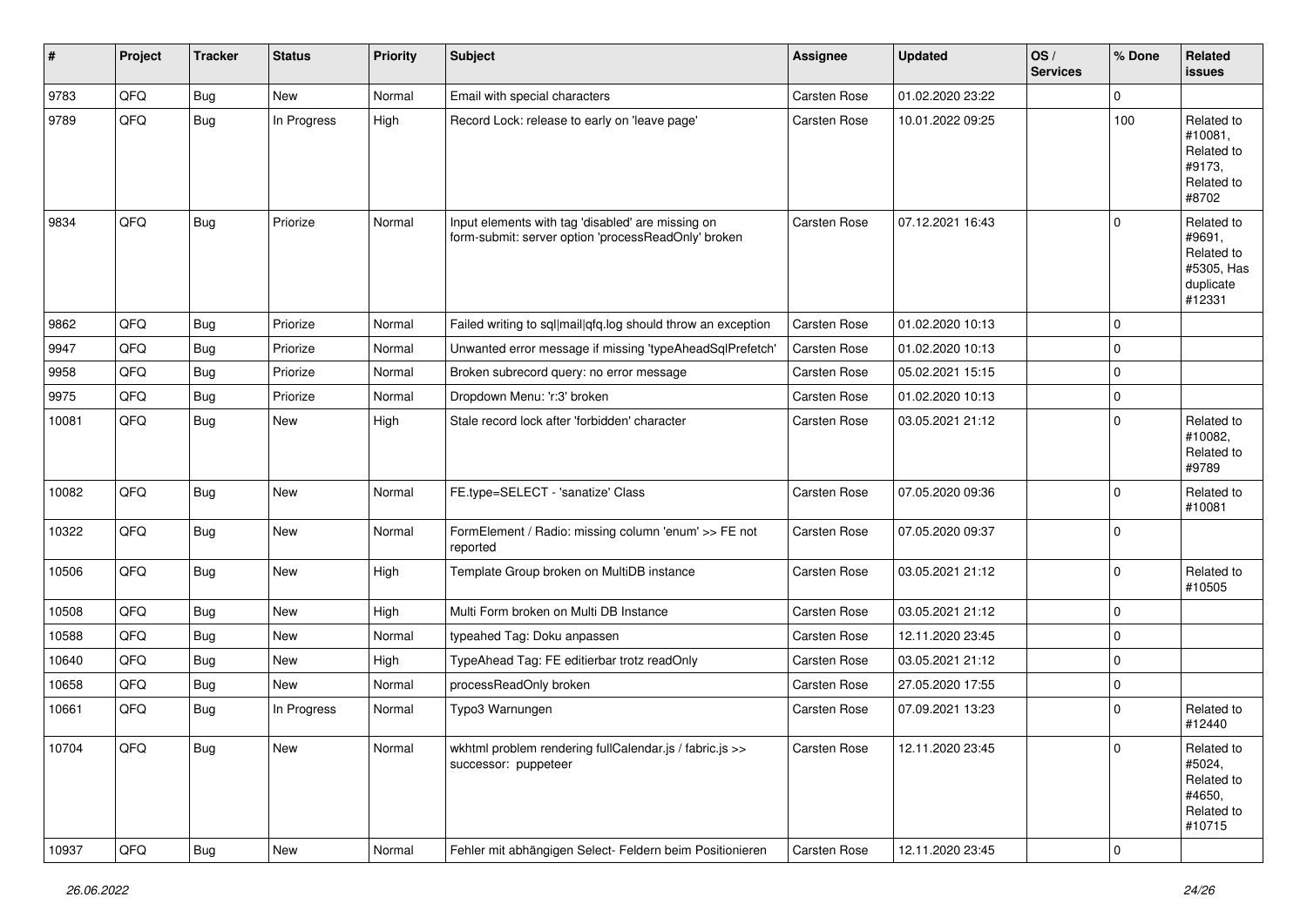| #     | Project | <b>Tracker</b> | <b>Status</b> | <b>Priority</b> | Subject                                                                                                  | Assignee            | <b>Updated</b>   | OS/<br><b>Services</b> | % Done      | <b>Related</b><br>issues                                                |
|-------|---------|----------------|---------------|-----------------|----------------------------------------------------------------------------------------------------------|---------------------|------------------|------------------------|-------------|-------------------------------------------------------------------------|
| 9783  | QFQ     | <b>Bug</b>     | New           | Normal          | Email with special characters                                                                            | Carsten Rose        | 01.02.2020 23:22 |                        | $\Omega$    |                                                                         |
| 9789  | QFQ     | <b>Bug</b>     | In Progress   | High            | Record Lock: release to early on 'leave page'                                                            | Carsten Rose        | 10.01.2022 09:25 |                        | 100         | Related to<br>#10081,<br>Related to<br>#9173,<br>Related to<br>#8702    |
| 9834  | QFQ     | <b>Bug</b>     | Priorize      | Normal          | Input elements with tag 'disabled' are missing on<br>form-submit: server option 'processReadOnly' broken | Carsten Rose        | 07.12.2021 16:43 |                        | $\Omega$    | Related to<br>#9691,<br>Related to<br>#5305, Has<br>duplicate<br>#12331 |
| 9862  | QFQ     | Bug            | Priorize      | Normal          | Failed writing to sql mail qfq.log should throw an exception                                             | Carsten Rose        | 01.02.2020 10:13 |                        | $\mathbf 0$ |                                                                         |
| 9947  | QFQ     | <b>Bug</b>     | Priorize      | Normal          | Unwanted error message if missing 'typeAheadSqlPrefetch'                                                 | Carsten Rose        | 01.02.2020 10:13 |                        | $\mathbf 0$ |                                                                         |
| 9958  | QFQ     | <b>Bug</b>     | Priorize      | Normal          | Broken subrecord query: no error message                                                                 | Carsten Rose        | 05.02.2021 15:15 |                        | $\mathbf 0$ |                                                                         |
| 9975  | QFQ     | <b>Bug</b>     | Priorize      | Normal          | Dropdown Menu: 'r:3' broken                                                                              | Carsten Rose        | 01.02.2020 10:13 |                        | $\mathbf 0$ |                                                                         |
| 10081 | QFQ     | <b>Bug</b>     | New           | High            | Stale record lock after 'forbidden' character                                                            | Carsten Rose        | 03.05.2021 21:12 |                        | $\Omega$    | Related to<br>#10082,<br>Related to<br>#9789                            |
| 10082 | QFQ     | <b>Bug</b>     | New           | Normal          | FE.type=SELECT - 'sanatize' Class                                                                        | Carsten Rose        | 07.05.2020 09:36 |                        | $\mathbf 0$ | Related to<br>#10081                                                    |
| 10322 | QFQ     | <b>Bug</b>     | New           | Normal          | FormElement / Radio: missing column 'enum' >> FE not<br>reported                                         | Carsten Rose        | 07.05.2020 09:37 |                        | $\mathbf 0$ |                                                                         |
| 10506 | QFQ     | <b>Bug</b>     | New           | High            | Template Group broken on MultiDB instance                                                                | Carsten Rose        | 03.05.2021 21:12 |                        | $\mathbf 0$ | Related to<br>#10505                                                    |
| 10508 | QFQ     | <b>Bug</b>     | New           | High            | Multi Form broken on Multi DB Instance                                                                   | Carsten Rose        | 03.05.2021 21:12 |                        | $\mathbf 0$ |                                                                         |
| 10588 | QFQ     | <b>Bug</b>     | New           | Normal          | typeahed Tag: Doku anpassen                                                                              | Carsten Rose        | 12.11.2020 23:45 |                        | $\mathbf 0$ |                                                                         |
| 10640 | QFQ     | <b>Bug</b>     | New           | High            | TypeAhead Tag: FE editierbar trotz readOnly                                                              | Carsten Rose        | 03.05.2021 21:12 |                        | $\mathbf 0$ |                                                                         |
| 10658 | QFQ     | <b>Bug</b>     | <b>New</b>    | Normal          | processReadOnly broken                                                                                   | Carsten Rose        | 27.05.2020 17:55 |                        | $\mathbf 0$ |                                                                         |
| 10661 | QFQ     | <b>Bug</b>     | In Progress   | Normal          | Typo3 Warnungen                                                                                          | Carsten Rose        | 07.09.2021 13:23 |                        | 0           | Related to<br>#12440                                                    |
| 10704 | QFQ     | Bug            | New           | Normal          | wkhtml problem rendering fullCalendar.js / fabric.js >><br>successor: puppeteer                          | <b>Carsten Rose</b> | 12.11.2020 23:45 |                        | 0           | Related to<br>#5024,<br>Related to<br>#4650,<br>Related to<br>#10715    |
| 10937 | QFQ     | Bug            | New           | Normal          | Fehler mit abhängigen Select- Feldern beim Positionieren                                                 | Carsten Rose        | 12.11.2020 23:45 |                        | $\mathbf 0$ |                                                                         |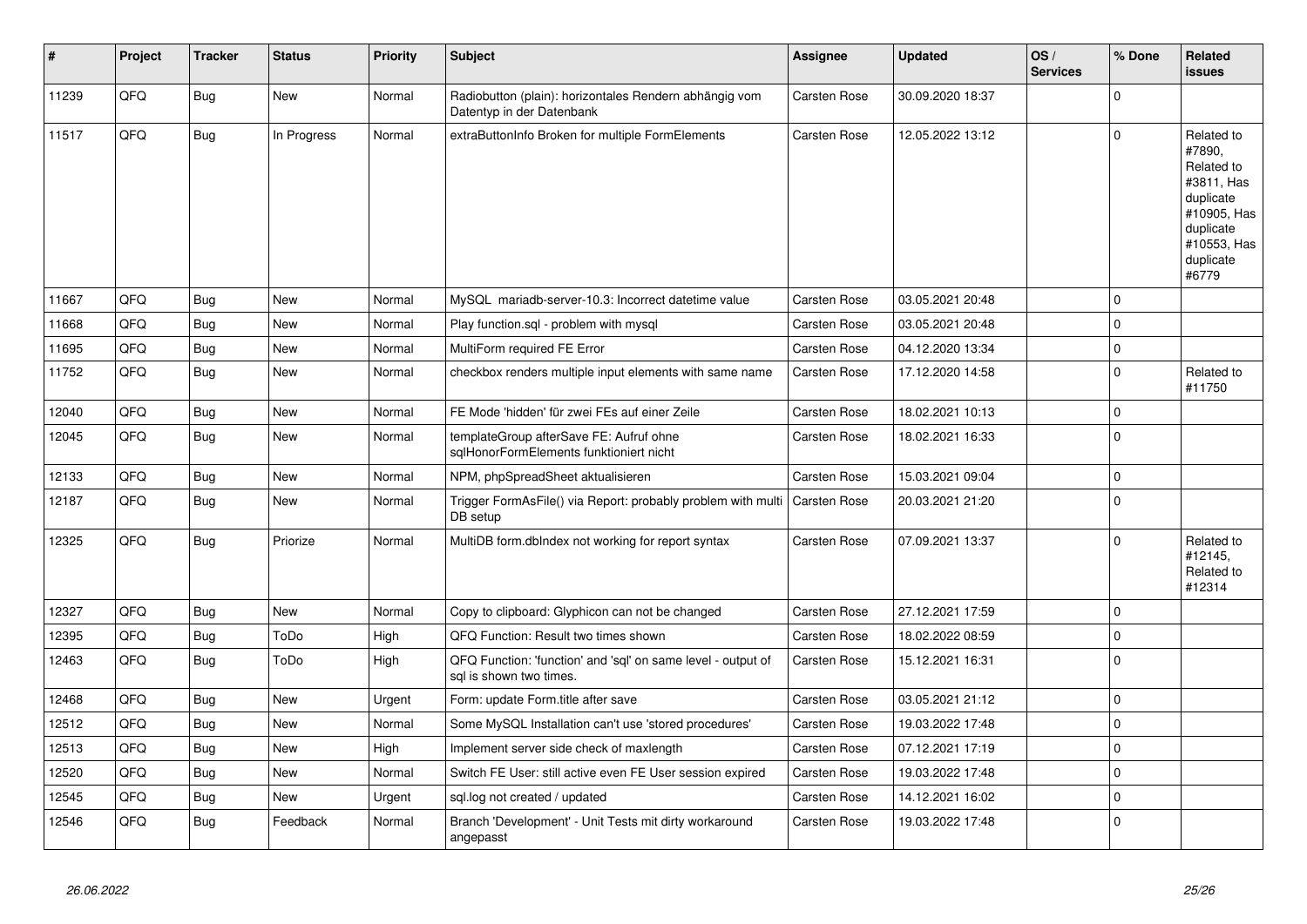| $\sharp$ | Project | <b>Tracker</b> | <b>Status</b> | <b>Priority</b> | <b>Subject</b>                                                                          | <b>Assignee</b>     | <b>Updated</b>   | OS/<br><b>Services</b> | % Done         | Related<br>issues                                                                                                              |
|----------|---------|----------------|---------------|-----------------|-----------------------------------------------------------------------------------------|---------------------|------------------|------------------------|----------------|--------------------------------------------------------------------------------------------------------------------------------|
| 11239    | QFQ     | <b>Bug</b>     | New           | Normal          | Radiobutton (plain): horizontales Rendern abhängig vom<br>Datentyp in der Datenbank     | <b>Carsten Rose</b> | 30.09.2020 18:37 |                        | $\Omega$       |                                                                                                                                |
| 11517    | QFQ     | <b>Bug</b>     | In Progress   | Normal          | extraButtonInfo Broken for multiple FormElements                                        | <b>Carsten Rose</b> | 12.05.2022 13:12 |                        | $\Omega$       | Related to<br>#7890,<br>Related to<br>#3811, Has<br>duplicate<br>#10905, Has<br>duplicate<br>#10553, Has<br>duplicate<br>#6779 |
| 11667    | QFQ     | Bug            | <b>New</b>    | Normal          | MySQL mariadb-server-10.3: Incorrect datetime value                                     | Carsten Rose        | 03.05.2021 20:48 |                        | $\overline{0}$ |                                                                                                                                |
| 11668    | QFQ     | Bug            | <b>New</b>    | Normal          | Play function.sql - problem with mysql                                                  | <b>Carsten Rose</b> | 03.05.2021 20:48 |                        | $\mathbf 0$    |                                                                                                                                |
| 11695    | QFQ     | Bug            | <b>New</b>    | Normal          | MultiForm required FE Error                                                             | Carsten Rose        | 04.12.2020 13:34 |                        | $\mathbf 0$    |                                                                                                                                |
| 11752    | QFQ     | Bug            | <b>New</b>    | Normal          | checkbox renders multiple input elements with same name                                 | Carsten Rose        | 17.12.2020 14:58 |                        | $\Omega$       | Related to<br>#11750                                                                                                           |
| 12040    | QFQ     | <b>Bug</b>     | <b>New</b>    | Normal          | FE Mode 'hidden' für zwei FEs auf einer Zeile                                           | <b>Carsten Rose</b> | 18.02.2021 10:13 |                        | $\mathbf 0$    |                                                                                                                                |
| 12045    | QFQ     | <b>Bug</b>     | <b>New</b>    | Normal          | templateGroup afterSave FE: Aufruf ohne<br>sqlHonorFormElements funktioniert nicht      | Carsten Rose        | 18.02.2021 16:33 |                        | $\Omega$       |                                                                                                                                |
| 12133    | QFQ     | Bug            | <b>New</b>    | Normal          | NPM, phpSpreadSheet aktualisieren                                                       | <b>Carsten Rose</b> | 15.03.2021 09:04 |                        | $\Omega$       |                                                                                                                                |
| 12187    | QFQ     | Bug            | <b>New</b>    | Normal          | Trigger FormAsFile() via Report: probably problem with multi<br>DB setup                | <b>Carsten Rose</b> | 20.03.2021 21:20 |                        | $\Omega$       |                                                                                                                                |
| 12325    | QFQ     | <b>Bug</b>     | Priorize      | Normal          | MultiDB form.dbIndex not working for report syntax                                      | <b>Carsten Rose</b> | 07.09.2021 13:37 |                        | $\Omega$       | Related to<br>#12145,<br>Related to<br>#12314                                                                                  |
| 12327    | QFQ     | Bug            | <b>New</b>    | Normal          | Copy to clipboard: Glyphicon can not be changed                                         | <b>Carsten Rose</b> | 27.12.2021 17:59 |                        | $\Omega$       |                                                                                                                                |
| 12395    | QFQ     | Bug            | ToDo          | High            | QFQ Function: Result two times shown                                                    | Carsten Rose        | 18.02.2022 08:59 |                        | $\mathbf 0$    |                                                                                                                                |
| 12463    | QFQ     | Bug            | ToDo          | High            | QFQ Function: 'function' and 'sql' on same level - output of<br>sal is shown two times. | Carsten Rose        | 15.12.2021 16:31 |                        | $\overline{0}$ |                                                                                                                                |
| 12468    | QFQ     | Bug            | <b>New</b>    | Urgent          | Form: update Form.title after save                                                      | Carsten Rose        | 03.05.2021 21:12 |                        | 0              |                                                                                                                                |
| 12512    | QFQ     | Bug            | <b>New</b>    | Normal          | Some MySQL Installation can't use 'stored procedures'                                   | <b>Carsten Rose</b> | 19.03.2022 17:48 |                        | $\Omega$       |                                                                                                                                |
| 12513    | QFQ     | Bug            | <b>New</b>    | High            | Implement server side check of maxlength                                                | <b>Carsten Rose</b> | 07.12.2021 17:19 |                        | $\mathbf 0$    |                                                                                                                                |
| 12520    | QFQ     | Bug            | <b>New</b>    | Normal          | Switch FE User: still active even FE User session expired                               | <b>Carsten Rose</b> | 19.03.2022 17:48 |                        | $\mathbf 0$    |                                                                                                                                |
| 12545    | QFQ     | Bug            | New           | Urgent          | sql.log not created / updated                                                           | <b>Carsten Rose</b> | 14.12.2021 16:02 |                        | $\Omega$       |                                                                                                                                |
| 12546    | QFQ     | Bug            | Feedback      | Normal          | Branch 'Development' - Unit Tests mit dirty workaround<br>angepasst                     | <b>Carsten Rose</b> | 19.03.2022 17:48 |                        | 0              |                                                                                                                                |